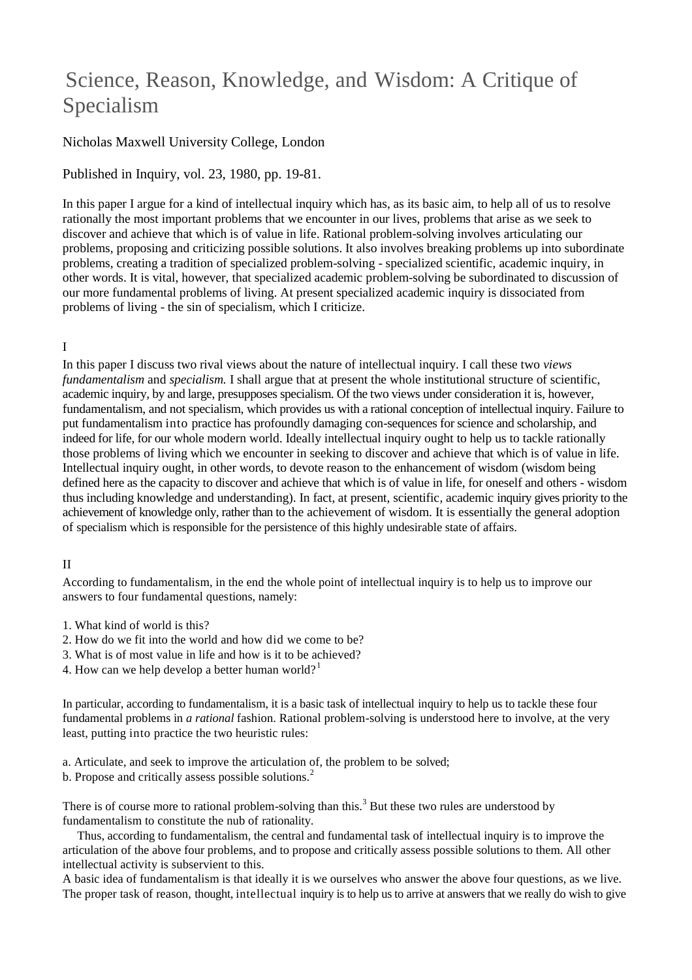# Science, Reason, Knowledge, and Wisdom: A Critique of Specialism

# Nicholas Maxwell University College, London

Published in Inquiry, vol. 23, 1980, pp. 19-81.

In this paper I argue for a kind of intellectual inquiry which has, as its basic aim, to help all of us to resolve rationally the most important problems that we encounter in our lives, problems that arise as we seek to discover and achieve that which is of value in life. Rational problem-solving involves articulating our problems, proposing and criticizing possible solutions. It also involves breaking problems up into subordinate problems, creating a tradition of specialized problem-solving - specialized scientific, academic inquiry, in other words. It is vital, however, that specialized academic problem-solving be subordinated to discussion of our more fundamental problems of living. At present specialized academic inquiry is dissociated from problems of living - the sin of specialism, which I criticize.

## I

In this paper I discuss two rival views about the nature of intellectual inquiry. I call these two *views fundamentalism* and *specialism.* I shall argue that at present the whole institutional structure of scientific, academic inquiry, by and large, presupposes specialism. Of the two views under consideration it is, however, fundamentalism, and not specialism, which provides us with a rational conception of intellectual inquiry. Failure to put fundamentalism into practice has profoundly damaging con-sequences for science and scholarship, and indeed for life, for our whole modern world. Ideally intellectual inquiry ought to help us to tackle rationally those problems of living which we encounter in seeking to discover and achieve that which is of value in life. Intellectual inquiry ought, in other words, to devote reason to the enhancement of wisdom (wisdom being defined here as the capacity to discover and achieve that which is of value in life, for oneself and others - wisdom thus including knowledge and understanding). In fact, at present, scientific, academic inquiry gives priority to the achievement of knowledge only, rather than to the achievement of wisdom. It is essentially the general adoption of specialism which is responsible for the persistence of this highly undesirable state of affairs.

## II

According to fundamentalism, in the end the whole point of intellectual inquiry is to help us to improve our answers to four fundamental questions, namely:

- 1. What kind of world is this?
- 2. How do we fit into the world and how did we come to be?
- 3. What is of most value in life and how is it to be achieved?
- 4. How can we help develop a better human world?<sup>1</sup>

In particular, according to fundamentalism, it is a basic task of intellectual inquiry to help us to tackle these four fundamental problems in *a rational* fashion. Rational problem-solving is understood here to involve, at the very least, putting into practice the two heuristic rules:

a. Articulate, and seek to improve the articulation of, the problem to be solved;

b. Propose and critically assess possible solutions.<sup>2</sup>

There is of course more to rational problem-solving than this.<sup>3</sup> But these two rules are understood by fundamentalism to constitute the nub of rationality.

Thus, according to fundamentalism, the central and fundamental task of intellectual inquiry is to improve the articulation of the above four problems, and to propose and critically assess possible solutions to them. All other intellectual activity is subservient to this.

A basic idea of fundamentalism is that ideally it is we ourselves who answer the above four questions, as we live. The proper task of reason, thought, intellectual inquiry is to help us to arrive at answers that we really do wish to give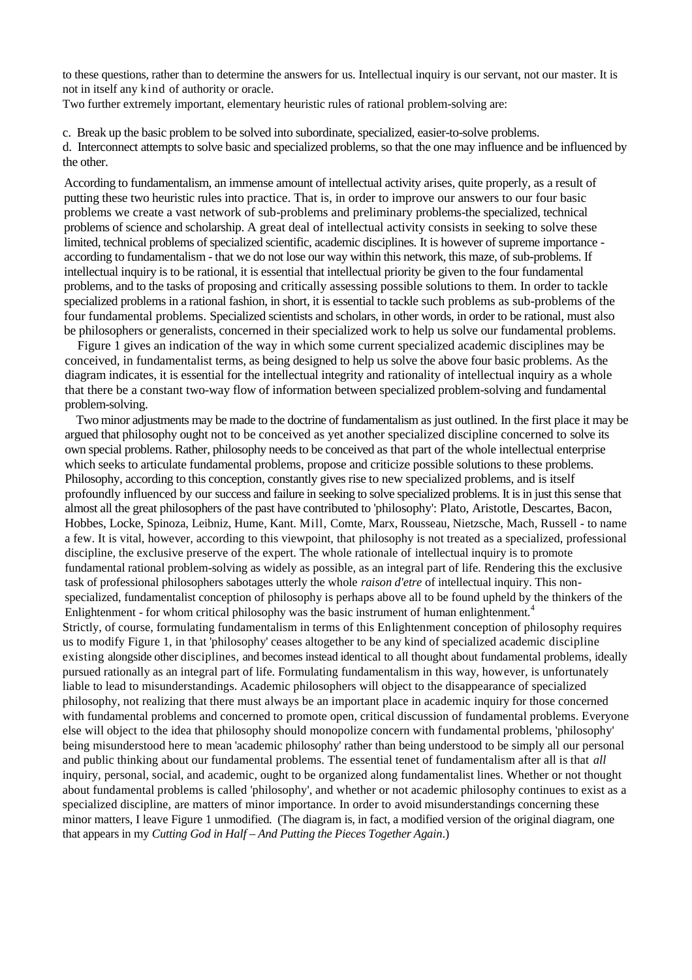to these questions, rather than to determine the answers for us. Intellectual inquiry is our servant, not our master. It is not in itself any kind of authority or oracle.

Two further extremely important, elementary heuristic rules of rational problem-solving are:

c. Break up the basic problem to be solved into subordinate, specialized, easier-to-solve problems.

d. Interconnect attempts to solve basic and specialized problems, so that the one may influence and be influenced by the other.

According to fundamentalism, an immense amount of intellectual activity arises, quite properly, as a result of putting these two heuristic rules into practice. That is, in order to improve our answers to our four basic problems we create a vast network of sub-problems and preliminary problems-the specialized, technical problems of science and scholarship. A great deal of intellectual activity consists in seeking to solve these limited, technical problems of specialized scientific, academic disciplines. It is however of supreme importance according to fundamentalism - that we do not lose our way within this network, this maze, of sub-problems. If intellectual inquiry is to be rational, it is essential that intellectual priority be given to the four fundamental problems, and to the tasks of proposing and critically assessing possible solutions to them. In order to tackle specialized problems in a rational fashion, in short, it is essential to tackle such problems as sub-problems of the four fundamental problems. Specialized scientists and scholars, in other words, in order to be rational, must also be philosophers or generalists, concerned in their specialized work to help us solve our fundamental problems.

Figure 1 gives an indication of the way in which some current specialized academic disciplines may be conceived, in fundamentalist terms, as being designed to help us solve the above four basic problems. As the diagram indicates, it is essential for the intellectual integrity and rationality of intellectual inquiry as a whole that there be a constant two-way flow of information between specialized problem-solving and fundamental problem-solving.

Two minor adjustments may be made to the doctrine of fundamentalism as just outlined. In the first place it may be argued that philosophy ought not to be conceived as yet another specialized discipline concerned to solve its own special problems. Rather, philosophy needs to be conceived as that part of the whole intellectual enterprise which seeks to articulate fundamental problems, propose and criticize possible solutions to these problems. Philosophy, according to this conception, constantly gives rise to new specialized problems, and is itself profoundly influenced by our success and failure in seeking to solve specialized problems. It is in just thissense that almost all the great philosophers of the past have contributed to 'philosophy': Plato, Aristotle, Descartes, Bacon, Hobbes, Locke, Spinoza, Leibniz, Hume, Kant. Mill, Comte, Marx, Rousseau, Nietzsche, Mach, Russell - to name a few. It is vital, however, according to this viewpoint, that philosophy is not treated as a specialized, professional discipline, the exclusive preserve of the expert. The whole rationale of intellectual inquiry is to promote fundamental rational problem-solving as widely as possible, as an integral part of life. Rendering this the exclusive task of professional philosophers sabotages utterly the whole *raison d'etre* of intellectual inquiry. This nonspecialized, fundamentalist conception of philosophy is perhaps above all to be found upheld by the thinkers of the Enlightenment - for whom critical philosophy was the basic instrument of human enlightenment.<sup>4</sup> Strictly, of course, formulating fundamentalism in terms of this Enlightenment conception of philosophy requires us to modify Figure 1, in that 'philosophy' ceases altogether to be any kind of specialized academic discipline existing alongside other disciplines, and becomes instead identical to all thought about fundamental problems, ideally pursued rationally as an integral part of life. Formulating fundamentalism in this way, however, is unfortunately liable to lead to misunderstandings. Academic philosophers will object to the disappearance of specialized philosophy, not realizing that there must always be an important place in academic inquiry for those concerned with fundamental problems and concerned to promote open, critical discussion of fundamental problems. Everyone else will object to the idea that philosophy should monopolize concern with fundamental problems, 'philosophy' being misunderstood here to mean 'academic philosophy' rather than being understood to be simply all our personal and public thinking about our fundamental problems. The essential tenet of fundamentalism after all is that *all* inquiry, personal, social, and academic, ought to be organized along fundamentalist lines. Whether or not thought about fundamental problems is called 'philosophy', and whether or not academic philosophy continues to exist as a specialized discipline, are matters of minor importance. In order to avoid misunderstandings concerning these minor matters, I leave Figure 1 unmodified. (The diagram is, in fact, a modified version of the original diagram, one that appears in my *Cutting God in Half – And Putting the Pieces Together Again*.)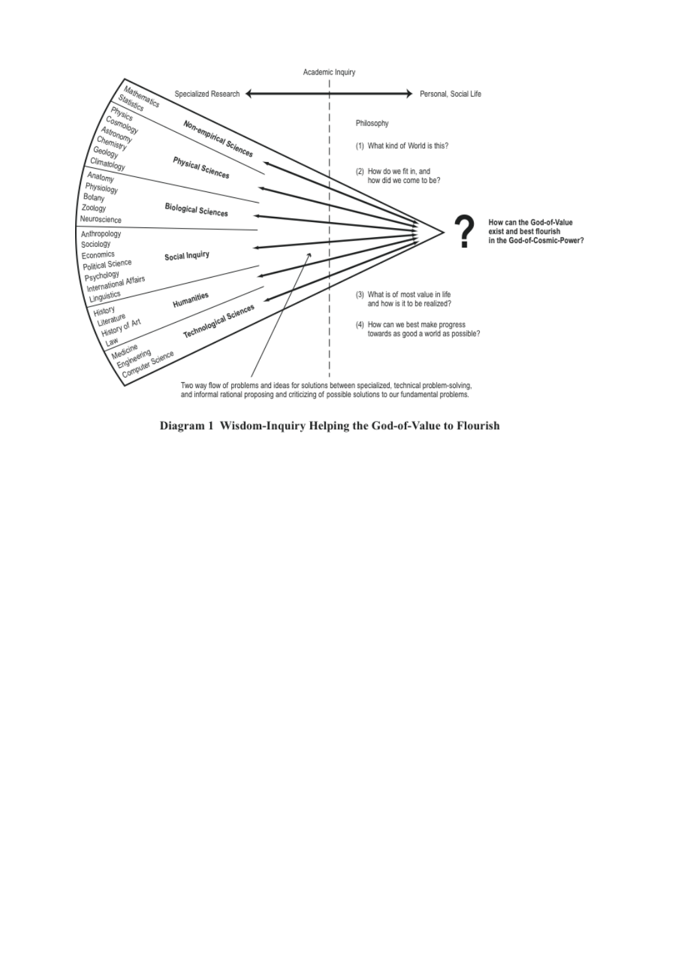

Diagram 1 Wisdom-Inquiry Helping the God-of-Value to Flourish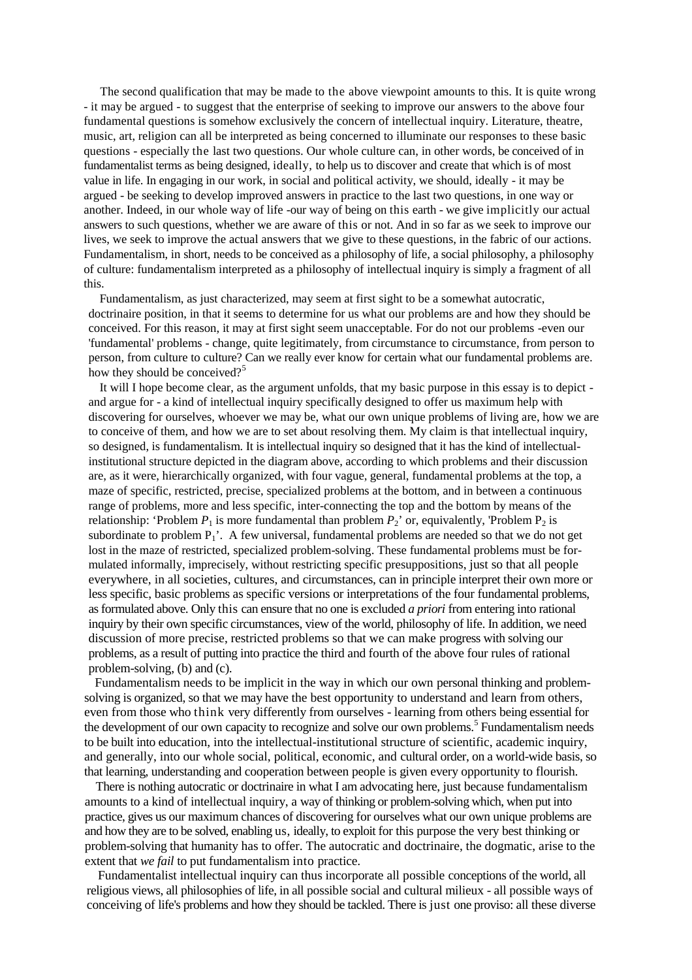The second qualification that may be made to the above viewpoint amounts to this. It is quite wrong - it may be argued - to suggest that the enterprise of seeking to improve our answers to the above four fundamental questions is somehow exclusively the concern of intellectual inquiry. Literature, theatre, music, art, religion can all be interpreted as being concerned to illuminate our responses to these basic questions - especially the last two questions. Our whole culture can, in other words, be conceived of in fundamentalist terms as being designed, ideally, to help us to discover and create that which is of most value in life. In engaging in our work, in social and political activity, we should, ideally - it may be argued - be seeking to develop improved answers in practice to the last two questions, in one way or another. Indeed, in our whole way of life -our way of being on this earth - we give implicitly our actual answers to such questions, whether we are aware of this or not. And in so far as we seek to improve our lives, we seek to improve the actual answers that we give to these questions, in the fabric of our actions. Fundamentalism, in short, needs to be conceived as a philosophy of life, a social philosophy, a philosophy of culture: fundamentalism interpreted as a philosophy of intellectual inquiry is simply a fragment of all this.

Fundamentalism, as just characterized, may seem at first sight to be a somewhat autocratic, doctrinaire position, in that it seems to determine for us what our problems are and how they should be conceived. For this reason, it may at first sight seem unacceptable. For do not our problems -even our 'fundamental' problems - change, quite legitimately, from circumstance to circumstance, from person to person, from culture to culture? Can we really ever know for certain what our fundamental problems are. how they should be conceived?<sup>5</sup>

It will I hope become clear, as the argument unfolds, that my basic purpose in this essay is to depict and argue for - a kind of intellectual inquiry specifically designed to offer us maximum help with discovering for ourselves, whoever we may be, what our own unique problems of living are, how we are to conceive of them, and how we are to set about resolving them. My claim is that intellectual inquiry, so designed, is fundamentalism. It is intellectual inquiry so designed that it has the kind of intellectualinstitutional structure depicted in the diagram above, according to which problems and their discussion are, as it were, hierarchically organized, with four vague, general, fundamental problems at the top, a maze of specific, restricted, precise, specialized problems at the bottom, and in between a continuous range of problems, more and less specific, inter-connecting the top and the bottom by means of the relationship: 'Problem  $P_1$  is more fundamental than problem  $P_2$ ' or, equivalently, 'Problem  $P_2$  is subordinate to problem  $P_1$ <sup>'</sup>. A few universal, fundamental problems are needed so that we do not get lost in the maze of restricted, specialized problem-solving. These fundamental problems must be formulated informally, imprecisely, without restricting specific presuppositions, just so that all people everywhere, in all societies, cultures, and circumstances, can in principle interpret their own more or less specific, basic problems as specific versions or interpretations of the four fundamental problems, as formulated above. Only this can ensure that no one is excluded *a priori* from entering into rational inquiry by their own specific circumstances, view of the world, philosophy of life. In addition, we need discussion of more precise, restricted problems so that we can make progress with solving our problems, as a result of putting into practice the third and fourth of the above four rules of rational problem-solving, (b) and (c).

Fundamentalism needs to be implicit in the way in which our own personal thinking and problemsolving is organized, so that we may have the best opportunity to understand and learn from others, even from those who think very differently from ourselves - learning from others being essential for the development of our own capacity to recognize and solve our own problems.<sup>5</sup> Fundamentalism needs to be built into education, into the intellectual-institutional structure of scientific, academic inquiry, and generally, into our whole social, political, economic, and cultural order, on a world-wide basis, so that learning, understanding and cooperation between people is given every opportunity to flourish.

There is nothing autocratic or doctrinaire in what I am advocating here, just because fundamentalism amounts to a kind of intellectual inquiry, a way of thinking or problem-solving which, when put into practice, gives us our maximum chances of discovering for ourselves what our own unique problems are and how they are to be solved, enabling us, ideally, to exploit for this purpose the very best thinking or problem-solving that humanity has to offer. The autocratic and doctrinaire, the dogmatic, arise to the extent that *we fail* to put fundamentalism into practice.

Fundamentalist intellectual inquiry can thus incorporate all possible conceptions of the world, all religious views, all philosophies of life, in all possible social and cultural milieux - all possible ways of conceiving of life's problems and how they should be tackled. There is just one proviso: all these diverse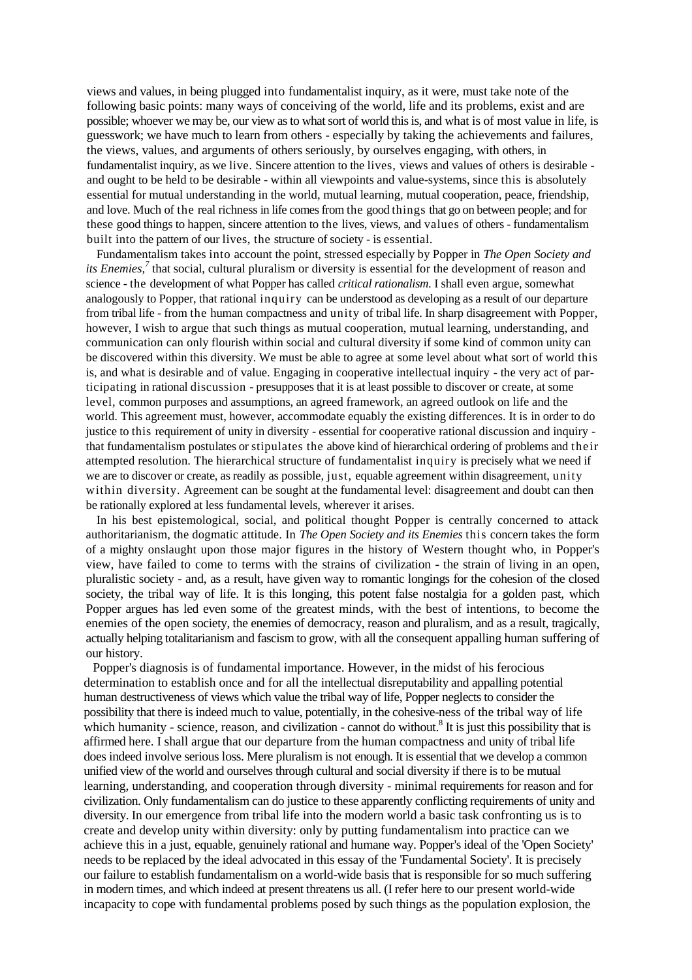views and values, in being plugged into fundamentalist inquiry, as it were, must take note of the following basic points: many ways of conceiving of the world, life and its problems, exist and are possible; whoever we may be, our view as to what sort of world this is, and what is of most value in life, is guesswork; we have much to learn from others - especially by taking the achievements and failures, the views, values, and arguments of others seriously, by ourselves engaging, with others, in fundamentalist inquiry, as we live. Sincere attention to the lives, views and values of others is desirable and ought to be held to be desirable - within all viewpoints and value-systems, since this is absolutely essential for mutual understanding in the world, mutual learning, mutual cooperation, peace, friendship, and love. Much of the real richness in life comes from the good things that go on between people; and for these good things to happen, sincere attention to the lives, views, and values of others - fundamentalism built into the pattern of our lives, the structure of society - is essential.

Fundamentalism takes into account the point, stressed especially by Popper in *The Open Society and its Enemies,<sup>7</sup>* that social, cultural pluralism or diversity is essential for the development of reason and science - the development of what Popper has called *critical rationalism.* I shall even argue, somewhat analogously to Popper, that rational inquiry can be understood as developing as a result of our departure from tribal life - from the human compactness and unity of tribal life. In sharp disagreement with Popper, however, I wish to argue that such things as mutual cooperation, mutual learning, understanding, and communication can only flourish within social and cultural diversity if some kind of common unity can be discovered within this diversity. We must be able to agree at some level about what sort of world this is, and what is desirable and of value. Engaging in cooperative intellectual inquiry - the very act of participating in rational discussion - presupposes that it is at least possible to discover or create, at some level, common purposes and assumptions, an agreed framework, an agreed outlook on life and the world. This agreement must, however, accommodate equably the existing differences. It is in order to do justice to this requirement of unity in diversity - essential for cooperative rational discussion and inquiry that fundamentalism postulates or stipulates the above kind of hierarchical ordering of problems and their attempted resolution. The hierarchical structure of fundamentalist inquiry is precisely what we need if we are to discover or create, as readily as possible, just, equable agreement within disagreement, unity within diversity. Agreement can be sought at the fundamental level: disagreement and doubt can then be rationally explored at less fundamental levels, wherever it arises.

In his best epistemological, social, and political thought Popper is centrally concerned to attack authoritarianism, the dogmatic attitude. In *The Open Society and its Enemies* this concern takes the form of a mighty onslaught upon those major figures in the history of Western thought who, in Popper's view, have failed to come to terms with the strains of civilization - the strain of living in an open, pluralistic society - and, as a result, have given way to romantic longings for the cohesion of the closed society, the tribal way of life. It is this longing, this potent false nostalgia for a golden past, which Popper argues has led even some of the greatest minds, with the best of intentions, to become the enemies of the open society, the enemies of democracy, reason and pluralism, and as a result, tragically, actually helping totalitarianism and fascism to grow, with all the consequent appalling human suffering of our history.

Popper's diagnosis is of fundamental importance. However, in the midst of his ferocious determination to establish once and for all the intellectual disreputability and appalling potential human destructiveness of views which value the tribal way of life, Popper neglects to consider the possibility that there is indeed much to value, potentially, in the cohesive-ness of the tribal way of life which humanity - science, reason, and civilization - cannot do without.<sup>8</sup> It is just this possibility that is affirmed here. I shall argue that our departure from the human compactness and unity of tribal life does indeed involve serious loss. Mere pluralism is not enough. It is essential that we develop a common unified view of the world and ourselves through cultural and social diversity if there is to be mutual learning, understanding, and cooperation through diversity - minimal requirements for reason and for civilization. Only fundamentalism can do justice to these apparently conflicting requirements of unity and diversity. In our emergence from tribal life into the modern world a basic task confronting us is to create and develop unity within diversity: only by putting fundamentalism into practice can we achieve this in a just, equable, genuinely rational and humane way. Popper's ideal of the 'Open Society' needs to be replaced by the ideal advocated in this essay of the 'Fundamental Society'. It is precisely our failure to establish fundamentalism on a world-wide basis that is responsible for so much suffering in modern times, and which indeed at present threatens us all. (I refer here to our present world-wide incapacity to cope with fundamental problems posed by such things as the population explosion, the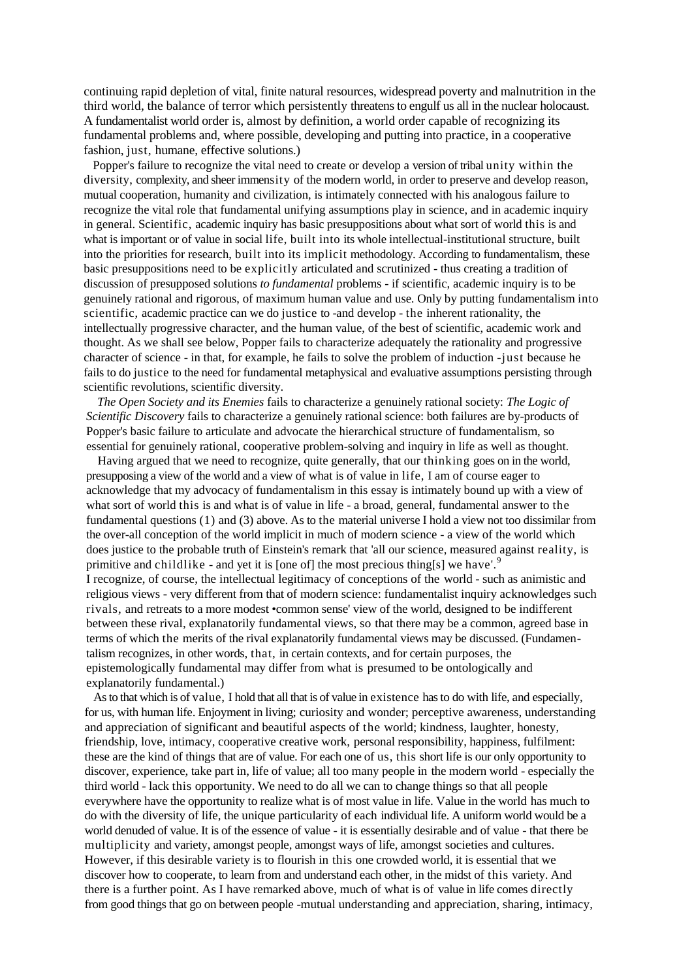continuing rapid depletion of vital, finite natural resources, widespread poverty and malnutrition in the third world, the balance of terror which persistently threatens to engulf us all in the nuclear holocaust. A fundamentalist world order is, almost by definition, a world order capable of recognizing its fundamental problems and, where possible, developing and putting into practice, in a cooperative fashion, just, humane, effective solutions.)

Popper's failure to recognize the vital need to create or develop a version of tribal unity within the diversity, complexity, and sheer immensity of the modern world, in order to preserve and develop reason, mutual cooperation, humanity and civilization, is intimately connected with his analogous failure to recognize the vital role that fundamental unifying assumptions play in science, and in academic inquiry in general. Scientific, academic inquiry has basic presuppositions about what sort of world this is and what is important or of value in social life, built into its whole intellectual-institutional structure, built into the priorities for research, built into its implicit methodology. According to fundamentalism, these basic presuppositions need to be explicitly articulated and scrutinized - thus creating a tradition of discussion of presupposed solutions *to fundamental* problems - if scientific, academic inquiry is to be genuinely rational and rigorous, of maximum human value and use. Only by putting fundamentalism into scientific, academic practice can we do justice to -and develop - the inherent rationality, the intellectually progressive character, and the human value, of the best of scientific, academic work and thought. As we shall see below, Popper fails to characterize adequately the rationality and progressive character of science - in that, for example, he fails to solve the problem of induction -just because he fails to do justice to the need for fundamental metaphysical and evaluative assumptions persisting through scientific revolutions, scientific diversity.

*The Open Society and its Enemies* fails to characterize a genuinely rational society: *The Logic of Scientific Discovery* fails to characterize a genuinely rational science: both failures are by-products of Popper's basic failure to articulate and advocate the hierarchical structure of fundamentalism, so essential for genuinely rational, cooperative problem-solving and inquiry in life as well as thought.

Having argued that we need to recognize, quite generally, that our thinking goes on in the world, presupposing a view of the world and a view of what is of value in life, I am of course eager to acknowledge that my advocacy of fundamentalism in this essay is intimately bound up with a view of what sort of world this is and what is of value in life - a broad, general, fundamental answer to the fundamental questions (1) and (3) above. As to the material universe I hold a view not too dissimilar from the over-all conception of the world implicit in much of modern science - a view of the world which does justice to the probable truth of Einstein's remark that 'all our science, measured against reality, is primitive and childlike - and yet it is [one of] the most precious thing[s] we have'.<sup>9</sup> I recognize, of course, the intellectual legitimacy of conceptions of the world - such as animistic and religious views - very different from that of modern science: fundamentalist inquiry acknowledges such rivals, and retreats to a more modest •common sense' view of the world, designed to be indifferent between these rival, explanatorily fundamental views, so that there may be a common, agreed base in terms of which the merits of the rival explanatorily fundamental views may be discussed. (Fundamentalism recognizes, in other words, that, in certain contexts, and for certain purposes, the epistemologically fundamental may differ from what is presumed to be ontologically and explanatorily fundamental.)

As to that which is of value, I hold that all that is of value in existence hasto do with life, and especially, for us, with human life. Enjoyment in living; curiosity and wonder; perceptive awareness, understanding and appreciation of significant and beautiful aspects of the world; kindness, laughter, honesty, friendship, love, intimacy, cooperative creative work, personal responsibility, happiness, fulfilment: these are the kind of things that are of value. For each one of us, this short life is our only opportunity to discover, experience, take part in, life of value; all too many people in the modern world - especially the third world - lack this opportunity. We need to do all we can to change things so that all people everywhere have the opportunity to realize what is of most value in life. Value in the world has much to do with the diversity of life, the unique particularity of each individual life. A uniform world would be a world denuded of value. It is of the essence of value - it is essentially desirable and of value - that there be multiplicity and variety, amongst people, amongst ways of life, amongst societies and cultures. However, if this desirable variety is to flourish in this one crowded world, it is essential that we discover how to cooperate, to learn from and understand each other, in the midst of this variety. And there is a further point. As I have remarked above, much of what is of value in life comes directly from good things that go on between people -mutual understanding and appreciation, sharing, intimacy,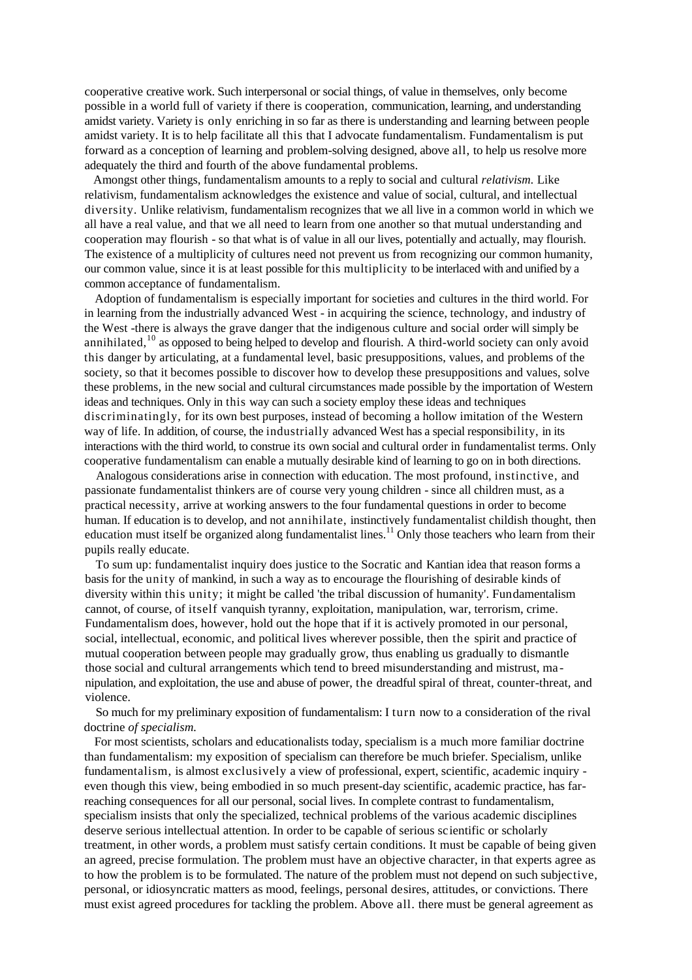cooperative creative work. Such interpersonal or social things, of value in themselves, only become possible in a world full of variety if there is cooperation, communication, learning, and understanding amidst variety. Variety is only enriching in so far as there is understanding and learning between people amidst variety. It is to help facilitate all this that I advocate fundamentalism. Fundamentalism is put forward as a conception of learning and problem-solving designed, above all, to help us resolve more adequately the third and fourth of the above fundamental problems.

Amongst other things, fundamentalism amounts to a reply to social and cultural *relativism.* Like relativism, fundamentalism acknowledges the existence and value of social, cultural, and intellectual diversity. Unlike relativism, fundamentalism recognizes that we all live in a common world in which we all have a real value, and that we all need to learn from one another so that mutual understanding and cooperation may flourish - so that what is of value in all our lives, potentially and actually, may flourish. The existence of a multiplicity of cultures need not prevent us from recognizing our common humanity, our common value, since it is at least possible for this multiplicity to be interlaced with and unified by a common acceptance of fundamentalism.

Adoption of fundamentalism is especially important for societies and cultures in the third world. For in learning from the industrially advanced West - in acquiring the science, technology, and industry of the West -there is always the grave danger that the indigenous culture and social order will simply be annihilated, $10$  as opposed to being helped to develop and flourish. A third-world society can only avoid this danger by articulating, at a fundamental level, basic presuppositions, values, and problems of the society, so that it becomes possible to discover how to develop these presuppositions and values, solve these problems, in the new social and cultural circumstances made possible by the importation of Western ideas and techniques. Only in this way can such a society employ these ideas and techniques discriminatingly, for its own best purposes, instead of becoming a hollow imitation of the Western way of life. In addition, of course, the industrially advanced West has a special responsibility, in its interactions with the third world, to construe its own social and cultural order in fundamentalist terms. Only cooperative fundamentalism can enable a mutually desirable kind of learning to go on in both directions.

Analogous considerations arise in connection with education. The most profound, instinctive, and passionate fundamentalist thinkers are of course very young children - since all children must, as a practical necessity, arrive at working answers to the four fundamental questions in order to become human. If education is to develop, and not annihilate, instinctively fundamentalist childish thought, then education must itself be organized along fundamentalist lines.<sup>11</sup> Only those teachers who learn from their pupils really educate.

To sum up: fundamentalist inquiry does justice to the Socratic and Kantian idea that reason forms a basis for the unity of mankind, in such a way as to encourage the flourishing of desirable kinds of diversity within this unity; it might be called 'the tribal discussion of humanity'. Fundamentalism cannot, of course, of itself vanquish tyranny, exploitation, manipulation, war, terrorism, crime. Fundamentalism does, however, hold out the hope that if it is actively promoted in our personal, social, intellectual, economic, and political lives wherever possible, then the spirit and practice of mutual cooperation between people may gradually grow, thus enabling us gradually to dismantle those social and cultural arrangements which tend to breed misunderstanding and mistrust, ma nipulation, and exploitation, the use and abuse of power, the dreadful spiral of threat, counter-threat, and violence.

So much for my preliminary exposition of fundamentalism: I turn now to a consideration of the rival doctrine *of specialism.*

For most scientists, scholars and educationalists today, specialism is a much more familiar doctrine than fundamentalism: my exposition of specialism can therefore be much briefer. Specialism, unlike fundamentalism, is almost exclusively a view of professional, expert, scientific, academic inquiry even though this view, being embodied in so much present-day scientific, academic practice, has farreaching consequences for all our personal, social lives. In complete contrast to fundamentalism, specialism insists that only the specialized, technical problems of the various academic disciplines deserve serious intellectual attention. In order to be capable of serious scientific or scholarly treatment, in other words, a problem must satisfy certain conditions. It must be capable of being given an agreed, precise formulation. The problem must have an objective character, in that experts agree as to how the problem is to be formulated. The nature of the problem must not depend on such subjective, personal, or idiosyncratic matters as mood, feelings, personal desires, attitudes, or convictions. There must exist agreed procedures for tackling the problem. Above all. there must be general agreement as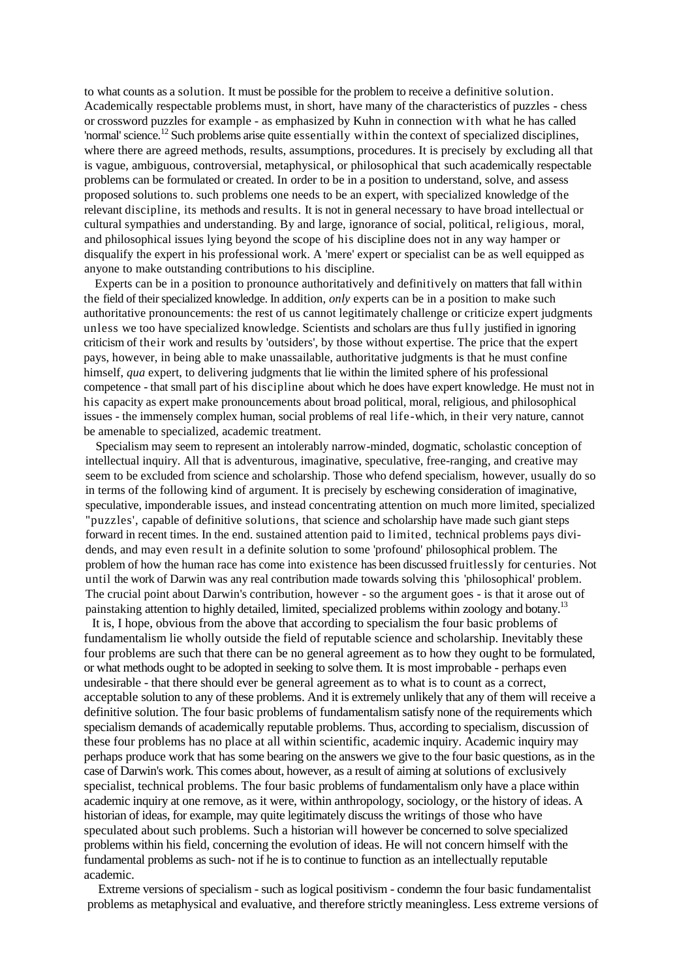to what counts as a solution. It must be possible for the problem to receive a definitive solution. Academically respectable problems must, in short, have many of the characteristics of puzzles - chess or crossword puzzles for example - as emphasized by Kuhn in connection with what he has called 'normal' science.<sup>12</sup> Such problems arise quite essentially within the context of specialized disciplines, where there are agreed methods, results, assumptions, procedures. It is precisely by excluding all that is vague, ambiguous, controversial, metaphysical, or philosophical that such academically respectable problems can be formulated or created. In order to be in a position to understand, solve, and assess proposed solutions to. such problems one needs to be an expert, with specialized knowledge of the relevant discipline, its methods and results. It is not in general necessary to have broad intellectual or cultural sympathies and understanding. By and large, ignorance of social, political, religious, moral, and philosophical issues lying beyond the scope of his discipline does not in any way hamper or disqualify the expert in his professional work. A 'mere' expert or specialist can be as well equipped as anyone to make outstanding contributions to his discipline.

Experts can be in a position to pronounce authoritatively and definitively on matters that fall within the field of their specialized knowledge. In addition, *only* experts can be in a position to make such authoritative pronouncements: the rest of us cannot legitimately challenge or criticize expert judgments unless we too have specialized knowledge. Scientists and scholars are thus fully justified in ignoring criticism of their work and results by 'outsiders', by those without expertise. The price that the expert pays, however, in being able to make unassailable, authoritative judgments is that he must confine himself, *qua* expert, to delivering judgments that lie within the limited sphere of his professional competence - that small part of his discipline about which he does have expert knowledge. He must not in his capacity as expert make pronouncements about broad political, moral, religious, and philosophical issues - the immensely complex human, social problems of real life-which, in their very nature, cannot be amenable to specialized, academic treatment.

Specialism may seem to represent an intolerably narrow-minded, dogmatic, scholastic conception of intellectual inquiry. All that is adventurous, imaginative, speculative, free-ranging, and creative may seem to be excluded from science and scholarship. Those who defend specialism, however, usually do so in terms of the following kind of argument. It is precisely by eschewing consideration of imaginative, speculative, imponderable issues, and instead concentrating attention on much more limited, specialized "puzzles', capable of definitive solutions, that science and scholarship have made such giant steps forward in recent times. In the end. sustained attention paid to limited, technical problems pays dividends, and may even result in a definite solution to some 'profound' philosophical problem. The problem of how the human race has come into existence has been discussed fruitlessly for centuries. Not until the work of Darwin was any real contribution made towards solving this 'philosophical' problem. The crucial point about Darwin's contribution, however - so the argument goes - is that it arose out of painstaking attention to highly detailed, limited, specialized problems within zoology and botany.<sup>13</sup>

It is, I hope, obvious from the above that according to specialism the four basic problems of fundamentalism lie wholly outside the field of reputable science and scholarship. Inevitably these four problems are such that there can be no general agreement as to how they ought to be formulated, or what methods ought to be adopted in seeking to solve them. It is most improbable - perhaps even undesirable - that there should ever be general agreement as to what is to count as a correct, acceptable solution to any of these problems. And it is extremely unlikely that any of them will receive a definitive solution. The four basic problems of fundamentalism satisfy none of the requirements which specialism demands of academically reputable problems. Thus, according to specialism, discussion of these four problems has no place at all within scientific, academic inquiry. Academic inquiry may perhaps produce work that has some bearing on the answers we give to the four basic questions, as in the case of Darwin's work. This comes about, however, as a result of aiming at solutions of exclusively specialist, technical problems. The four basic problems of fundamentalism only have a place within academic inquiry at one remove, as it were, within anthropology, sociology, or the history of ideas. A historian of ideas, for example, may quite legitimately discuss the writings of those who have speculated about such problems. Such a historian will however be concerned to solve specialized problems within his field, concerning the evolution of ideas. He will not concern himself with the fundamental problems as such- not if he is to continue to function as an intellectually reputable academic.

Extreme versions of specialism - such as logical positivism - condemn the four basic fundamentalist problems as metaphysical and evaluative, and therefore strictly meaningless. Less extreme versions of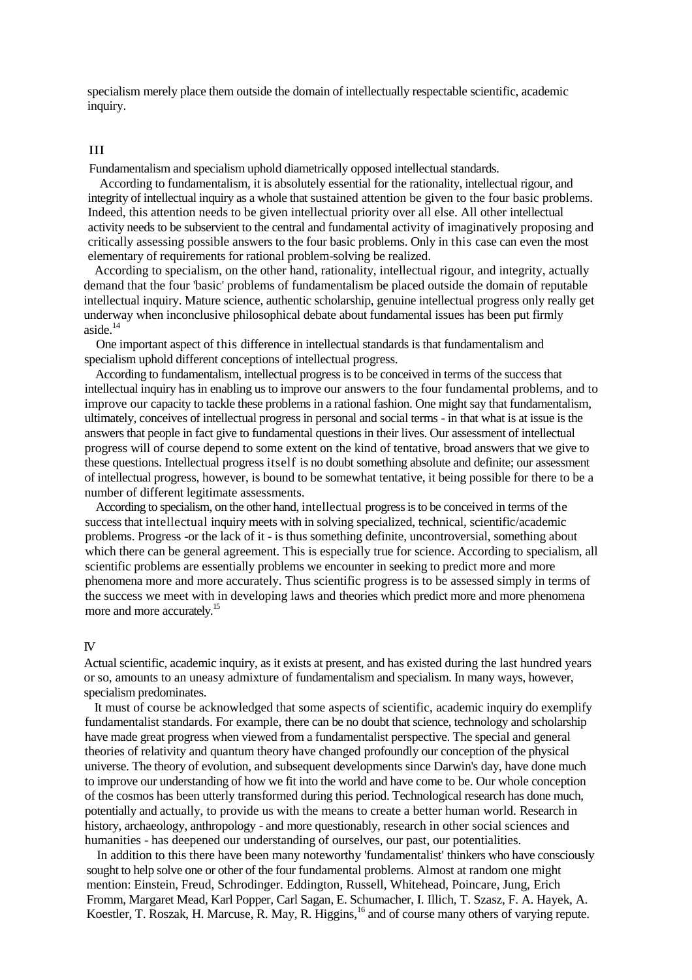specialism merely place them outside the domain of intellectually respectable scientific, academic inquiry.

#### III

Fundamentalism and specialism uphold diametrically opposed intellectual standards.

According to fundamentalism, it is absolutely essential for the rationality, intellectual rigour, and integrity of intellectual inquiry as a whole that sustained attention be given to the four basic problems. Indeed, this attention needs to be given intellectual priority over all else. All other intellectual activity needs to be subservient to the central and fundamental activity of imaginatively proposing and critically assessing possible answers to the four basic problems. Only in this case can even the most elementary of requirements for rational problem-solving be realized.

According to specialism, on the other hand, rationality, intellectual rigour, and integrity, actually demand that the four 'basic' problems of fundamentalism be placed outside the domain of reputable intellectual inquiry. Mature science, authentic scholarship, genuine intellectual progress only really get underway when inconclusive philosophical debate about fundamental issues has been put firmly aside.<sup>14</sup>

One important aspect of this difference in intellectual standards is that fundamentalism and specialism uphold different conceptions of intellectual progress.

According to fundamentalism, intellectual progress is to be conceived in terms of the success that intellectual inquiry has in enabling us to improve our answers to the four fundamental problems, and to improve our capacity to tackle these problems in a rational fashion. One might say that fundamentalism, ultimately, conceives of intellectual progress in personal and social terms - in that what is at issue is the answers that people in fact give to fundamental questions in their lives. Our assessment of intellectual progress will of course depend to some extent on the kind of tentative, broad answers that we give to these questions. Intellectual progress itself is no doubt something absolute and definite; our assessment of intellectual progress, however, is bound to be somewhat tentative, it being possible for there to be a number of different legitimate assessments.

According to specialism, on the other hand, intellectual progress is to be conceived in terms of the success that intellectual inquiry meets with in solving specialized, technical, scientific/academic problems. Progress -or the lack of it - is thus something definite, uncontroversial, something about which there can be general agreement. This is especially true for science. According to specialism, all scientific problems are essentially problems we encounter in seeking to predict more and more phenomena more and more accurately. Thus scientific progress is to be assessed simply in terms of the success we meet with in developing laws and theories which predict more and more phenomena more and more accurately.<sup>15</sup>

#### IV

Actual scientific, academic inquiry, as it exists at present, and has existed during the last hundred years or so, amounts to an uneasy admixture of fundamentalism and specialism. In many ways, however, specialism predominates.

It must of course be acknowledged that some aspects of scientific, academic inquiry do exemplify fundamentalist standards. For example, there can be no doubt that science, technology and scholarship have made great progress when viewed from a fundamentalist perspective. The special and general theories of relativity and quantum theory have changed profoundly our conception of the physical universe. The theory of evolution, and subsequent developments since Darwin's day, have done much to improve our understanding of how we fit into the world and have come to be. Our whole conception of the cosmos has been utterly transformed during this period. Technological research has done much, potentially and actually, to provide us with the means to create a better human world. Research in history, archaeology, anthropology - and more questionably, research in other social sciences and humanities - has deepened our understanding of ourselves, our past, our potentialities.

In addition to this there have been many noteworthy 'fundamentalist' thinkers who have consciously sought to help solve one or other of the four fundamental problems. Almost at random one might mention: Einstein, Freud, Schrodinger. Eddington, Russell, Whitehead, Poincare, Jung, Erich Fromm, Margaret Mead, Karl Popper, Carl Sagan, E. Schumacher, I. Illich, T. Szasz, F. A. Hayek, A. Koestler, T. Roszak, H. Marcuse, R. May, R. Higgins,<sup>16</sup> and of course many others of varying repute.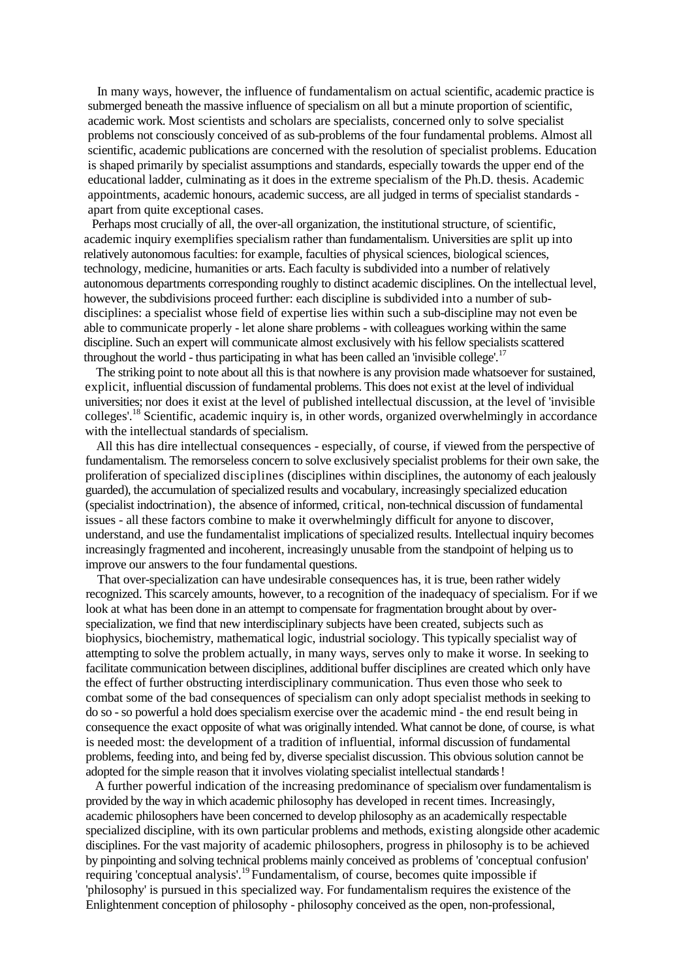In many ways, however, the influence of fundamentalism on actual scientific, academic practice is submerged beneath the massive influence of specialism on all but a minute proportion of scientific, academic work. Most scientists and scholars are specialists, concerned only to solve specialist problems not consciously conceived of as sub-problems of the four fundamental problems. Almost all scientific, academic publications are concerned with the resolution of specialist problems. Education is shaped primarily by specialist assumptions and standards, especially towards the upper end of the educational ladder, culminating as it does in the extreme specialism of the Ph.D. thesis. Academic appointments, academic honours, academic success, are all judged in terms of specialist standards apart from quite exceptional cases.

Perhaps most crucially of all, the over-all organization, the institutional structure, of scientific, academic inquiry exemplifies specialism rather than fundamentalism. Universities are split up into relatively autonomousfaculties: for example, faculties of physical sciences, biological sciences, technology, medicine, humanities or arts. Each faculty is subdivided into a number of relatively autonomous departments corresponding roughly to distinct academic disciplines. On the intellectual level, however, the subdivisions proceed further: each discipline is subdivided into a number of subdisciplines: a specialist whose field of expertise lies within such a sub-discipline may not even be able to communicate properly - let alone share problems - with colleagues working within the same discipline. Such an expert will communicate almost exclusively with his fellow specialists scattered throughout the world - thus participating in what has been called an 'invisible college'.<sup>17</sup>

The striking point to note about all this is that nowhere is any provision made whatsoever for sustained, explicit, influential discussion of fundamental problems. This does not exist at the level of individual universities; nor does it exist at the level of published intellectual discussion, at the level of 'invisible colleges'.<sup>18</sup> Scientific, academic inquiry is, in other words, organized overwhelmingly in accordance with the intellectual standards of specialism.

All this has dire intellectual consequences - especially, of course, if viewed from the perspective of fundamentalism. The remorseless concern to solve exclusively specialist problems for their own sake, the proliferation of specialized disciplines (disciplines within disciplines, the autonomy of each jealously guarded), the accumulation of specialized results and vocabulary, increasingly specialized education (specialist indoctrination), the absence of informed, critical, non-technical discussion of fundamental issues - all these factors combine to make it overwhelmingly difficult for anyone to discover, understand, and use the fundamentalist implications of specialized results. Intellectual inquiry becomes increasingly fragmented and incoherent, increasingly unusable from the standpoint of helping us to improve our answers to the four fundamental questions.

That over-specialization can have undesirable consequences has, it is true, been rather widely recognized. This scarcely amounts, however, to a recognition of the inadequacy of specialism. For if we look at what has been done in an attempt to compensate for fragmentation brought about by overspecialization, we find that new interdisciplinary subjects have been created, subjects such as biophysics, biochemistry, mathematical logic, industrial sociology. This typically specialist way of attempting to solve the problem actually, in many ways, serves only to make it worse. In seeking to facilitate communication between disciplines, additional buffer disciplines are created which only have the effect of further obstructing interdisciplinary communication. Thus even those who seek to combat some of the bad consequences of specialism can only adopt specialist methods in seeking to do so -so powerful a hold does specialism exercise over the academic mind - the end result being in consequence the exact opposite of what was originally intended. What cannot be done, of course, is what is needed most: the development of a tradition of influential, informal discussion of fundamental problems, feeding into, and being fed by, diverse specialist discussion. This obvious solution cannot be adopted for the simple reason that it involves violating specialist intellectual standards!

A further powerful indication of the increasing predominance of specialism over fundamentalism is provided by the way in which academic philosophy has developed in recent times. Increasingly, academic philosophers have been concerned to develop philosophy as an academically respectable specialized discipline, with its own particular problems and methods, existing alongside other academic disciplines. For the vast majority of academic philosophers, progress in philosophy is to be achieved by pinpointing and solving technical problems mainly conceived as problems of 'conceptual confusion' requiring 'conceptual analysis'.<sup>19</sup> Fundamentalism, of course, becomes quite impossible if 'philosophy' is pursued in this specialized way. For fundamentalism requires the existence of the Enlightenment conception of philosophy - philosophy conceived as the open, non-professional,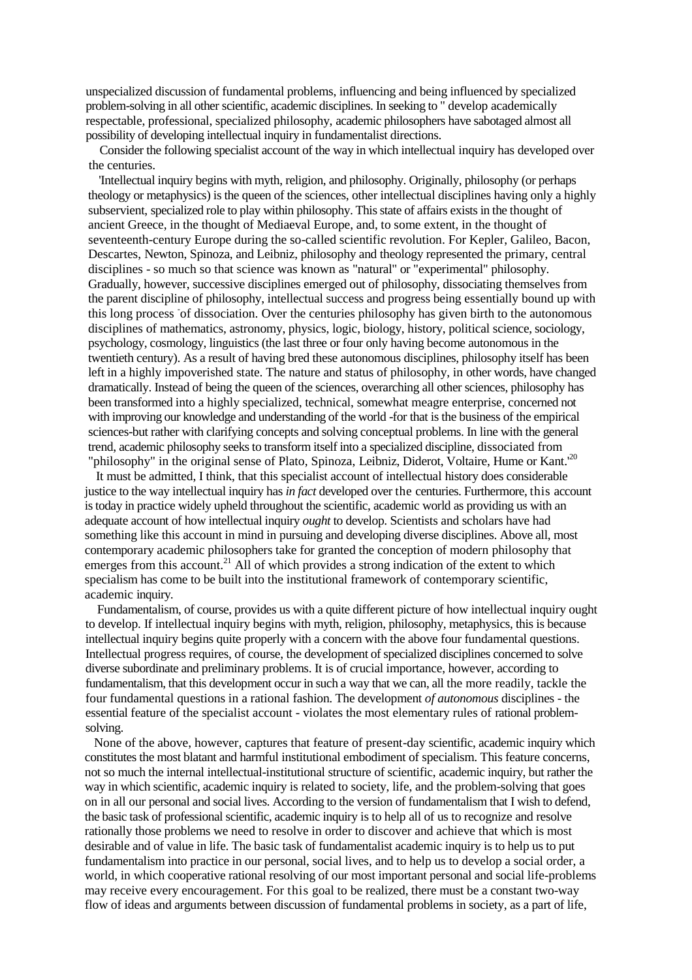unspecialized discussion of fundamental problems, influencing and being influenced by specialized problem-solving in all other scientific, academic disciplines. In seeking to " develop academically respectable, professional, specialized philosophy, academic philosophers have sabotaged almost all possibility of developing intellectual inquiry in fundamentalist directions.

Consider the following specialist account of the way in which intellectual inquiry has developed over the centuries.

'Intellectual inquiry begins with myth, religion, and philosophy. Originally, philosophy (or perhaps theology or metaphysics) is the queen of the sciences, other intellectual disciplines having only a highly subservient, specialized role to play within philosophy. This state of affairs exists in the thought of ancient Greece, in the thought of Mediaeval Europe, and, to some extent, in the thought of seventeenth-century Europe during the so-called scientific revolution. For Kepler, Galileo, Bacon, Descartes, Newton, Spinoza, and Leibniz, philosophy and theology represented the primary, central disciplines - so much so that science was known as "natural" or "experimental" philosophy. Gradually, however, successive disciplines emerged out of philosophy, dissociating themselves from the parent discipline of philosophy, intellectual success and progress being essentially bound up with this long process of dissociation. Over the centuries philosophy has given birth to the autonomous disciplines of mathematics, astronomy, physics, logic, biology, history, political science, sociology, psychology, cosmology, linguistics (the last three or four only having become autonomous in the twentieth century). As a result of having bred these autonomous disciplines, philosophy itself has been left in a highly impoverished state. The nature and status of philosophy, in other words, have changed dramatically. Instead of being the queen of the sciences, overarching all other sciences, philosophy has been transformed into a highly specialized, technical, somewhat meagre enterprise, concerned not with improving our knowledge and understanding of the world -for that is the business of the empirical sciences-but rather with clarifying concepts and solving conceptual problems. In line with the general trend, academic philosophy seeks to transform itself into a specialized discipline, dissociated from "philosophy" in the original sense of Plato, Spinoza, Leibniz, Diderot, Voltaire, Hume or Kant.<sup>20</sup>

It must be admitted, I think, that this specialist account of intellectual history does considerable justice to the way intellectual inquiry has *in fact* developed over the centuries. Furthermore, this account is today in practice widely upheld throughout the scientific, academic world as providing us with an adequate account of how intellectual inquiry *ought* to develop. Scientists and scholars have had something like this account in mind in pursuing and developing diverse disciplines. Above all, most contemporary academic philosophers take for granted the conception of modern philosophy that emerges from this account.<sup>21</sup> All of which provides a strong indication of the extent to which specialism has come to be built into the institutional framework of contemporary scientific, academic inquiry.

Fundamentalism, of course, provides us with a quite different picture of how intellectual inquiry ought to develop. If intellectual inquiry begins with myth, religion, philosophy, metaphysics, this is because intellectual inquiry begins quite properly with a concern with the above four fundamental questions. Intellectual progress requires, of course, the development of specialized disciplines concerned to solve diverse subordinate and preliminary problems. It is of crucial importance, however, according to fundamentalism, that this development occur in such a way that we can, all the more readily, tackle the four fundamental questions in a rational fashion. The development *of autonomous* disciplines - the essential feature of the specialist account - violates the most elementary rules of rational problemsolving.

None of the above, however, captures that feature of present-day scientific, academic inquiry which constitutes the most blatant and harmful institutional embodiment of specialism. This feature concerns, not so much the internal intellectual-institutional structure of scientific, academic inquiry, but rather the way in which scientific, academic inquiry is related to society, life, and the problem-solving that goes on in all our personal and social lives. According to the version of fundamentalism that I wish to defend, the basic task of professional scientific, academic inquiry is to help all of us to recognize and resolve rationally those problems we need to resolve in order to discover and achieve that which is most desirable and of value in life. The basic task of fundamentalist academic inquiry is to help us to put fundamentalism into practice in our personal, social lives, and to help us to develop a social order, a world, in which cooperative rational resolving of our most important personal and social life-problems may receive every encouragement. For this goal to be realized, there must be a constant two-way flow of ideas and arguments between discussion of fundamental problems in society, as a part of life,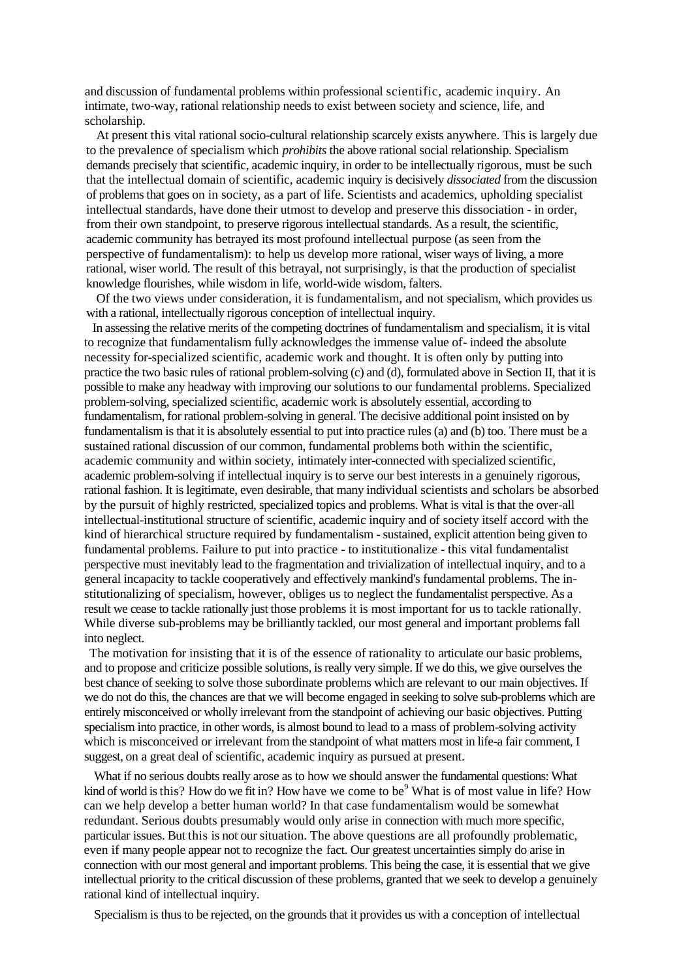and discussion of fundamental problems within professional scientific, academic inquiry. An intimate, two-way, rational relationship needs to exist between society and science, life, and scholarship.

At present this vital rational socio-cultural relationship scarcely exists anywhere. This is largely due to the prevalence of specialism which *prohibits* the above rational social relationship. Specialism demands precisely that scientific, academic inquiry, in order to be intellectually rigorous, must be such that the intellectual domain of scientific, academic inquiry is decisively *dissociated* from the discussion of problems that goes on in society, as a part of life. Scientists and academics, upholding specialist intellectual standards, have done their utmost to develop and preserve this dissociation - in order, from their own standpoint, to preserve rigorous intellectual standards. As a result, the scientific, academic community has betrayed its most profound intellectual purpose (as seen from the perspective of fundamentalism): to help us develop more rational, wiser ways of living, a more rational, wiser world. The result of this betrayal, not surprisingly, is that the production of specialist knowledge flourishes, while wisdom in life, world-wide wisdom, falters.

Of the two views under consideration, it is fundamentalism, and not specialism, which provides us with a rational, intellectually rigorous conception of intellectual inquiry.

In assessing the relative merits of the competing doctrines of fundamentalism and specialism, it is vital to recognize that fundamentalism fully acknowledges the immense value of- indeed the absolute necessity for-specialized scientific, academic work and thought. It is often only by putting into practice the two basic rules of rational problem-solving (c) and (d), formulated above in Section II, that it is possible to make any headway with improving our solutions to our fundamental problems. Specialized problem-solving, specialized scientific, academic work is absolutely essential, according to fundamentalism, for rational problem-solving in general. The decisive additional point insisted on by fundamentalism is that it is absolutely essential to put into practice rules (a) and (b) too. There must be a sustained rational discussion of our common, fundamental problems both within the scientific, academic community and within society, intimately inter-connected with specialized scientific, academic problem-solving if intellectual inquiry is to serve our best interests in a genuinely rigorous, rational fashion. It is legitimate, even desirable, that many individual scientists and scholars be absorbed by the pursuit of highly restricted, specialized topics and problems. What is vital is that the over-all intellectual-institutional structure of scientific, academic inquiry and of society itself accord with the kind of hierarchical structure required by fundamentalism - sustained, explicit attention being given to fundamental problems. Failure to put into practice - to institutionalize - this vital fundamentalist perspective must inevitably lead to the fragmentation and trivialization of intellectual inquiry, and to a general incapacity to tackle cooperatively and effectively mankind's fundamental problems. The institutionalizing of specialism, however, obliges us to neglect the fundamentalist perspective. As a result we cease to tackle rationally just those problems it is most important for us to tackle rationally. While diverse sub-problems may be brilliantly tackled, our most general and important problems fall into neglect.

The motivation for insisting that it is of the essence of rationality to articulate our basic problems, and to propose and criticize possible solutions, is really very simple. If we do this, we give ourselves the best chance of seeking to solve those subordinate problems which are relevant to our main objectives. If we do not do this, the chances are that we will become engaged in seeking to solve sub-problems which are entirely misconceived or wholly irrelevant from the standpoint of achieving our basic objectives. Putting specialism into practice, in other words, is almost bound to lead to a mass of problem-solving activity which is misconceived or irrelevant from the standpoint of what matters most in life-a fair comment, I suggest, on a great deal of scientific, academic inquiry as pursued at present.

What if no serious doubts really arose as to how we should answer the fundamental questions: What kind of world is this? How do we fit in? How have we come to be<sup>9</sup> What is of most value in life? How can we help develop a better human world? In that case fundamentalism would be somewhat redundant. Serious doubts presumably would only arise in connection with much more specific, particular issues. But this is not our situation. The above questions are all profoundly problematic, even if many people appear not to recognize the fact. Our greatest uncertainties simply do arise in connection with our most general and important problems. This being the case, it is essential that we give intellectual priority to the critical discussion of these problems, granted that we seek to develop a genuinely rational kind of intellectual inquiry.

Specialism is thus to be rejected, on the grounds that it provides us with a conception of intellectual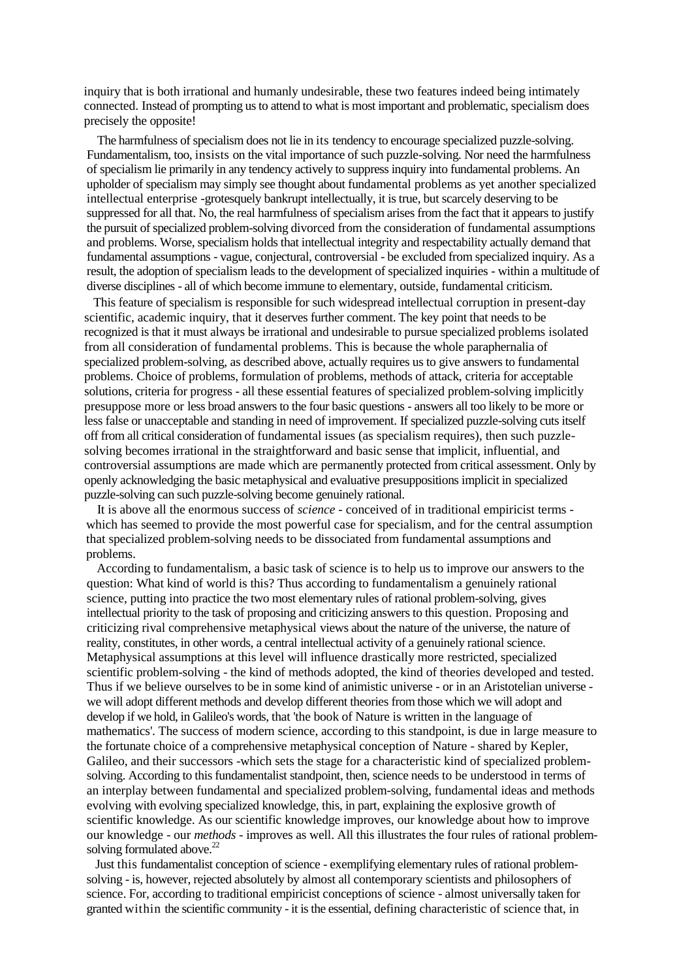inquiry that is both irrational and humanly undesirable, these two features indeed being intimately connected. Instead of prompting us to attend to what is most important and problematic, specialism does precisely the opposite!

The harmfulness of specialism does not lie in its tendency to encourage specialized puzzle-solving. Fundamentalism, too, insists on the vital importance of such puzzle-solving. Nor need the harmfulness of specialism lie primarily in any tendency actively to suppress inquiry into fundamental problems. An upholder of specialism may simply see thought about fundamental problems as yet another specialized intellectual enterprise -grotesquely bankrupt intellectually, it is true, but scarcely deserving to be suppressed for all that. No, the real harmfulness of specialism arises from the fact that it appears to justify the pursuit of specialized problem-solving divorced from the consideration of fundamental assumptions and problems. Worse, specialism holds that intellectual integrity and respectability actually demand that fundamental assumptions - vague, conjectural, controversial - be excluded from specialized inquiry. As a result, the adoption of specialism leads to the development of specialized inquiries - within a multitude of diverse disciplines - all of which become immune to elementary, outside, fundamental criticism.

This feature of specialism is responsible for such widespread intellectual corruption in present-day scientific, academic inquiry, that it deserves further comment. The key point that needs to be recognized is that it must always be irrational and undesirable to pursue specialized problems isolated from all consideration of fundamental problems. This is because the whole paraphernalia of specialized problem-solving, as described above, actually requires us to give answers to fundamental problems. Choice of problems, formulation of problems, methods of attack, criteria for acceptable solutions, criteria for progress - all these essential features of specialized problem-solving implicitly presuppose more or less broad answers to the four basic questions - answers all too likely to be more or less false or unacceptable and standing in need of improvement. If specialized puzzle-solving cuts itself off from all critical consideration of fundamental issues (as specialism requires), then such puzzlesolving becomes irrational in the straightforward and basic sense that implicit, influential, and controversial assumptions are made which are permanently protected from critical assessment. Only by openly acknowledging the basic metaphysical and evaluative presuppositions implicit in specialized puzzle-solving can such puzzle-solving become genuinely rational.

It is above all the enormous success of *science -* conceived of in traditional empiricist terms which has seemed to provide the most powerful case for specialism, and for the central assumption that specialized problem-solving needs to be dissociated from fundamental assumptions and problems.

According to fundamentalism, a basic task of science is to help us to improve our answers to the question: What kind of world is this? Thus according to fundamentalism a genuinely rational science, putting into practice the two most elementary rules of rational problem-solving, gives intellectual priority to the task of proposing and criticizing answers to this question. Proposing and criticizing rival comprehensive metaphysical views about the nature of the universe, the nature of reality, constitutes, in other words, a central intellectual activity of a genuinely rational science. Metaphysical assumptions at this level will influence drastically more restricted, specialized scientific problem-solving - the kind of methods adopted, the kind of theories developed and tested. Thus if we believe ourselves to be in some kind of animistic universe - or in an Aristotelian universe we will adopt different methods and develop different theories from those which we will adopt and develop if we hold, in Galileo's words, that 'the book of Nature is written in the language of mathematics'. The success of modern science, according to this standpoint, is due in large measure to the fortunate choice of a comprehensive metaphysical conception of Nature - shared by Kepler, Galileo, and their successors -which sets the stage for a characteristic kind of specialized problemsolving. According to this fundamentalist standpoint, then, science needs to be understood in terms of an interplay between fundamental and specialized problem-solving, fundamental ideas and methods evolving with evolving specialized knowledge, this, in part, explaining the explosive growth of scientific knowledge. As our scientific knowledge improves, our knowledge about how to improve our knowledge - our *methods -* improves as well. All this illustrates the four rules of rational problemsolving formulated above.<sup>22</sup>

Just this fundamentalist conception of science - exemplifying elementary rules of rational problemsolving - is, however, rejected absolutely by almost all contemporary scientists and philosophers of science. For, according to traditional empiricist conceptions of science - almost universally taken for granted within the scientific community - it is the essential, defining characteristic of science that, in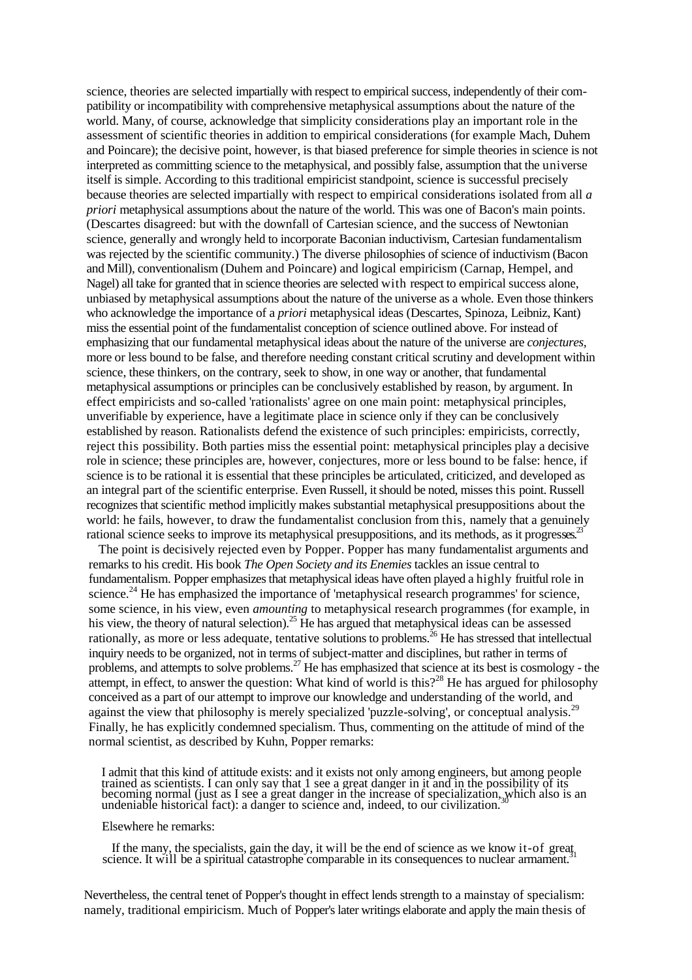science, theories are selected impartially with respect to empirical success, independently of their compatibility or incompatibility with comprehensive metaphysical assumptions about the nature of the world. Many, of course, acknowledge that simplicity considerations play an important role in the assessment of scientific theories in addition to empirical considerations (for example Mach, Duhem and Poincare); the decisive point, however, is that biased preference for simple theories in science is not interpreted as committing science to the metaphysical, and possibly false, assumption that the universe itself is simple. According to this traditional empiricist standpoint, science is successful precisely because theories are selected impartially with respect to empirical considerations isolated from all *a priori* metaphysical assumptions about the nature of the world. This was one of Bacon's main points. (Descartes disagreed: but with the downfall of Cartesian science, and the success of Newtonian science, generally and wrongly held to incorporate Baconian inductivism, Cartesian fundamentalism was rejected by the scientific community.) The diverse philosophies of science of inductivism (Bacon and Mill), conventionalism (Duhem and Poincare) and logical empiricism (Carnap, Hempel, and Nagel) all take for granted that in science theories are selected with respect to empirical success alone, unbiased by metaphysical assumptions about the nature of the universe as a whole. Even those thinkers who acknowledge the importance of a *priori* metaphysical ideas (Descartes, Spinoza, Leibniz, Kant) miss the essential point of the fundamentalist conception of science outlined above. For instead of emphasizing that our fundamental metaphysical ideas about the nature of the universe are *conjectures,* more or less bound to be false, and therefore needing constant critical scrutiny and development within science, these thinkers, on the contrary, seek to show, in one way or another, that fundamental metaphysical assumptions or principles can be conclusively established by reason, by argument. In effect empiricists and so-called 'rationalists' agree on one main point: metaphysical principles, unverifiable by experience, have a legitimate place in science only if they can be conclusively established by reason. Rationalists defend the existence of such principles: empiricists, correctly, reject this possibility. Both parties miss the essential point: metaphysical principles play a decisive role in science; these principles are, however, conjectures, more or less bound to be false: hence, if science is to be rational it is essential that these principles be articulated, criticized, and developed as an integral part of the scientific enterprise. Even Russell, it should be noted, misses this point. Russell recognizes that scientific method implicitly makes substantial metaphysical presuppositions about the world: he fails, however, to draw the fundamentalist conclusion from this, namely that a genuinely rational science seeks to improve its metaphysical presuppositions, and its methods, as it progresses.<sup>23</sup>

The point is decisively rejected even by Popper. Popper has many fundamentalist arguments and remarks to his credit. His book *The Open Society and its Enemies* tackles an issue central to fundamentalism. Popper emphasizes that metaphysical ideas have often played a highly fruitful role in science.<sup>24</sup> He has emphasized the importance of 'metaphysical research programmes' for science, some science, in his view, even *amounting* to metaphysical research programmes (for example, in his view, the theory of natural selection).<sup>25</sup> He has argued that metaphysical ideas can be assessed rationally, as more or less adequate, tentative solutions to problems.<sup>26</sup> He has stressed that intellectual inquiry needs to be organized, not in terms of subject-matter and disciplines, but rather in terms of problems, and attempts to solve problems.<sup>27</sup> He has emphasized that science at its best is cosmology - the attempt, in effect, to answer the question: What kind of world is this?<sup>28</sup> He has argued for philosophy conceived as a part of our attempt to improve our knowledge and understanding of the world, and against the view that philosophy is merely specialized 'puzzle-solving', or conceptual analysis.<sup>29</sup> Finally, he has explicitly condemned specialism. Thus, commenting on the attitude of mind of the normal scientist, as described by Kuhn, Popper remarks:

I admit that this kind of attitude exists: and it exists not only among engineers, but among people trained as scientists. I can only say that 1 see a great danger in it and in the possibility of its becoming normal (just as I see a great danger in the increase of specialization, which also is an undeniable historical fact): a danger to science and, indeed, to our civilization.<sup>30</sup>

#### Elsewhere he remarks:

If the many, the specialists, gain the day, it will be the end of science as we know it-of great. science. It will be a spiritual catastrophe comparable in its consequences to nuclear armament.

Nevertheless, the central tenet of Popper's thought in effect lends strength to a mainstay of specialism: namely, traditional empiricism. Much of Popper's later writings elaborate and apply the main thesis of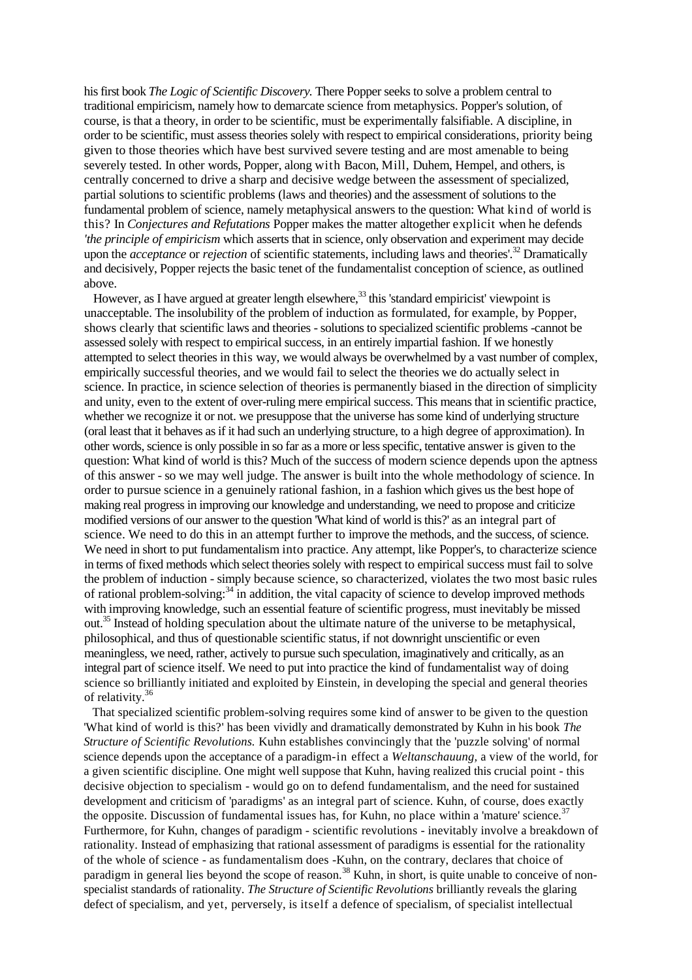his first book *The Logic of Scientific Discovery.* There Popper seeks to solve a problem central to traditional empiricism, namely how to demarcate science from metaphysics. Popper's solution, of course, is that a theory, in order to be scientific, must be experimentally falsifiable. A discipline, in order to be scientific, must assess theories solely with respect to empirical considerations, priority being given to those theories which have best survived severe testing and are most amenable to being severely tested. In other words, Popper, along with Bacon, Mill, Duhem, Hempel, and others, is centrally concerned to drive a sharp and decisive wedge between the assessment of specialized, partial solutions to scientific problems (laws and theories) and the assessment of solutions to the fundamental problem of science, namely metaphysical answers to the question: What kind of world is this? In *Conjectures and Refutations* Popper makes the matter altogether explicit when he defends *'the principle of empiricism* which asserts that in science, only observation and experiment may decide upon the *acceptance* or *rejection* of scientific statements, including laws and theories'.<sup>32</sup> Dramatically and decisively, Popper rejects the basic tenet of the fundamentalist conception of science, as outlined above.

However, as I have argued at greater length elsewhere,  $33$  this 'standard empiricist' viewpoint is unacceptable. The insolubility of the problem of induction as formulated, for example, by Popper, shows clearly that scientific laws and theories -solutions to specialized scientific problems -cannot be assessed solely with respect to empirical success, in an entirely impartial fashion. If we honestly attempted to select theories in this way, we would always be overwhelmed by a vast number of complex, empirically successful theories, and we would fail to select the theories we do actually select in science. In practice, in science selection of theories is permanently biased in the direction of simplicity and unity, even to the extent of over-ruling mere empirical success. This means that in scientific practice, whether we recognize it or not. we presuppose that the universe has some kind of underlying structure (oral least that it behaves as if it had such an underlying structure, to a high degree of approximation). In other words, science is only possible in so far as a more or less specific, tentative answer is given to the question: What kind of world is this? Much of the success of modern science depends upon the aptness of this answer - so we may well judge. The answer is built into the whole methodology of science. In order to pursue science in a genuinely rational fashion, in a fashion which gives us the best hope of making real progress in improving our knowledge and understanding, we need to propose and criticize modified versions of our answer to the question 'What kind of world is this?' as an integral part of science. We need to do this in an attempt further to improve the methods, and the success, of science. We need in short to put fundamentalism into practice. Any attempt, like Popper's, to characterize science in terms of fixed methods which select theories solely with respect to empirical success must fail to solve the problem of induction - simply because science, so characterized, violates the two most basic rules of rational problem-solving: $34 \text{ in addition}$ , the vital capacity of science to develop improved methods with improving knowledge, such an essential feature of scientific progress, must inevitably be missed out.<sup>35</sup> Instead of holding speculation about the ultimate nature of the universe to be metaphysical, philosophical, and thus of questionable scientific status, if not downright unscientific or even meaningless, we need, rather, actively to pursue such speculation, imaginatively and critically, as an integral part of science itself. We need to put into practice the kind of fundamentalist way of doing science so brilliantly initiated and exploited by Einstein, in developing the special and general theories of relativity.<sup>36</sup>

That specialized scientific problem-solving requires some kind of answer to be given to the question 'What kind of world is this?' has been vividly and dramatically demonstrated by Kuhn in his book *The Structure of Scientific Revolutions.* Kuhn establishes convincingly that the 'puzzle solving' of normal science depends upon the acceptance of a paradigm-in effect a *Weltanschauung,* a view of the world, for a given scientific discipline. One might well suppose that Kuhn, having realized this crucial point - this decisive objection to specialism - would go on to defend fundamentalism, and the need for sustained development and criticism of 'paradigms' as an integral part of science. Kuhn, of course, does exactly the opposite. Discussion of fundamental issues has, for Kuhn, no place within a 'mature' science. $3^7$ Furthermore, for Kuhn, changes of paradigm - scientific revolutions - inevitably involve a breakdown of rationality. Instead of emphasizing that rational assessment of paradigms is essential for the rationality of the whole of science - as fundamentalism does -Kuhn, on the contrary, declares that choice of paradigm in general lies beyond the scope of reason.<sup>38</sup> Kuhn, in short, is quite unable to conceive of nonspecialist standards of rationality. *The Structure of Scientific Revolutions* brilliantly reveals the glaring defect of specialism, and yet, perversely, is itself a defence of specialism, of specialist intellectual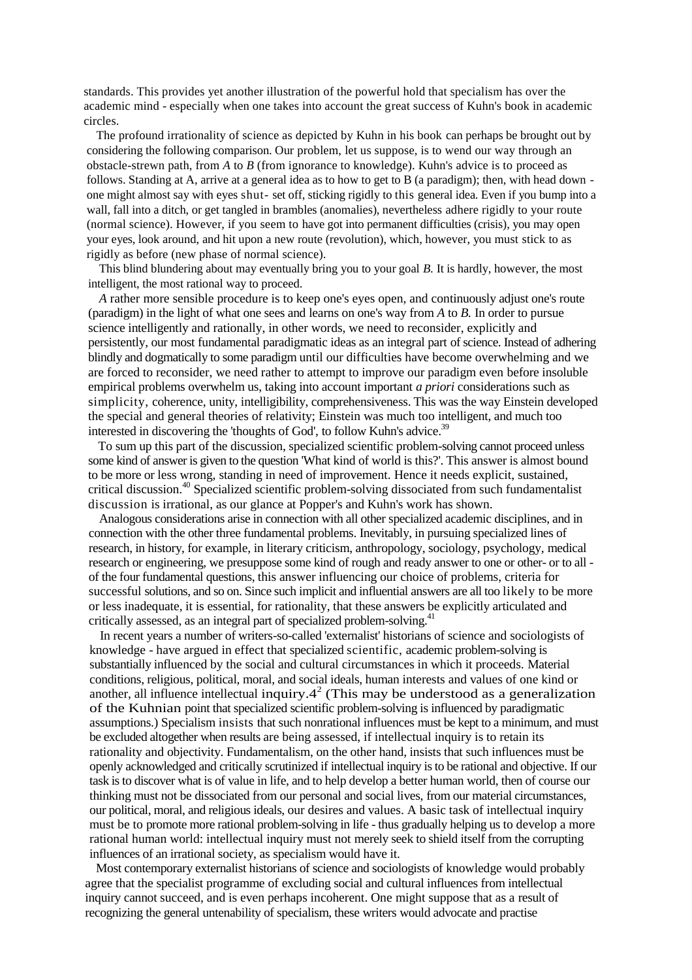standards. This provides yet another illustration of the powerful hold that specialism has over the academic mind - especially when one takes into account the great success of Kuhn's book in academic circles.

The profound irrationality of science as depicted by Kuhn in his book can perhaps be brought out by considering the following comparison. Our problem, let us suppose, is to wend our way through an obstacle-strewn path, from *A* to *B* (from ignorance to knowledge). Kuhn's advice is to proceed as follows. Standing at A, arrive at a general idea as to how to get to B (a paradigm); then, with head down one might almost say with eyes shut- set off, sticking rigidly to this general idea. Even if you bump into a wall, fall into a ditch, or get tangled in brambles (anomalies), nevertheless adhere rigidly to your route (normal science). However, if you seem to have got into permanent difficulties (crisis), you may open your eyes, look around, and hit upon a new route (revolution), which, however, you must stick to as rigidly as before (new phase of normal science).

This blind blundering about may eventually bring you to your goal *B.* It is hardly, however, the most intelligent, the most rational way to proceed.

*A* rather more sensible procedure is to keep one's eyes open, and continuously adjust one's route (paradigm) in the light of what one sees and learns on one's way from *A* to *B.* In order to pursue science intelligently and rationally, in other words, we need to reconsider, explicitly and persistently, our most fundamental paradigmatic ideas as an integral part of science. Instead of adhering blindly and dogmatically to some paradigm until our difficulties have become overwhelming and we are forced to reconsider, we need rather to attempt to improve our paradigm even before insoluble empirical problems overwhelm us, taking into account important *a priori* considerations such as simplicity, coherence, unity, intelligibility, comprehensiveness. This was the way Einstein developed the special and general theories of relativity; Einstein was much too intelligent, and much too interested in discovering the 'thoughts of God', to follow Kuhn's advice.<sup>39</sup>

To sum up this part of the discussion, specialized scientific problem-solving cannot proceed unless some kind of answer is given to the question 'What kind of world is this?'. This answer is almost bound to be more or less wrong, standing in need of improvement. Hence it needs explicit, sustained, critical discussion.<sup>40</sup> Specialized scientific problem-solving dissociated from such fundamentalist discussion is irrational, as our glance at Popper's and Kuhn's work has shown.

Analogous considerations arise in connection with all other specialized academic disciplines, and in connection with the other three fundamental problems. Inevitably, in pursuing specialized lines of research, in history, for example, in literary criticism, anthropology, sociology, psychology, medical research or engineering, we presuppose some kind of rough and ready answer to one or other- or to all of the four fundamental questions, this answer influencing our choice of problems, criteria for successful solutions, and so on. Since such implicit and influential answers are all too likely to be more or less inadequate, it is essential, for rationality, that these answers be explicitly articulated and critically assessed, as an integral part of specialized problem-solving.<sup>41</sup>

In recent years a number of writers-so-called 'externalist' historians of science and sociologists of knowledge - have argued in effect that specialized scientific, academic problem-solving is substantially influenced by the social and cultural circumstances in which it proceeds. Material conditions, religious, political, moral, and social ideals, human interests and values of one kind or another, all influence intellectual inquiry. $4^2$  (This may be understood as a generalization of the Kuhnian point that specialized scientific problem-solving is influenced by paradigmatic assumptions.) Specialism insists that such nonrational influences must be kept to a minimum, and must be excluded altogether when results are being assessed, if intellectual inquiry is to retain its rationality and objectivity. Fundamentalism, on the other hand, insists that such influences must be openly acknowledged and critically scrutinized if intellectual inquiry is to be rational and objective. If our task is to discover what is of value in life, and to help develop a better human world, then of course our thinking must not be dissociated from our personal and social lives, from our material circumstances, our political, moral, and religious ideals, our desires and values. A basic task of intellectual inquiry must be to promote more rational problem-solving in life - thus gradually helping us to develop a more rational human world: intellectual inquiry must not merely seek to shield itself from the corrupting influences of an irrational society, as specialism would have it.

Most contemporary externalist historians of science and sociologists of knowledge would probably agree that the specialist programme of excluding social and cultural influences from intellectual inquiry cannot succeed, and is even perhaps incoherent. One might suppose that as a result of recognizing the general untenability of specialism, these writers would advocate and practise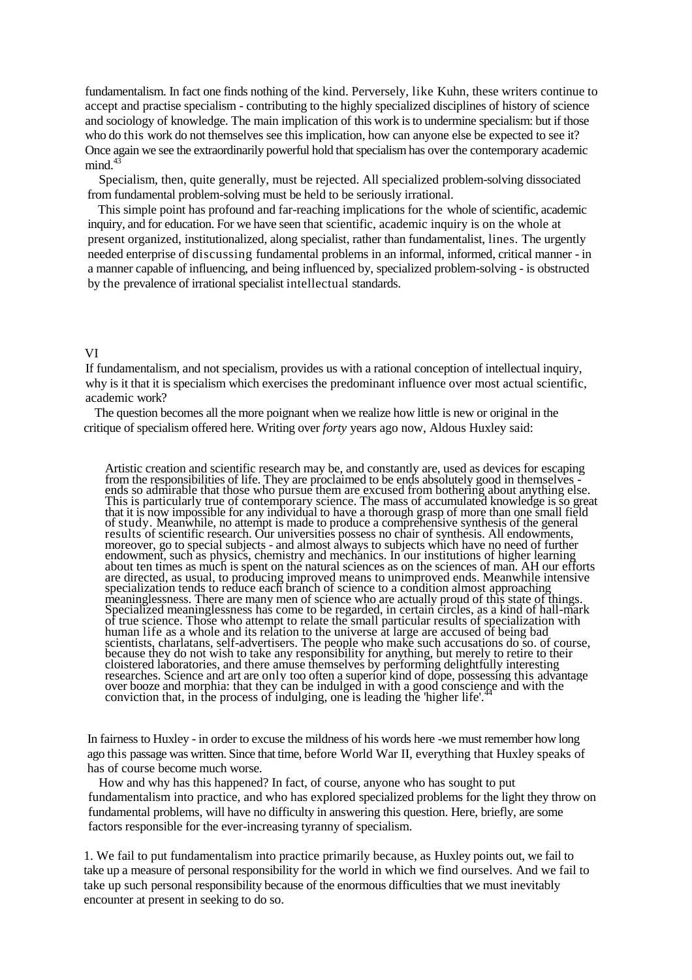fundamentalism. In fact one finds nothing of the kind. Perversely, like Kuhn, these writers continue to accept and practise specialism - contributing to the highly specialized disciplines of history of science and sociology of knowledge. The main implication of this work is to undermine specialism: but if those who do this work do not themselves see this implication, how can anyone else be expected to see it? Once again we see the extraordinarily powerful hold that specialism has over the contemporary academic  $mind.<sup>4</sup>$ 

Specialism, then, quite generally, must be rejected. All specialized problem-solving dissociated from fundamental problem-solving must be held to be seriously irrational.

This simple point has profound and far-reaching implications for the whole of scientific, academic inquiry, and for education. For we have seen that scientific, academic inquiry is on the whole at present organized, institutionalized, along specialist, rather than fundamentalist, lines. The urgently needed enterprise of discussing fundamental problems in an informal, informed, critical manner - in a manner capable of influencing, and being influenced by, specialized problem-solving - is obstructed by the prevalence of irrational specialist intellectual standards.

#### VI

If fundamentalism, and not specialism, provides us with a rational conception of intellectual inquiry, why is it that it is specialism which exercises the predominant influence over most actual scientific, academic work?

The question becomes all the more poignant when we realize how little is new or original in the critique of specialism offered here. Writing over *forty* years ago now, Aldous Huxley said:

Artistic creation and scientific research may be, and constantly are, used as devices for escaping from the responsibilities of life. They are proclaimed to be ends absolutely good in themselves ends so admirable that those who pursue them are excused from bothering about anything else. This is particularly true of contemporary science. The mass of accumulated knowledge is so great that it is now impossible for any individual to have a thorough grasp of more than one small field of study. Meanwhile, no attempt is made to produce a comprehensive synthesis of the general results of scientific research. Our universities possess no chair of synthesis. All endowments, moreover, go to special subjects - and almost always to subjects which have no need of further endowment, such as physics, chemistry and mechanics. In our institutions of higher learning about ten times as much is spent on the natural sciences as on the sciences of man. AH our efforts are directed, as usual, to producing improved means to unimproved ends. Meanwhile intensive specialization tends to reduce each branch of science to a condition almost approaching meaninglessness. There are many men of science who are actually proud of this state of things. Specialized meaninglessness has come to be regarded, in certain circles, as a kind of hall-mark of true science. Those who attempt to relate the small particular results of specialization with human life as a whole and its relation to the universe at large are accused of being bad scientists, charlatans, self-advertisers. The people who make such accusations do so. of course, because they do not wish to take any responsibility for anything, but merely to retire to their cloistered laboratories, and there amuse themselves by performing delightfully interesting researches. Science and art are only too often a superior kind of dope, possessing this advantage over booze and morphia: that they can be indulged in with a good conscience and with the conviction that, in the process of indulging, one is leading the 'higher life'.

In fairness to Huxley - in order to excuse the mildness of his words here -we must remember how long ago this passage was written. Since that time, before World War II, everything that Huxley speaks of has of course become much worse.

How and why has this happened? In fact, of course, anyone who has sought to put fundamentalism into practice, and who has explored specialized problems for the light they throw on fundamental problems, will have no difficulty in answering this question. Here, briefly, are some factors responsible for the ever-increasing tyranny of specialism.

1. We fail to put fundamentalism into practice primarily because, as Huxley points out, we fail to take up a measure of personal responsibility for the world in which we find ourselves. And we fail to take up such personal responsibility because of the enormous difficulties that we must inevitably encounter at present in seeking to do so.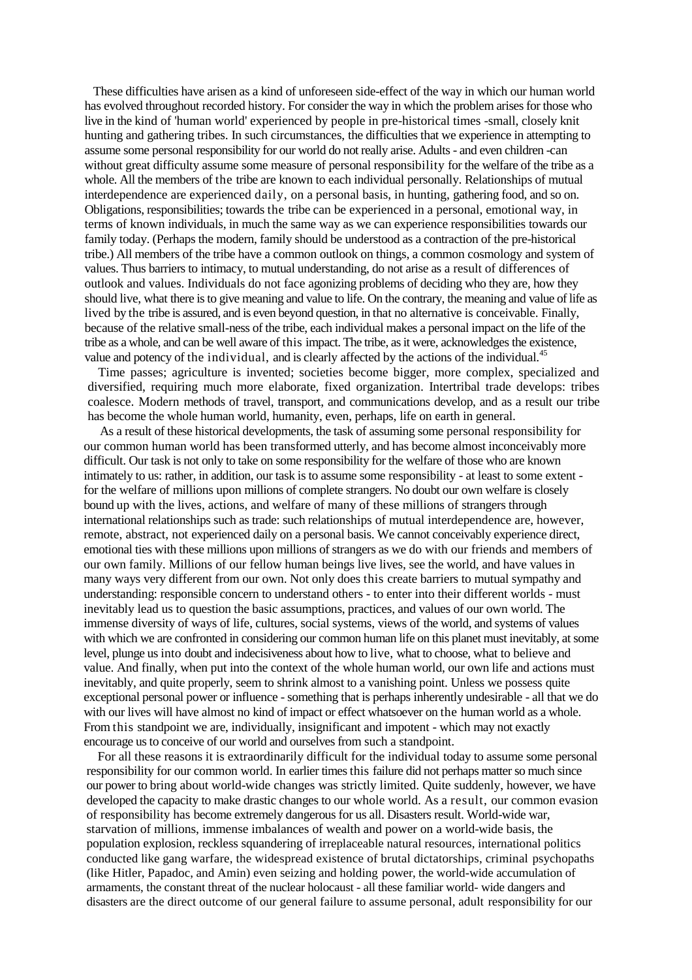These difficulties have arisen as a kind of unforeseen side-effect of the way in which our human world has evolved throughout recorded history. For consider the way in which the problem arises for those who live in the kind of 'human world' experienced by people in pre-historical times -small, closely knit hunting and gathering tribes. In such circumstances, the difficulties that we experience in attempting to assume some personal responsibility for our world do not really arise. Adults - and even children -can without great difficulty assume some measure of personal responsibility for the welfare of the tribe as a whole. All the members of the tribe are known to each individual personally. Relationships of mutual interdependence are experienced daily, on a personal basis, in hunting, gathering food, and so on. Obligations, responsibilities; towards the tribe can be experienced in a personal, emotional way, in terms of known individuals, in much the same way as we can experience responsibilities towards our family today. (Perhaps the modern, family should be understood as a contraction of the pre-historical tribe.) All members of the tribe have a common outlook on things, a common cosmology and system of values. Thus barriers to intimacy, to mutual understanding, do not arise as a result of differences of outlook and values. Individuals do not face agonizing problems of deciding who they are, how they should live, what there is to give meaning and value to life. On the contrary, the meaning and value of life as lived by the tribe is assured, and is even beyond question, in that no alternative is conceivable. Finally, because of the relative small-ness of the tribe, each individual makes a personal impact on the life of the tribe as a whole, and can be well aware of this impact. The tribe, as it were, acknowledges the existence, value and potency of the individual, and is clearly affected by the actions of the individual.<sup>45</sup>

Time passes; agriculture is invented; societies become bigger, more complex, specialized and diversified, requiring much more elaborate, fixed organization. Intertribal trade develops: tribes coalesce. Modern methods of travel, transport, and communications develop, and as a result our tribe has become the whole human world, humanity, even, perhaps, life on earth in general.

As a result of these historical developments, the task of assuming some personal responsibility for our common human world has been transformed utterly, and has become almost inconceivably more difficult. Our task is not only to take on some responsibility for the welfare of those who are known intimately to us: rather, in addition, our task is to assume some responsibility - at least to some extent for the welfare of millions upon millions of complete strangers. No doubt our own welfare is closely bound up with the lives, actions, and welfare of many of these millions of strangers through international relationships such as trade: such relationships of mutual interdependence are, however, remote, abstract, not experienced daily on a personal basis. We cannot conceivably experience direct, emotional ties with these millions upon millions of strangers as we do with our friends and members of our own family. Millions of our fellow human beings live lives, see the world, and have values in many ways very different from our own. Not only does this create barriers to mutual sympathy and understanding: responsible concern to understand others - to enter into their different worlds - must inevitably lead us to question the basic assumptions, practices, and values of our own world. The immense diversity of ways of life, cultures, social systems, views of the world, and systems of values with which we are confronted in considering our common human life on this planet must inevitably, at some level, plunge usinto doubt and indecisiveness about how to live, what to choose, what to believe and value. And finally, when put into the context of the whole human world, our own life and actions must inevitably, and quite properly, seem to shrink almost to a vanishing point. Unless we possess quite exceptional personal power or influence - something that is perhaps inherently undesirable - all that we do with our lives will have almost no kind of impact or effect whatsoever on the human world as a whole. From this standpoint we are, individually, insignificant and impotent - which may not exactly encourage us to conceive of our world and ourselves from such a standpoint.

For all these reasons it is extraordinarily difficult for the individual today to assume some personal responsibility for our common world. In earlier times this failure did not perhaps matter so much since our power to bring about world-wide changes was strictly limited. Quite suddenly, however, we have developed the capacity to make drastic changes to our whole world. As a result, our common evasion of responsibility has become extremely dangerous for us all. Disasters result. World-wide war, starvation of millions, immense imbalances of wealth and power on a world-wide basis, the population explosion, reckless squandering of irreplaceable natural resources, international politics conducted like gang warfare, the widespread existence of brutal dictatorships, criminal psychopaths (like Hitler, Papadoc, and Amin) even seizing and holding power, the world-wide accumulation of armaments, the constant threat of the nuclear holocaust - all these familiar world- wide dangers and disasters are the direct outcome of our general failure to assume personal, adult responsibility for our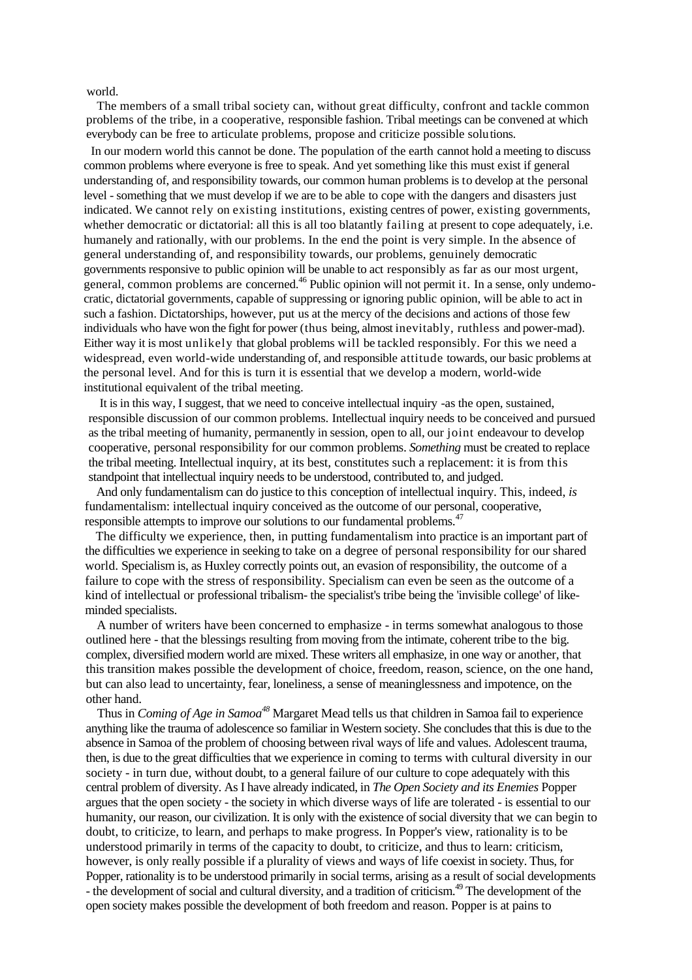world.

The members of a small tribal society can, without great difficulty, confront and tackle common problems of the tribe, in a cooperative, responsible fashion. Tribal meetings can be convened at which everybody can be free to articulate problems, propose and criticize possible solutions.

In our modern world this cannot be done. The population of the earth cannot hold a meeting to discuss common problems where everyone is free to speak. And yet something like this must exist if general understanding of, and responsibility towards, our common human problems is to develop at the personal level - something that we must develop if we are to be able to cope with the dangers and disasters just indicated. We cannot rely on existing institutions, existing centres of power, existing governments, whether democratic or dictatorial: all this is all too blatantly failing at present to cope adequately, i.e. humanely and rationally, with our problems. In the end the point is very simple. In the absence of general understanding of, and responsibility towards, our problems, genuinely democratic governments responsive to public opinion will be unable to act responsibly as far as our most urgent, general, common problems are concerned.<sup>46</sup> Public opinion will not permit it. In a sense, only undemocratic, dictatorial governments, capable of suppressing or ignoring public opinion, will be able to act in such a fashion. Dictatorships, however, put us at the mercy of the decisions and actions of those few individuals who have won the fight for power (thus being, almost inevitably, ruthless and power-mad). Either way it is most unlikely that global problems will be tackled responsibly. For this we need a widespread, even world-wide understanding of, and responsible attitude towards, our basic problems at the personal level. And for this is turn it is essential that we develop a modern, world-wide institutional equivalent of the tribal meeting.

It is in this way, I suggest, that we need to conceive intellectual inquiry -as the open, sustained, responsible discussion of our common problems. Intellectual inquiry needs to be conceived and pursued as the tribal meeting of humanity, permanently in session, open to all, our joint endeavour to develop cooperative, personal responsibility for our common problems. *Something* must be created to replace the tribal meeting. Intellectual inquiry, at its best, constitutes such a replacement: it is from this standpoint that intellectual inquiry needs to be understood, contributed to, and judged.

And only fundamentalism can do justice to this conception of intellectual inquiry. This, indeed, *is* fundamentalism: intellectual inquiry conceived as the outcome of our personal, cooperative, responsible attempts to improve our solutions to our fundamental problems.<sup>47</sup>

The difficulty we experience, then, in putting fundamentalism into practice is an important part of the difficulties we experience in seeking to take on a degree of personal responsibility for our shared world. Specialism is, as Huxley correctly points out, an evasion of responsibility, the outcome of a failure to cope with the stress of responsibility. Specialism can even be seen as the outcome of a kind of intellectual or professional tribalism- the specialist's tribe being the 'invisible college' of likeminded specialists.

A number of writers have been concerned to emphasize - in terms somewhat analogous to those outlined here - that the blessings resulting from moving from the intimate, coherent tribe to the big. complex, diversified modern world are mixed. These writers all emphasize, in one way or another, that this transition makes possible the development of choice, freedom, reason, science, on the one hand, but can also lead to uncertainty, fear, loneliness, a sense of meaninglessness and impotence, on the other hand.

Thus in *Coming of Age in Samoa<sup>48</sup>* Margaret Mead tells us that children in Samoa fail to experience anything like the trauma of adolescence so familiar in Western society. She concludes that this is due to the absence in Samoa of the problem of choosing between rival ways of life and values. Adolescent trauma, then, is due to the great difficulties that we experience in coming to terms with cultural diversity in our society - in turn due, without doubt, to a general failure of our culture to cope adequately with this central problem of diversity. As I have already indicated, in *The Open Society and its Enemies* Popper argues that the open society - the society in which diverse ways of life are tolerated - is essential to our humanity, our reason, our civilization. It is only with the existence of social diversity that we can begin to doubt, to criticize, to learn, and perhaps to make progress. In Popper's view, rationality is to be understood primarily in terms of the capacity to doubt, to criticize, and thus to learn: criticism, however, is only really possible if a plurality of views and ways of life coexist in society. Thus, for Popper, rationality is to be understood primarily in social terms, arising as a result of social developments - the development of social and cultural diversity, and a tradition of criticism.<sup>49</sup> The development of the open society makes possible the development of both freedom and reason. Popper is at pains to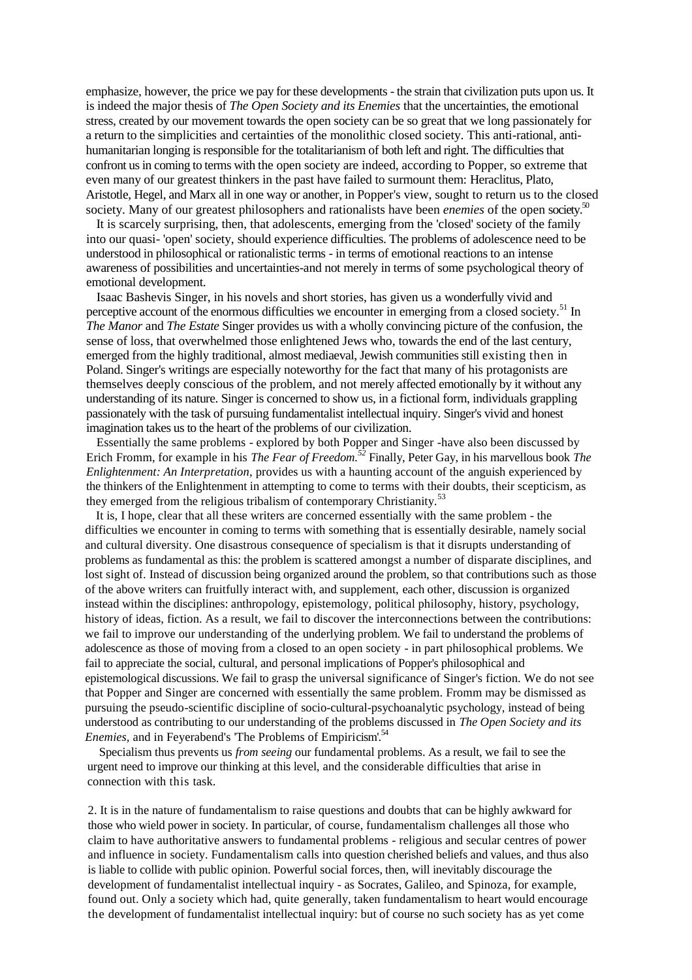emphasize, however, the price we pay for these developments - the strain that civilization puts upon us. It is indeed the major thesis of *The Open Society and its Enemies* that the uncertainties, the emotional stress, created by our movement towards the open society can be so great that we long passionately for a return to the simplicities and certainties of the monolithic closed society. This anti-rational, antihumanitarian longing is responsible for the totalitarianism of both left and right. The difficulties that confront us in coming to terms with the open society are indeed, according to Popper, so extreme that even many of our greatest thinkers in the past have failed to surmount them: Heraclitus, Plato, Aristotle, Hegel, and Marx all in one way or another, in Popper's view, sought to return us to the closed society. Many of our greatest philosophers and rationalists have been *enemies* of the open society.<sup>50</sup>

It is scarcely surprising, then, that adolescents, emerging from the 'closed' society of the family into our quasi- 'open' society, should experience difficulties. The problems of adolescence need to be understood in philosophical or rationalistic terms - in terms of emotional reactions to an intense awareness of possibilities and uncertainties-and not merely in terms of some psychological theory of emotional development.

Isaac Bashevis Singer, in his novels and short stories, has given us a wonderfully vivid and perceptive account of the enormous difficulties we encounter in emerging from a closed society.<sup>51</sup> In *The Manor* and *The Estate* Singer provides us with a wholly convincing picture of the confusion, the sense of loss, that overwhelmed those enlightened Jews who, towards the end of the last century, emerged from the highly traditional, almost mediaeval, Jewish communities still existing then in Poland. Singer's writings are especially noteworthy for the fact that many of his protagonists are themselves deeply conscious of the problem, and not merely affected emotionally by it without any understanding of its nature. Singer is concerned to show us, in a fictional form, individuals grappling passionately with the task of pursuing fundamentalist intellectual inquiry. Singer's vivid and honest imagination takes us to the heart of the problems of our civilization.

Essentially the same problems - explored by both Popper and Singer -have also been discussed by Erich Fromm, for example in his *The Fear of Freedom.<sup>52</sup>* Finally, Peter Gay, in his marvellous book *The Enlightenment: An Interpretation,* provides us with a haunting account of the anguish experienced by the thinkers of the Enlightenment in attempting to come to terms with their doubts, their scepticism, as they emerged from the religious tribalism of contemporary Christianity.<sup>53</sup>

It is, I hope, clear that all these writers are concerned essentially with the same problem - the difficulties we encounter in coming to terms with something that is essentially desirable, namely social and cultural diversity. One disastrous consequence of specialism is that it disrupts understanding of problems as fundamental as this: the problem is scattered amongst a number of disparate disciplines, and lost sight of. Instead of discussion being organized around the problem, so that contributions such as those of the above writers can fruitfully interact with, and supplement, each other, discussion is organized instead within the disciplines: anthropology, epistemology, political philosophy, history, psychology, history of ideas, fiction. As a result, we fail to discover the interconnections between the contributions: we fail to improve our understanding of the underlying problem. We fail to understand the problems of adolescence as those of moving from a closed to an open society - in part philosophical problems. We fail to appreciate the social, cultural, and personal implications of Popper's philosophical and epistemological discussions. We fail to grasp the universal significance of Singer's fiction. We do not see that Popper and Singer are concerned with essentially the same problem. Fromm may be dismissed as pursuing the pseudo-scientific discipline of socio-cultural-psychoanalytic psychology, instead of being understood as contributing to our understanding of the problems discussed in *The Open Society and its Enemies,* and in Feyerabend's 'The Problems of Empiricism'.<sup>54</sup>

Specialism thus prevents us *from seeing* our fundamental problems. As a result, we fail to see the urgent need to improve our thinking at this level, and the considerable difficulties that arise in connection with this task.

2. It is in the nature of fundamentalism to raise questions and doubts that can be highly awkward for those who wield power in society. In particular, of course, fundamentalism challenges all those who claim to have authoritative answers to fundamental problems - religious and secular centres of power and influence in society. Fundamentalism calls into question cherished beliefs and values, and thus also is liable to collide with public opinion. Powerful social forces, then, will inevitably discourage the development of fundamentalist intellectual inquiry - as Socrates, Galileo, and Spinoza, for example, found out. Only a society which had, quite generally, taken fundamentalism to heart would encourage the development of fundamentalist intellectual inquiry: but of course no such society has as yet come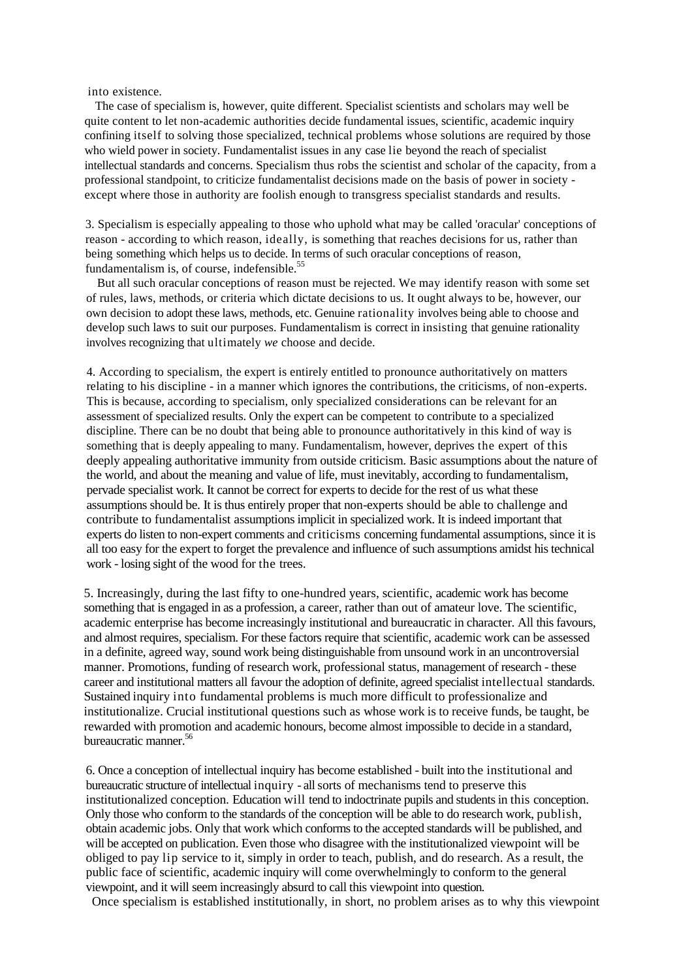into existence.

The case of specialism is, however, quite different. Specialist scientists and scholars may well be quite content to let non-academic authorities decide fundamental issues, scientific, academic inquiry confining itself to solving those specialized, technical problems whose solutions are required by those who wield power in society. Fundamentalist issues in any case lie beyond the reach of specialist intellectual standards and concerns. Specialism thus robs the scientist and scholar of the capacity, from a professional standpoint, to criticize fundamentalist decisions made on the basis of power in society except where those in authority are foolish enough to transgress specialist standards and results.

3. Specialism is especially appealing to those who uphold what may be called 'oracular' conceptions of reason - according to which reason, ideally, is something that reaches decisions for us, rather than being something which helps us to decide. In terms of such oracular conceptions of reason, fundamentalism is, of course, indefensible.<sup>55</sup>

But all such oracular conceptions of reason must be rejected. We may identify reason with some set of rules, laws, methods, or criteria which dictate decisions to us. It ought always to be, however, our own decision to adopt these laws, methods, etc. Genuine rationality involves being able to choose and develop such laws to suit our purposes. Fundamentalism is correct in insisting that genuine rationality involves recognizing that ultimately *we* choose and decide.

4. According to specialism, the expert is entirely entitled to pronounce authoritatively on matters relating to his discipline - in a manner which ignores the contributions, the criticisms, of non-experts. This is because, according to specialism, only specialized considerations can be relevant for an assessment of specialized results. Only the expert can be competent to contribute to a specialized discipline. There can be no doubt that being able to pronounce authoritatively in this kind of way is something that is deeply appealing to many. Fundamentalism, however, deprives the expert of this deeply appealing authoritative immunity from outside criticism. Basic assumptions about the nature of the world, and about the meaning and value of life, must inevitably, according to fundamentalism, pervade specialist work. It cannot be correct for experts to decide for the rest of us what these assumptions should be. It is thus entirely proper that non-experts should be able to challenge and contribute to fundamentalist assumptions implicit in specialized work. It is indeed important that experts do listen to non-expert comments and criticisms concerning fundamental assumptions, since it is all too easy for the expert to forget the prevalence and influence of such assumptions amidst his technical work - losing sight of the wood for the trees.

5. Increasingly, during the last fifty to one-hundred years, scientific, academic work has become something that is engaged in as a profession, a career, rather than out of amateur love. The scientific, academic enterprise has become increasingly institutional and bureaucratic in character. All this favours, and almost requires, specialism. For these factors require that scientific, academic work can be assessed in a definite, agreed way, sound work being distinguishable from unsound work in an uncontroversial manner. Promotions, funding of research work, professional status, management of research - these career and institutional matters all favour the adoption of definite, agreed specialist intellectual standards. Sustained inquiry into fundamental problems is much more difficult to professionalize and institutionalize. Crucial institutional questions such as whose work is to receive funds, be taught, be rewarded with promotion and academic honours, become almost impossible to decide in a standard, bureaucratic manner.<sup>56</sup>

6. Once a conception of intellectual inquiry has become established - built into the institutional and bureaucratic structure of intellectual inquiry - allsorts of mechanisms tend to preserve this institutionalized conception. Education will tend to indoctrinate pupils and students in this conception. Only those who conform to the standards of the conception will be able to do research work, publish, obtain academic jobs. Only that work which conforms to the accepted standards will be published, and will be accepted on publication. Even those who disagree with the institutionalized viewpoint will be obliged to pay lip service to it, simply in order to teach, publish, and do research. As a result, the public face of scientific, academic inquiry will come overwhelmingly to conform to the general viewpoint, and it will seem increasingly absurd to call this viewpoint into question.

Once specialism is established institutionally, in short, no problem arises as to why this viewpoint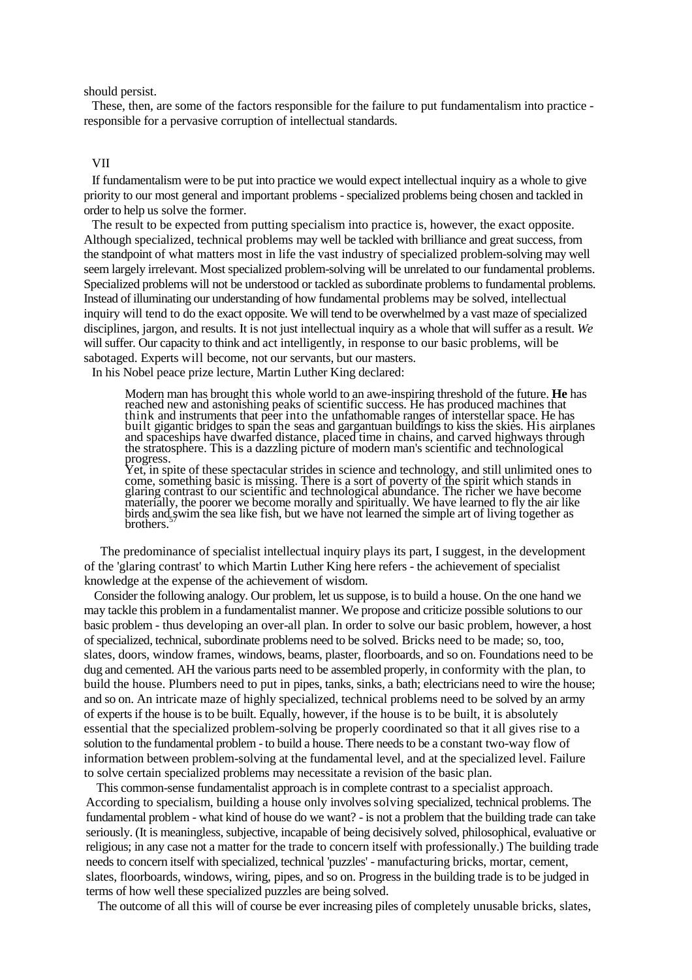should persist.

These, then, are some of the factors responsible for the failure to put fundamentalism into practice responsible for a pervasive corruption of intellectual standards.

#### VII

If fundamentalism were to be put into practice we would expect intellectual inquiry as a whole to give priority to our most general and important problems -specialized problems being chosen and tackled in order to help us solve the former.

The result to be expected from putting specialism into practice is, however, the exact opposite. Although specialized, technical problems may well be tackled with brilliance and great success, from the standpoint of what matters most in life the vast industry of specialized problem-solving may well seem largely irrelevant. Most specialized problem-solving will be unrelated to our fundamental problems. Specialized problems will not be understood or tackled as subordinate problems to fundamental problems. Instead of illuminating our understanding of how fundamental problems may be solved, intellectual inquiry will tend to do the exact opposite. We will tend to be overwhelmed by a vast maze of specialized disciplines, jargon, and results. It is not just intellectual inquiry as a whole that will suffer as a result. *We* will suffer. Our capacity to think and act intelligently, in response to our basic problems, will be sabotaged. Experts will become, not our servants, but our masters.

In his Nobel peace prize lecture, Martin Luther King declared:

Modern man has brought this whole world to an awe-inspiring threshold of the future. **He** has reached new and astonishing peaks of scientific success. He has produced machines that think and instruments that peer into the unfathomable ranges of interstellar space. He has built gigantic bridges to span the seas and gargantuan buildings to kiss the skies. His airplanes and spaceships have dwarfed distance, placed time in chains, and carved highways through the stratosphere. This is a dazzling picture of modern man's scientific and technological progress.

Yet, in spite of these spectacular strides in science and technology, and still unlimited ones to come, something basic is missing. There is a sort of poverty of the spirit which stands in glaring contrast to our scientific and technological abundance. The richer we have become materially, the poorer we become morally and spiritually. We have learned to fly the air like birds and swim the sea like fish, but we have not learned the simple art of living together as brothers.

The predominance of specialist intellectual inquiry plays its part, I suggest, in the development of the 'glaring contrast' to which Martin Luther King here refers - the achievement of specialist knowledge at the expense of the achievement of wisdom.

Consider the following analogy. Our problem, let us suppose, is to build a house. On the one hand we may tackle this problem in a fundamentalist manner. We propose and criticize possible solutions to our basic problem - thus developing an over-all plan. In order to solve our basic problem, however, a host of specialized, technical, subordinate problems need to be solved. Bricks need to be made; so, too, slates, doors, window frames, windows, beams, plaster, floorboards, and so on. Foundations need to be dug and cemented. AH the various parts need to be assembled properly, in conformity with the plan, to build the house. Plumbers need to put in pipes, tanks, sinks, a bath; electricians need to wire the house; and so on. An intricate maze of highly specialized, technical problems need to be solved by an army of experts if the house is to be built. Equally, however, if the house is to be built, it is absolutely essential that the specialized problem-solving be properly coordinated so that it all gives rise to a solution to the fundamental problem - to build a house. There needs to be a constant two-way flow of information between problem-solving at the fundamental level, and at the specialized level. Failure to solve certain specialized problems may necessitate a revision of the basic plan.

This common-sense fundamentalist approach is in complete contrast to a specialist approach. According to specialism, building a house only involves solving specialized, technical problems. The fundamental problem - what kind of house do we want? - is not a problem that the building trade can take seriously. (It is meaningless, subjective, incapable of being decisively solved, philosophical, evaluative or religious; in any case not a matter for the trade to concern itself with professionally.) The building trade needs to concern itself with specialized, technical 'puzzles' - manufacturing bricks, mortar, cement, slates, floorboards, windows, wiring, pipes, and so on. Progress in the building trade is to be judged in terms of how well these specialized puzzles are being solved.

The outcome of all this will of course be ever increasing piles of completely unusable bricks, slates,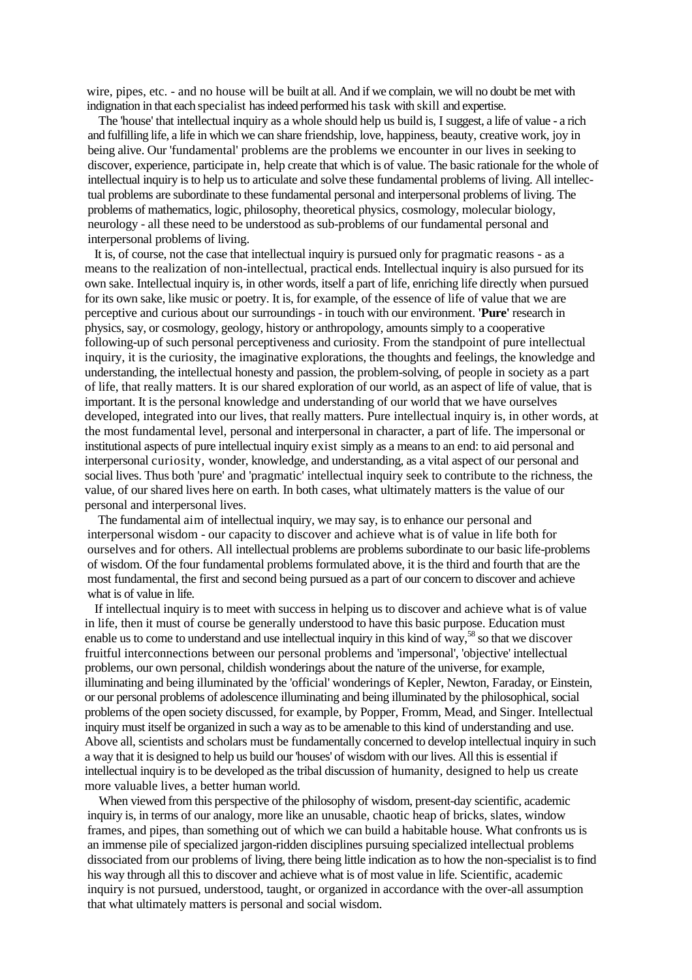wire, pipes, etc. - and no house will be built at all. And if we complain, we will no doubt be met with indignation in that each specialist has indeed performed his task with skill and expertise.

The 'house' that intellectual inquiry as a whole should help us build is, I suggest, a life of value - a rich and fulfilling life, a life in which we can share friendship, love, happiness, beauty, creative work, joy in being alive. Our 'fundamental' problems are the problems we encounter in our lives in seeking to discover, experience, participate in, help create that which is of value. The basic rationale for the whole of intellectual inquiry is to help us to articulate and solve these fundamental problems of living. All intellectual problems are subordinate to these fundamental personal and interpersonal problems of living. The problems of mathematics, logic, philosophy, theoretical physics, cosmology, molecular biology, neurology - all these need to be understood as sub-problems of our fundamental personal and interpersonal problems of living.

It is, of course, not the case that intellectual inquiry is pursued only for pragmatic reasons - as a means to the realization of non-intellectual, practical ends. Intellectual inquiry is also pursued for its own sake. Intellectual inquiry is, in other words, itself a part of life, enriching life directly when pursued for its own sake, like music or poetry. It is, for example, of the essence of life of value that we are perceptive and curious about our surroundings - in touch with our environment. **'Pure'** research in physics, say, or cosmology, geology, history or anthropology, amounts simply to a cooperative following-up of such personal perceptiveness and curiosity. From the standpoint of pure intellectual inquiry, it is the curiosity, the imaginative explorations, the thoughts and feelings, the knowledge and understanding, the intellectual honesty and passion, the problem-solving, of people in society as a part of life, that really matters. It is our shared exploration of our world, as an aspect of life of value, that is important. It is the personal knowledge and understanding of our world that we have ourselves developed, integrated into our lives, that really matters. Pure intellectual inquiry is, in other words, at the most fundamental level, personal and interpersonal in character, a part of life. The impersonal or institutional aspects of pure intellectual inquiry exist simply as a means to an end: to aid personal and interpersonal curiosity, wonder, knowledge, and understanding, as a vital aspect of our personal and social lives. Thus both 'pure' and 'pragmatic' intellectual inquiry seek to contribute to the richness, the value, of our shared lives here on earth. In both cases, what ultimately matters is the value of our personal and interpersonal lives.

The fundamental aim of intellectual inquiry, we may say, is to enhance our personal and interpersonal wisdom - our capacity to discover and achieve what is of value in life both for ourselves and for others. All intellectual problems are problems subordinate to our basic life-problems of wisdom. Of the four fundamental problems formulated above, it is the third and fourth that are the most fundamental, the first and second being pursued as a part of our concern to discover and achieve what is of value in life.

If intellectual inquiry is to meet with success in helping us to discover and achieve what is of value in life, then it must of course be generally understood to have this basic purpose. Education must enable us to come to understand and use intellectual inquiry in this kind of way,<sup>58</sup> so that we discover fruitful interconnections between our personal problems and 'impersonal', 'objective' intellectual problems, our own personal, childish wonderings about the nature of the universe, for example, illuminating and being illuminated by the 'official' wonderings of Kepler, Newton, Faraday, or Einstein, or our personal problems of adolescence illuminating and being illuminated by the philosophical, social problems of the open society discussed, for example, by Popper, Fromm, Mead, and Singer. Intellectual inquiry must itself be organized in such a way as to be amenable to this kind of understanding and use. Above all, scientists and scholars must be fundamentally concerned to develop intellectual inquiry in such a way that it is designed to help us build our 'houses' of wisdom with our lives. All this is essential if intellectual inquiry is to be developed as the tribal discussion of humanity, designed to help us create more valuable lives, a better human world.

When viewed from this perspective of the philosophy of wisdom, present-day scientific, academic inquiry is, in terms of our analogy, more like an unusable, chaotic heap of bricks, slates, window frames, and pipes, than something out of which we can build a habitable house. What confronts us is an immense pile of specialized jargon-ridden disciplines pursuing specialized intellectual problems dissociated from our problems of living, there being little indication as to how the non-specialist is to find his way through all this to discover and achieve what is of most value in life. Scientific, academic inquiry is not pursued, understood, taught, or organized in accordance with the over-all assumption that what ultimately matters is personal and social wisdom.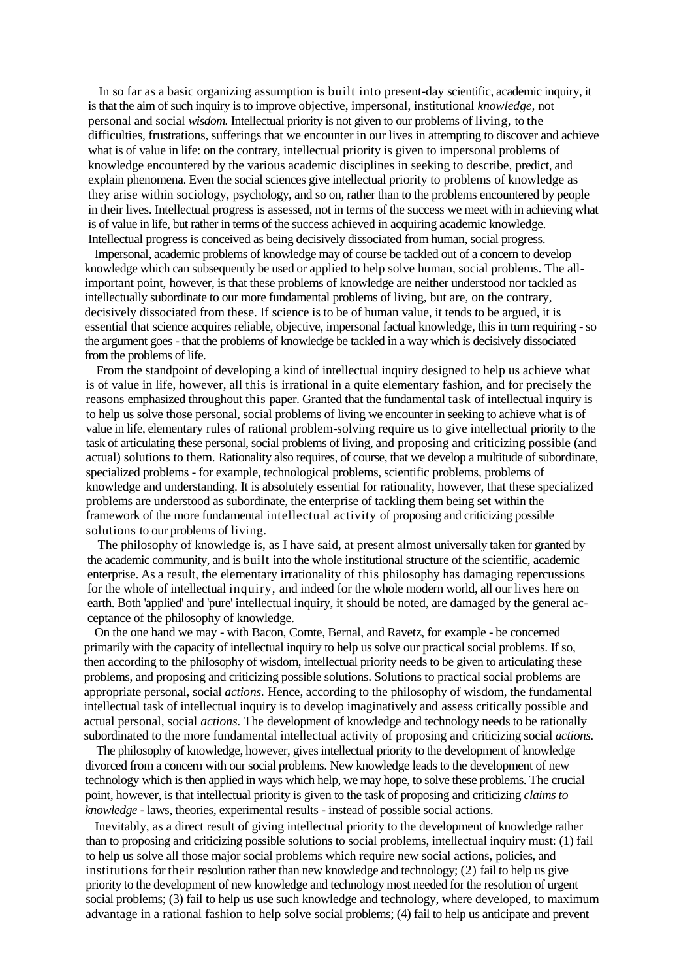In so far as a basic organizing assumption is built into present-day scientific, academic inquiry, it is that the aim of such inquiry is to improve objective, impersonal, institutional *knowledge,* not personal and social *wisdom.* Intellectual priority is not given to our problems of living, to the difficulties, frustrations, sufferings that we encounter in our lives in attempting to discover and achieve what is of value in life: on the contrary, intellectual priority is given to impersonal problems of knowledge encountered by the various academic disciplines in seeking to describe, predict, and explain phenomena. Even the social sciences give intellectual priority to problems of knowledge as they arise within sociology, psychology, and so on, rather than to the problems encountered by people in their lives. Intellectual progress is assessed, not in terms of the success we meet with in achieving what is of value in life, but rather in terms of the success achieved in acquiring academic knowledge. Intellectual progress is conceived as being decisively dissociated from human, social progress.

Impersonal, academic problems of knowledge may of course be tackled out of a concern to develop knowledge which can subsequently be used or applied to help solve human, social problems. The allimportant point, however, is that these problems of knowledge are neither understood nor tackled as intellectually subordinate to our more fundamental problems of living, but are, on the contrary, decisively dissociated from these. If science is to be of human value, it tends to be argued, it is essential that science acquires reliable, objective, impersonal factual knowledge, this in turn requiring - so the argument goes - that the problems of knowledge be tackled in a way which is decisively dissociated from the problems of life.

From the standpoint of developing a kind of intellectual inquiry designed to help us achieve what is of value in life, however, all this is irrational in a quite elementary fashion, and for precisely the reasons emphasized throughout this paper. Granted that the fundamental task of intellectual inquiry is to help us solve those personal, social problems of living we encounter in seeking to achieve what is of value in life, elementary rules of rational problem-solving require us to give intellectual priority to the task of articulating these personal, social problems of living, and proposing and criticizing possible (and actual) solutions to them. Rationality also requires, of course, that we develop a multitude of subordinate, specialized problems - for example, technological problems, scientific problems, problems of knowledge and understanding. It is absolutely essential for rationality, however, that these specialized problems are understood as subordinate, the enterprise of tackling them being set within the framework of the more fundamental intellectual activity of proposing and criticizing possible solutions to our problems of living.

The philosophy of knowledge is, as I have said, at present almost universally taken for granted by the academic community, and is built into the whole institutional structure of the scientific, academic enterprise. As a result, the elementary irrationality of this philosophy has damaging repercussions for the whole of intellectual inquiry, and indeed for the whole modern world, all our lives here on earth. Both 'applied' and 'pure' intellectual inquiry, it should be noted, are damaged by the general acceptance of the philosophy of knowledge.

On the one hand we may - with Bacon, Comte, Bernal, and Ravetz, for example - be concerned primarily with the capacity of intellectual inquiry to help us solve our practical social problems. If so, then according to the philosophy of wisdom, intellectual priority needs to be given to articulating these problems, and proposing and criticizing possible solutions. Solutions to practical social problems are appropriate personal, social *actions.* Hence, according to the philosophy of wisdom, the fundamental intellectual task of intellectual inquiry is to develop imaginatively and assess critically possible and actual personal, social *actions.* The development of knowledge and technology needs to be rationally subordinated to the more fundamental intellectual activity of proposing and criticizing social *actions.*

The philosophy of knowledge, however, gives intellectual priority to the development of knowledge divorced from a concern with our social problems. New knowledge leads to the development of new technology which is then applied in ways which help, we may hope, to solve these problems. The crucial point, however, is that intellectual priority is given to the task of proposing and criticizing *claims to knowledge -* laws, theories, experimental results - instead of possible social actions.

Inevitably, as a direct result of giving intellectual priority to the development of knowledge rather than to proposing and criticizing possible solutions to social problems, intellectual inquiry must: (1) fail to help us solve all those major social problems which require new social actions, policies, and institutions for their resolution rather than new knowledge and technology; (2) fail to help us give priority to the development of new knowledge and technology most needed for the resolution of urgent social problems; (3) fail to help us use such knowledge and technology, where developed, to maximum advantage in a rational fashion to help solve social problems; (4) fail to help us anticipate and prevent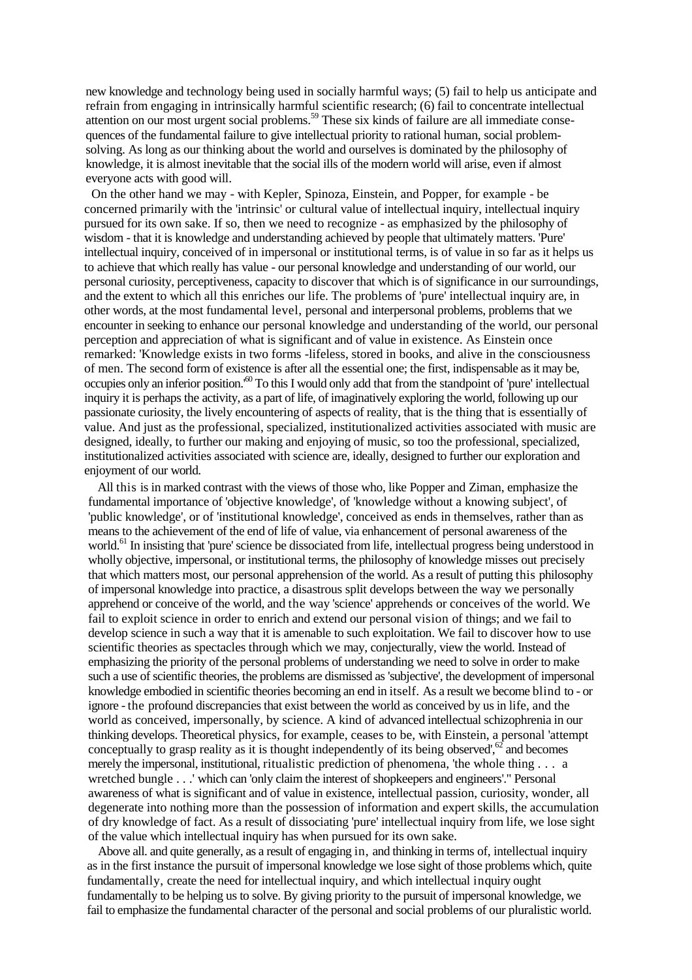new knowledge and technology being used in socially harmful ways; (5) fail to help us anticipate and refrain from engaging in intrinsically harmful scientific research; (6) fail to concentrate intellectual attention on our most urgent social problems.<sup>59</sup> These six kinds of failure are all immediate consequences of the fundamental failure to give intellectual priority to rational human, social problemsolving. As long as our thinking about the world and ourselves is dominated by the philosophy of knowledge, it is almost inevitable that the social ills of the modern world will arise, even if almost everyone acts with good will.

On the other hand we may - with Kepler, Spinoza, Einstein, and Popper, for example - be concerned primarily with the 'intrinsic' or cultural value of intellectual inquiry, intellectual inquiry pursued for its own sake. If so, then we need to recognize - as emphasized by the philosophy of wisdom - that it is knowledge and understanding achieved by people that ultimately matters. 'Pure' intellectual inquiry, conceived of in impersonal or institutional terms, is of value in so far as it helps us to achieve that which really has value - our personal knowledge and understanding of our world, our personal curiosity, perceptiveness, capacity to discover that which is of significance in our surroundings, and the extent to which all this enriches our life. The problems of 'pure' intellectual inquiry are, in other words, at the most fundamental level, personal and interpersonal problems, problems that we encounter in seeking to enhance our personal knowledge and understanding of the world, our personal perception and appreciation of what is significant and of value in existence. As Einstein once remarked: 'Knowledge exists in two forms -lifeless, stored in books, and alive in the consciousness of men. The second form of existence is after all the essential one; the first, indispensable as it may be, occupies only an inferior position.'<sup>60</sup> To this I would only add that from the standpoint of 'pure' intellectual inquiry it is perhaps the activity, as a part of life, of imaginatively exploring the world, following up our passionate curiosity, the lively encountering of aspects of reality, that is the thing that is essentially of value. And just as the professional, specialized, institutionalized activities associated with music are designed, ideally, to further our making and enjoying of music, so too the professional, specialized, institutionalized activities associated with science are, ideally, designed to further our exploration and enjoyment of our world.

All this is in marked contrast with the views of those who, like Popper and Ziman, emphasize the fundamental importance of 'objective knowledge', of 'knowledge without a knowing subject', of 'public knowledge', or of 'institutional knowledge', conceived as ends in themselves, rather than as means to the achievement of the end of life of value, via enhancement of personal awareness of the world.<sup>61</sup> In insisting that 'pure' science be dissociated from life, intellectual progress being understood in wholly objective, impersonal, or institutional terms, the philosophy of knowledge misses out precisely that which matters most, our personal apprehension of the world. As a result of putting this philosophy of impersonal knowledge into practice, a disastrous split develops between the way we personally apprehend or conceive of the world, and the way 'science' apprehends or conceives of the world. We fail to exploit science in order to enrich and extend our personal vision of things; and we fail to develop science in such a way that it is amenable to such exploitation. We fail to discover how to use scientific theories as spectacles through which we may, conjecturally, view the world. Instead of emphasizing the priority of the personal problems of understanding we need to solve in order to make such a use of scientific theories, the problems are dismissed as 'subjective', the development of impersonal knowledge embodied in scientific theories becoming an end in itself. As a result we become blind to - or ignore - the profound discrepancies that exist between the world as conceived by us in life, and the world as conceived, impersonally, by science. A kind of advanced intellectual schizophrenia in our thinking develops. Theoretical physics, for example, ceases to be, with Einstein, a personal 'attempt conceptually to grasp reality as it is thought independently of its being observed', $62$  and becomes merely the impersonal, institutional, ritualistic prediction of phenomena, 'the whole thing . . . a wretched bungle . . .' which can 'only claim the interest of shopkeepers and engineers'." Personal awareness of what is significant and of value in existence, intellectual passion, curiosity, wonder, all degenerate into nothing more than the possession of information and expert skills, the accumulation of dry knowledge of fact. As a result of dissociating 'pure' intellectual inquiry from life, we lose sight of the value which intellectual inquiry has when pursued for its own sake.

Above all. and quite generally, as a result of engaging in, and thinking in terms of, intellectual inquiry as in the first instance the pursuit of impersonal knowledge we lose sight of those problems which, quite fundamentally, create the need for intellectual inquiry, and which intellectual inquiry ought fundamentally to be helping us to solve. By giving priority to the pursuit of impersonal knowledge, we fail to emphasize the fundamental character of the personal and social problems of our pluralistic world.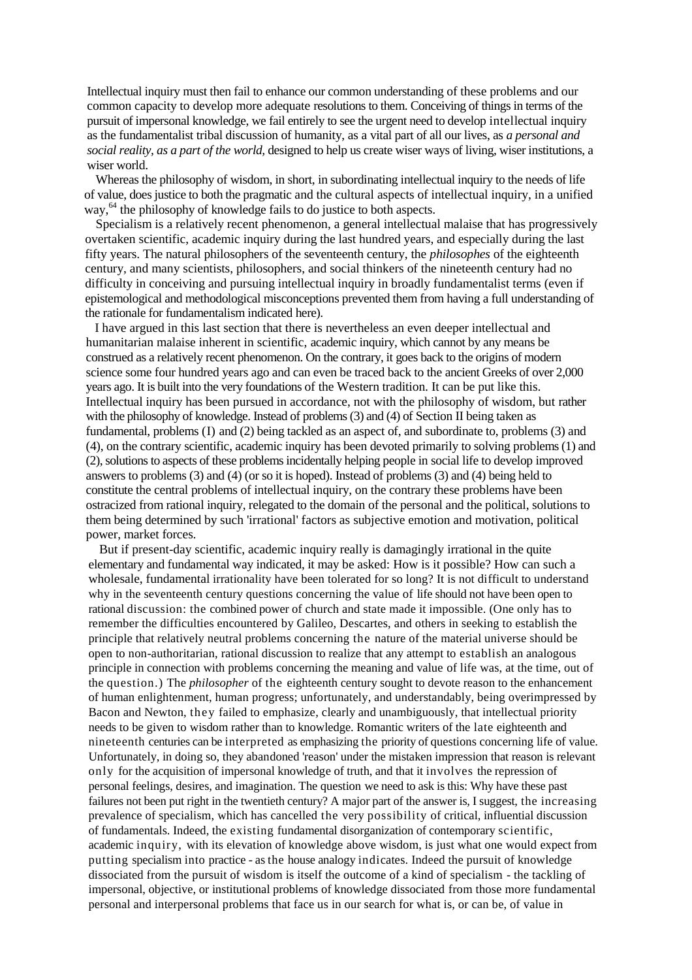Intellectual inquiry must then fail to enhance our common understanding of these problems and our common capacity to develop more adequate resolutions to them. Conceiving of things in terms of the pursuit of impersonal knowledge, we fail entirely to see the urgent need to develop intellectual inquiry as the fundamentalist tribal discussion of humanity, as a vital part of all our lives, as *a personal and social reality, as a part of the world,* designed to help us create wiser ways of living, wiser institutions, a wiser world.

Whereas the philosophy of wisdom, in short, in subordinating intellectual inquiry to the needs of life of value, does justice to both the pragmatic and the cultural aspects of intellectual inquiry, in a unified way,<sup>64</sup> the philosophy of knowledge fails to do justice to both aspects.

Specialism is a relatively recent phenomenon, a general intellectual malaise that has progressively overtaken scientific, academic inquiry during the last hundred years, and especially during the last fifty years. The natural philosophers of the seventeenth century, the *philosophes* of the eighteenth century, and many scientists, philosophers, and social thinkers of the nineteenth century had no difficulty in conceiving and pursuing intellectual inquiry in broadly fundamentalist terms (even if epistemological and methodological misconceptions prevented them from having a full understanding of the rationale for fundamentalism indicated here).

I have argued in this last section that there is nevertheless an even deeper intellectual and humanitarian malaise inherent in scientific, academic inquiry, which cannot by any means be construed as a relatively recent phenomenon. On the contrary, it goes back to the origins of modern science some four hundred years ago and can even be traced back to the ancient Greeks of over 2,000 years ago. It is built into the very foundations of the Western tradition. It can be put like this. Intellectual inquiry has been pursued in accordance, not with the philosophy of wisdom, but rather with the philosophy of knowledge. Instead of problems (3) and (4) of Section II being taken as fundamental, problems (I) and (2) being tackled as an aspect of, and subordinate to, problems (3) and (4), on the contrary scientific, academic inquiry has been devoted primarily to solving problems (1) and (2), solutions to aspects of these problems incidentally helping people in social life to develop improved answers to problems (3) and (4) (or so it is hoped). Instead of problems (3) and (4) being held to constitute the central problems of intellectual inquiry, on the contrary these problems have been ostracized from rational inquiry, relegated to the domain of the personal and the political, solutions to them being determined by such 'irrational' factors as subjective emotion and motivation, political power, market forces.

But if present-day scientific, academic inquiry really is damagingly irrational in the quite elementary and fundamental way indicated, it may be asked: How is it possible? How can such a wholesale, fundamental irrationality have been tolerated for so long? It is not difficult to understand why in the seventeenth century questions concerning the value of life should not have been open to rational discussion: the combined power of church and state made it impossible. (One only has to remember the difficulties encountered by Galileo, Descartes, and others in seeking to establish the principle that relatively neutral problems concerning the nature of the material universe should be open to non-authoritarian, rational discussion to realize that any attempt to establish an analogous principle in connection with problems concerning the meaning and value of life was, at the time, out of the question.) The *philosopher* of the eighteenth century sought to devote reason to the enhancement of human enlightenment, human progress; unfortunately, and understandably, being overimpressed by Bacon and Newton, they failed to emphasize, clearly and unambiguously, that intellectual priority needs to be given to wisdom rather than to knowledge. Romantic writers of the late eighteenth and nineteenth centuries can be interpreted as emphasizing the priority of questions concerning life of value. Unfortunately, in doing so, they abandoned 'reason' under the mistaken impression that reason is relevant only for the acquisition of impersonal knowledge of truth, and that it involves the repression of personal feelings, desires, and imagination. The question we need to ask is this: Why have these past failures not been put right in the twentieth century? A major part of the answer is, I suggest, the increasing prevalence of specialism, which has cancelled the very possibility of critical, influential discussion of fundamentals. Indeed, the existing fundamental disorganization of contemporary scientific, academic inquiry, with its elevation of knowledge above wisdom, is just what one would expect from putting specialism into practice - as the house analogy indicates. Indeed the pursuit of knowledge dissociated from the pursuit of wisdom is itself the outcome of a kind of specialism - the tackling of impersonal, objective, or institutional problems of knowledge dissociated from those more fundamental personal and interpersonal problems that face us in our search for what is, or can be, of value in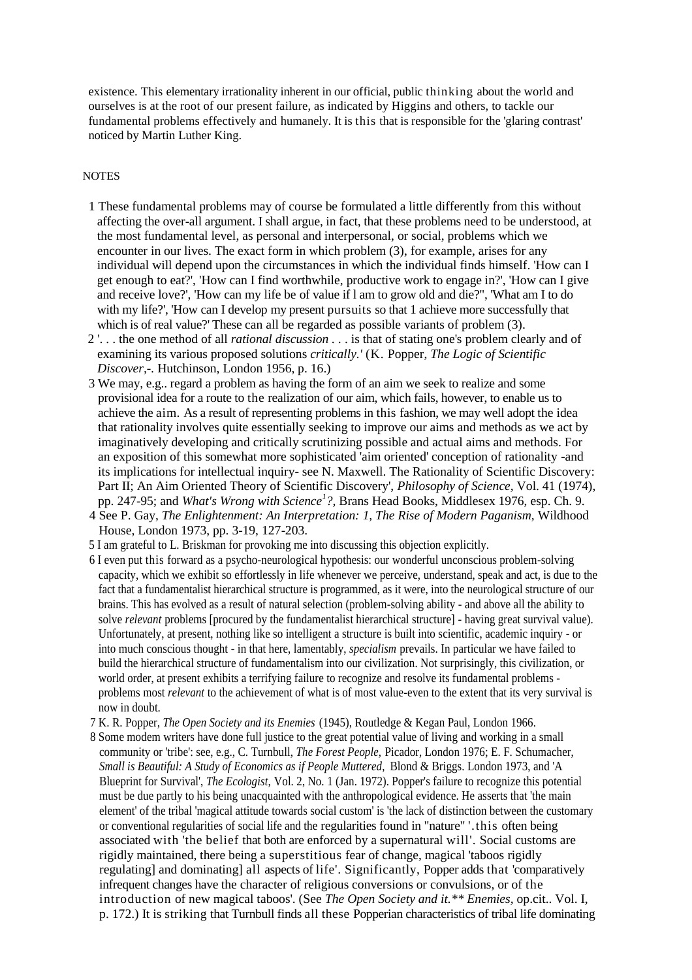existence. This elementary irrationality inherent in our official, public thinking about the world and ourselves is at the root of our present failure, as indicated by Higgins and others, to tackle our fundamental problems effectively and humanely. It is this that is responsible for the 'glaring contrast' noticed by Martin Luther King.

### **NOTES**

- 1 These fundamental problems may of course be formulated a little differently from this without affecting the over-all argument. I shall argue, in fact, that these problems need to be understood, at the most fundamental level, as personal and interpersonal, or social, problems which we encounter in our lives. The exact form in which problem (3), for example, arises for any individual will depend upon the circumstances in which the individual finds himself. 'How can I get enough to eat?', 'How can I find worthwhile, productive work to engage in?', 'How can I give and receive love?', 'How can my life be of value if l am to grow old and die?", 'What am I to do with my life?', 'How can I develop my present pursuits so that 1 achieve more successfully that which is of real value?' These can all be regarded as possible variants of problem  $(3)$ .
- 2 '. . . the one method of all *rational discussion . .* . is that of stating one's problem clearly and of examining its various proposed solutions *critically.'* (K. Popper, *The Logic of Scientific Discover,-.* Hutchinson, London 1956, p. 16.)
- 3 We may, e.g.. regard a problem as having the form of an aim we seek to realize and some provisional idea for a route to the realization of our aim, which fails, however, to enable us to achieve the aim. As a result of representing problems in this fashion, we may well adopt the idea that rationality involves quite essentially seeking to improve our aims and methods as we act by imaginatively developing and critically scrutinizing possible and actual aims and methods. For an exposition of this somewhat more sophisticated 'aim oriented' conception of rationality -and its implications for intellectual inquiry- see N. Maxwell. The Rationality of Scientific Discovery: Part II; An Aim Oriented Theory of Scientific Discovery', *Philosophy of Science,* Vol. 41 (1974), pp. 247-95; and *What's Wrong with Science<sup>1</sup> ?,* Brans Head Books, Middlesex 1976, esp. Ch. 9.
- 4 See P. Gay, *The Enlightenment: An Interpretation: 1, The Rise of Modern Paganism,* Wildhood House, London 1973, pp. 3-19, 127-203.
- 5 I am grateful to L. Briskman for provoking me into discussing this objection explicitly.
- 6 I even put this forward as a psycho-neurological hypothesis: our wonderful unconscious problem-solving capacity, which we exhibit so effortlessly in life whenever we perceive, understand, speak and act, is due to the fact that a fundamentalist hierarchical structure is programmed, as it were, into the neurological structure of our brains. This has evolved as a result of natural selection (problem-solving ability - and above all the ability to solve *relevant* problems [procured by the fundamentalist hierarchical structure] - having great survival value). Unfortunately, at present, nothing like so intelligent a structure is built into scientific, academic inquiry - or into much conscious thought - in that here, lamentably, *specialism* prevails. In particular we have failed to build the hierarchical structure of fundamentalism into our civilization. Not surprisingly, this civilization, or world order, at present exhibits a terrifying failure to recognize and resolve its fundamental problems problems most *relevant* to the achievement of what is of most value-even to the extent that its very survival is now in doubt.
- 7 K. R. Popper, *The Open Society and its Enemies* (1945), Routledge & Kegan Paul, London 1966.
- 8 Some modem writers have done full justice to the great potential value of living and working in a small community or 'tribe': see, e.g., C. Turnbull, *The Forest People,* Picador, London 1976; E. F. Schumacher, *Small is Beautiful: A Study of Economics as if People Muttered,* Blond & Briggs. London 1973, and 'A Blueprint for Survival', *The Ecologist,* Vol. 2, No. 1 (Jan. 1972). Popper's failure to recognize this potential must be due partly to his being unacquainted with the anthropological evidence. He asserts that 'the main element' of the tribal 'magical attitude towards social custom' is 'the lack of distinction between the customary or conventional regularities of social life and the regularities found in "nature" '.this often being associated with 'the belief that both are enforced by a supernatural will'. Social customs are rigidly maintained, there being a superstitious fear of change, magical 'taboos rigidly regulating] and dominating] all aspects of life'. Significantly, Popper adds that 'comparatively infrequent changes have the character of religious conversions or convulsions, or of the introduction of new magical taboos'. (See *The Open Society and it.\*\* Enemies,* op.cit.. Vol. I, p. 172.) It is striking that Turnbull finds all these Popperian characteristics of tribal life dominating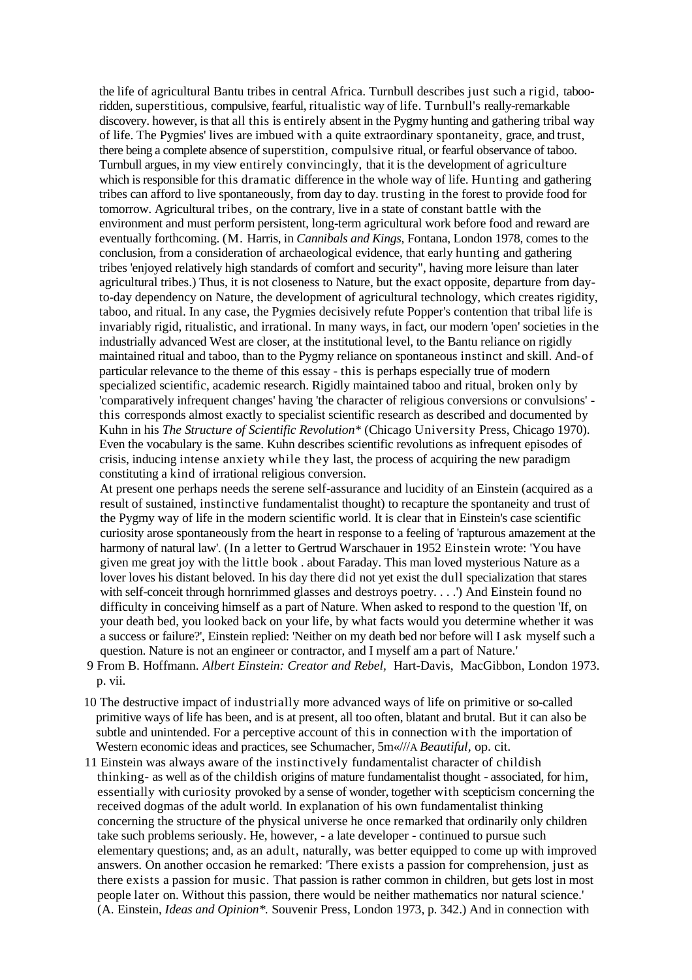the life of agricultural Bantu tribes in central Africa. Turnbull describes just such a rigid, tabooridden, superstitious, compulsive, fearful, ritualistic way of life. Turnbull's really-remarkable discovery. however, is that all this is entirely absent in the Pygmy hunting and gathering tribal way of life. The Pygmies' lives are imbued with a quite extraordinary spontaneity, grace, and trust, there being a complete absence of superstition, compulsive ritual, or fearful observance of taboo. Turnbull argues, in my view entirely convincingly, that it is the development of agriculture which is responsible for this dramatic difference in the whole way of life. Hunting and gathering tribes can afford to live spontaneously, from day to day. trusting in the forest to provide food for tomorrow. Agricultural tribes, on the contrary, live in a state of constant battle with the environment and must perform persistent, long-term agricultural work before food and reward are eventually forthcoming. (M. Harris, in *Cannibals and Kings,* Fontana, London 1978, comes to the conclusion, from a consideration of archaeological evidence, that early hunting and gathering tribes 'enjoyed relatively high standards of comfort and security", having more leisure than later agricultural tribes.) Thus, it is not closeness to Nature, but the exact opposite, departure from dayto-day dependency on Nature, the development of agricultural technology, which creates rigidity, taboo, and ritual. In any case, the Pygmies decisively refute Popper's contention that tribal life is invariably rigid, ritualistic, and irrational. In many ways, in fact, our modern 'open' societies in the industrially advanced West are closer, at the institutional level, to the Bantu reliance on rigidly maintained ritual and taboo, than to the Pygmy reliance on spontaneous instinct and skill. And-of particular relevance to the theme of this essay - this is perhaps especially true of modern specialized scientific, academic research. Rigidly maintained taboo and ritual, broken only by 'comparatively infrequent changes' having 'the character of religious conversions or convulsions' this corresponds almost exactly to specialist scientific research as described and documented by Kuhn in his *The Structure of Scientific Revolution\** (Chicago University Press, Chicago 1970). Even the vocabulary is the same. Kuhn describes scientific revolutions as infrequent episodes of crisis, inducing intense anxiety while they last, the process of acquiring the new paradigm constituting a kind of irrational religious conversion.

At present one perhaps needs the serene self-assurance and lucidity of an Einstein (acquired as a result of sustained, instinctive fundamentalist thought) to recapture the spontaneity and trust of the Pygmy way of life in the modern scientific world. It is clear that in Einstein's case scientific curiosity arose spontaneously from the heart in response to a feeling of 'rapturous amazement at the harmony of natural law'. (In a letter to Gertrud Warschauer in 1952 Einstein wrote: 'You have given me great joy with the little book . about Faraday. This man loved mysterious Nature as a lover loves his distant beloved. In his day there did not yet exist the dull specialization that stares with self-conceit through hornrimmed glasses and destroys poetry....') And Einstein found no difficulty in conceiving himself as a part of Nature. When asked to respond to the question 'If, on your death bed, you looked back on your life, by what facts would you determine whether it was a success or failure?', Einstein replied: 'Neither on my death bed nor before will I ask myself such a question. Nature is not an engineer or contractor, and I myself am a part of Nature.'

- 9 From B. Hoffmann. *Albert Einstein: Creator and Rebel,* Hart-Davis, MacGibbon, London 1973. p. vii.
- 10 The destructive impact of industrially more advanced ways of life on primitive or so-called primitive ways of life has been, and is at present, all too often, blatant and brutal. But it can also be subtle and unintended. For a perceptive account of this in connection with the importation of Western economic ideas and practices, see Schumacher, 5m«///A *Beautiful,* op. cit.
- 11 Einstein was always aware of the instinctively fundamentalist character of childish thinking- as well as of the childish origins of mature fundamentalist thought - associated, for him, essentially with curiosity provoked by a sense of wonder, together with scepticism concerning the received dogmas of the adult world. In explanation of his own fundamentalist thinking concerning the structure of the physical universe he once remarked that ordinarily only children take such problems seriously. He, however, - a late developer - continued to pursue such elementary questions; and, as an adult, naturally, was better equipped to come up with improved answers. On another occasion he remarked: 'There exists a passion for comprehension, just as there exists a passion for music. That passion is rather common in children, but gets lost in most people later on. Without this passion, there would be neither mathematics nor natural science.' (A. Einstein, *Ideas and Opinion\*.* Souvenir Press, London 1973, p. 342.) And in connection with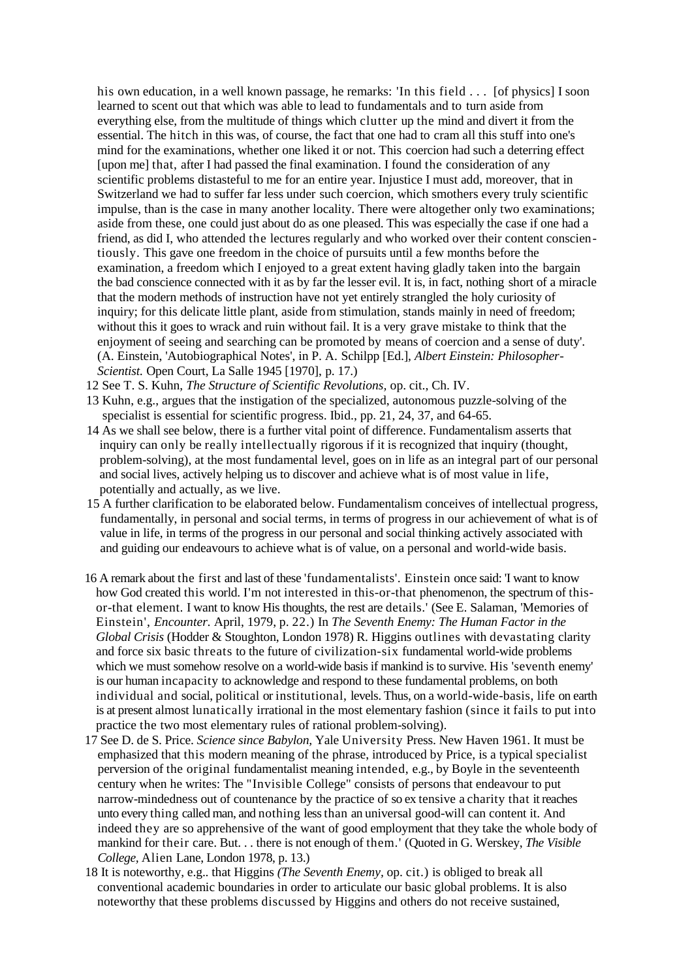his own education, in a well known passage, he remarks: 'In this field . . . [of physics] I soon learned to scent out that which was able to lead to fundamentals and to turn aside from everything else, from the multitude of things which clutter up the mind and divert it from the essential. The hitch in this was, of course, the fact that one had to cram all this stuff into one's mind for the examinations, whether one liked it or not. This coercion had such a deterring effect [upon me] that, after I had passed the final examination. I found the consideration of any scientific problems distasteful to me for an entire year. Injustice I must add, moreover, that in Switzerland we had to suffer far less under such coercion, which smothers every truly scientific impulse, than is the case in many another locality. There were altogether only two examinations; aside from these, one could just about do as one pleased. This was especially the case if one had a friend, as did I, who attended the lectures regularly and who worked over their content conscientiously. This gave one freedom in the choice of pursuits until a few months before the examination, a freedom which I enjoyed to a great extent having gladly taken into the bargain the bad conscience connected with it as by far the lesser evil. It is, in fact, nothing short of a miracle that the modern methods of instruction have not yet entirely strangled the holy curiosity of inquiry; for this delicate little plant, aside from stimulation, stands mainly in need of freedom; without this it goes to wrack and ruin without fail. It is a very grave mistake to think that the enjoyment of seeing and searching can be promoted by means of coercion and a sense of duty'. (A. Einstein, 'Autobiographical Notes', in P. A. Schilpp [Ed.], *Albert Einstein: Philosopher-Scientist.* Open Court, La Salle 1945 [1970], p. 17.)

- 12 See T. S. Kuhn, *The Structure of Scientific Revolutions,* op. cit., Ch. IV.
- 13 Kuhn, e.g., argues that the instigation of the specialized, autonomous puzzle-solving of the specialist is essential for scientific progress. Ibid., pp. 21, 24, 37, and 64-65.
- 14 As we shall see below, there is a further vital point of difference. Fundamentalism asserts that inquiry can only be really intellectually rigorous if it is recognized that inquiry (thought, problem-solving), at the most fundamental level, goes on in life as an integral part of our personal and social lives, actively helping us to discover and achieve what is of most value in life, potentially and actually, as we live.
- 15 A further clarification to be elaborated below. Fundamentalism conceives of intellectual progress, fundamentally, in personal and social terms, in terms of progress in our achievement of what is of value in life, in terms of the progress in our personal and social thinking actively associated with and guiding our endeavours to achieve what is of value, on a personal and world-wide basis.
- 16 A remark about the first and last of these 'fundamentalists'. Einstein once said: 'I want to know how God created this world. I'm not interested in this-or-that phenomenon, the spectrum of thisor-that element. I want to know His thoughts, the rest are details.' (See E. Salaman, 'Memories of Einstein', *Encounter.* April, 1979, p. 22.) In *The Seventh Enemy: The Human Factor in the Global Crisis* (Hodder & Stoughton, London 1978) R. Higgins outlines with devastating clarity and force six basic threats to the future of civilization-six fundamental world-wide problems which we must somehow resolve on a world-wide basis if mankind is to survive. His 'seventh enemy' is our human incapacity to acknowledge and respond to these fundamental problems, on both individual and social, political or institutional, levels. Thus, on a world-wide-basis, life on earth is at present almost lunatically irrational in the most elementary fashion (since it fails to put into practice the two most elementary rules of rational problem-solving).
- 17 See D. de S. Price. *Science since Babylon,* Yale University Press. New Haven 1961. It must be emphasized that this modern meaning of the phrase, introduced by Price, is a typical specialist perversion of the original fundamentalist meaning intended, e.g., by Boyle in the seventeenth century when he writes: The "Invisible College" consists of persons that endeavour to put narrow-mindedness out of countenance by the practice of so ex tensive a charity that it reaches unto every thing called man, and nothing lessthan an universal good-will can content it. And indeed they are so apprehensive of the want of good employment that they take the whole body of mankind for their care. But. . . there is not enough of them.' (Quoted in G. Werskey, *The Visible College,* Alien Lane, London 1978, p. 13.)
- 18 It is noteworthy, e.g.. that Higgins *(The Seventh Enemy,* op. cit.) is obliged to break all conventional academic boundaries in order to articulate our basic global problems. It is also noteworthy that these problems discussed by Higgins and others do not receive sustained,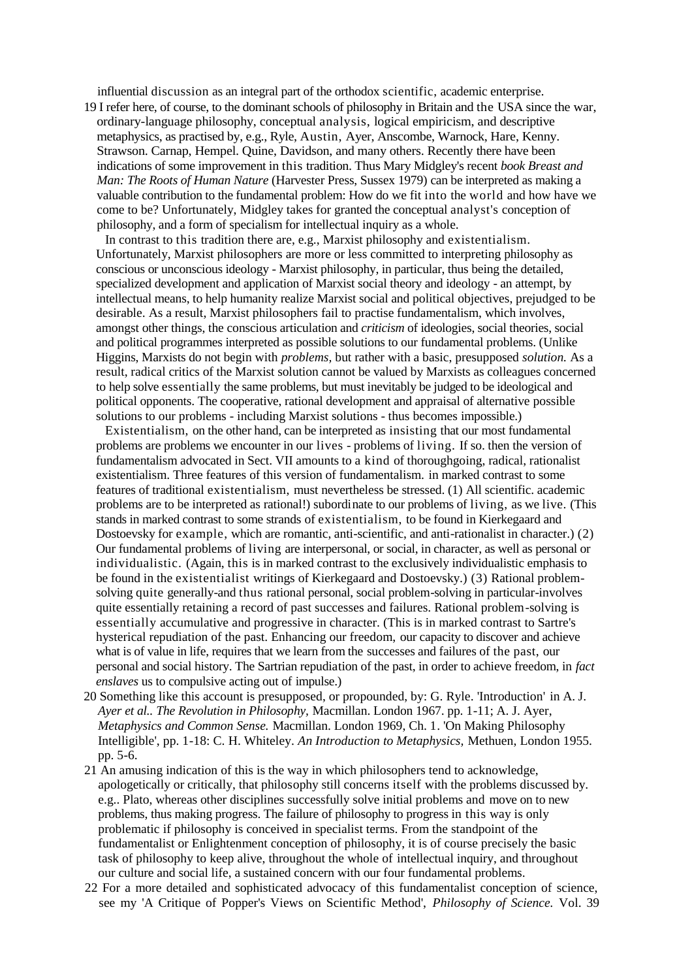influential discussion as an integral part of the orthodox scientific, academic enterprise.

19 I refer here, of course, to the dominant schools of philosophy in Britain and the USA since the war, ordinary-language philosophy, conceptual analysis, logical empiricism, and descriptive metaphysics, as practised by, e.g., Ryle, Austin, Ayer, Anscombe, Warnock, Hare, Kenny. Strawson. Carnap, Hempel. Quine, Davidson, and many others. Recently there have been indications of some improvement in this tradition. Thus Mary Midgley's recent *book Breast and Man: The Roots of Human Nature* (Harvester Press, Sussex 1979) can be interpreted as making a valuable contribution to the fundamental problem: How do we fit into the world and how have we come to be? Unfortunately, Midgley takes for granted the conceptual analyst's conception of philosophy, and a form of specialism for intellectual inquiry as a whole.

In contrast to this tradition there are, e.g., Marxist philosophy and existentialism. Unfortunately, Marxist philosophers are more or less committed to interpreting philosophy as conscious or unconscious ideology - Marxist philosophy, in particular, thus being the detailed, specialized development and application of Marxist social theory and ideology - an attempt, by intellectual means, to help humanity realize Marxist social and political objectives, prejudged to be desirable. As a result, Marxist philosophers fail to practise fundamentalism, which involves, amongst other things, the conscious articulation and *criticism* of ideologies, social theories, social and political programmes interpreted as possible solutions to our fundamental problems. (Unlike Higgins, Marxists do not begin with *problems,* but rather with a basic, presupposed *solution.* As a result, radical critics of the Marxist solution cannot be valued by Marxists as colleagues concerned to help solve essentially the same problems, but must inevitably be judged to be ideological and political opponents. The cooperative, rational development and appraisal of alternative possible solutions to our problems - including Marxist solutions - thus becomes impossible.)

Existentialism, on the other hand, can be interpreted as insisting that our most fundamental problems are problems we encounter in our lives - problems of living. If so. then the version of fundamentalism advocated in Sect. VII amounts to a kind of thoroughgoing, radical, rationalist existentialism. Three features of this version of fundamentalism. in marked contrast to some features of traditional existentialism, must nevertheless be stressed. (1) All scientific. academic problems are to be interpreted as rational!) subordinate to our problems of living, as we live. (This stands in marked contrast to some strands of existentialism, to be found in Kierkegaard and Dostoevsky for example, which are romantic, anti-scientific, and anti-rationalist in character.) (2) Our fundamental problems of living are interpersonal, or social, in character, as well as personal or individualistic. (Again, this is in marked contrast to the exclusively individualistic emphasis to be found in the existentialist writings of Kierkegaard and Dostoevsky.) (3) Rational problemsolving quite generally-and thus rational personal, social problem-solving in particular-involves quite essentially retaining a record of past successes and failures. Rational problem-solving is essentially accumulative and progressive in character. (This is in marked contrast to Sartre's hysterical repudiation of the past. Enhancing our freedom, our capacity to discover and achieve what is of value in life, requires that we learn from the successes and failures of the past, our personal and social history. The Sartrian repudiation of the past, in order to achieve freedom, in *fact enslaves* us to compulsive acting out of impulse.)

- 20 Something like this account is presupposed, or propounded, by: G. Ryle. 'Introduction' in A. J. *Ayer et al.. The Revolution in Philosophy,* Macmillan. London 1967. pp. 1-11; A. J. Ayer, *Metaphysics and Common Sense.* Macmillan. London 1969, Ch. 1. 'On Making Philosophy Intelligible', pp. 1-18: C. H. Whiteley. *An Introduction to Metaphysics,* Methuen, London 1955. pp. 5-6.
- 21 An amusing indication of this is the way in which philosophers tend to acknowledge, apologetically or critically, that philosophy still concerns itself with the problems discussed by. e.g.. Plato, whereas other disciplines successfully solve initial problems and move on to new problems, thus making progress. The failure of philosophy to progress in this way is only problematic if philosophy is conceived in specialist terms. From the standpoint of the fundamentalist or Enlightenment conception of philosophy, it is of course precisely the basic task of philosophy to keep alive, throughout the whole of intellectual inquiry, and throughout our culture and social life, a sustained concern with our four fundamental problems.
- 22 For a more detailed and sophisticated advocacy of this fundamentalist conception of science, see my 'A Critique of Popper's Views on Scientific Method', *Philosophy of Science.* Vol. 39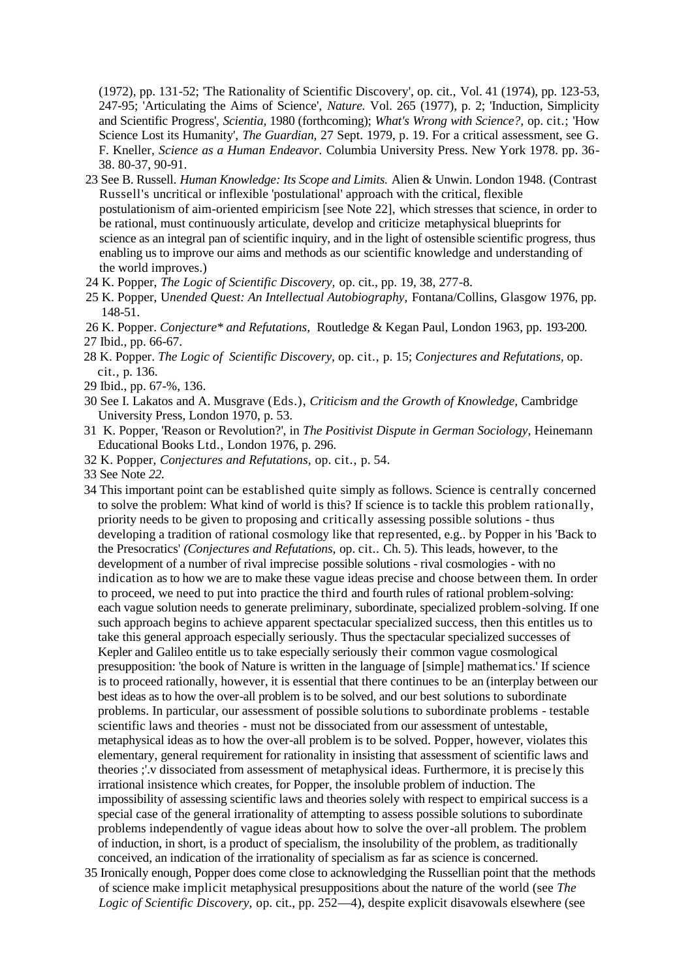(1972), pp. 131-52; 'The Rationality of Scientific Discovery', op. cit., Vol. 41 (1974), pp. 123-53, 247-95; 'Articulating the Aims of Science', *Nature.* Vol. 265 (1977), p. 2; 'Induction, Simplicity and Scientific Progress', *Scientia,* 1980 (forthcoming); *What's Wrong with Science?,* op. cit.; 'How Science Lost its Humanity', *The Guardian,* 27 Sept. 1979, p. 19. For a critical assessment, see G. F. Kneller, *Science as a Human Endeavor.* Columbia University Press. New York 1978. pp. 36- 38. 80-37, 90-91.

- 23 See B. Russell. *Human Knowledge: Its Scope and Limits.* Alien & Unwin. London 1948. (Contrast Russell's uncritical or inflexible 'postulational' approach with the critical, flexible postulationism of aim-oriented empiricism [see Note 22], which stresses that science, in order to be rational, must continuously articulate, develop and criticize metaphysical blueprints for science as an integral pan of scientific inquiry, and in the light of ostensible scientific progress, thus enabling us to improve our aims and methods as our scientific knowledge and understanding of the world improves.)
- 24 K. Popper, *The Logic of Scientific Discovery,* op. cit., pp. 19, 38, 277-8.
- 25 K. Popper, U*nended Quest: An Intellectual Autobiography,* Fontana/Collins, Glasgow 1976, pp. 148-51.
- 26 K. Popper. *Conjecture\* and Refutations,* Routledge & Kegan Paul, London 1963, pp. 193-200. 27 Ibid., pp. 66-67.
- 28 K. Popper. *The Logic of Scientific Discovery,* op. cit., p. 15; *Conjectures and Refutations,* op. cit., p. 136.
- 29 Ibid., pp. 67-%, 136.
- 30 See I. Lakatos and A. Musgrave (Eds.), *Criticism and the Growth of Knowledge,* Cambridge University Press, London 1970, p. 53.
- 31 K. Popper, 'Reason or Revolution?', in *The Positivist Dispute in German Sociology,* Heinemann Educational Books Ltd., London 1976, p. 296.
- 32 K. Popper, *Conjectures and Refutations,* op. cit., p. 54.
- 33 See Note *22.*
- 34 This important point can be established quite simply as follows. Science is centrally concerned to solve the problem: What kind of world is this? If science is to tackle this problem rationally, priority needs to be given to proposing and critically assessing possible solutions - thus developing a tradition of rational cosmology like that represented, e.g.. by Popper in his 'Back to the Presocratics' *(Conjectures and Refutations,* op. cit.. Ch. 5). This leads, however, to the development of a number of rival imprecise possible solutions - rival cosmologies - with no indication as to how we are to make these vague ideas precise and choose between them. In order to proceed, we need to put into practice the third and fourth rules of rational problem-solving: each vague solution needs to generate preliminary, subordinate, specialized problem-solving. If one such approach begins to achieve apparent spectacular specialized success, then this entitles us to take this general approach especially seriously. Thus the spectacular specialized successes of Kepler and Galileo entitle us to take especially seriously their common vague cosmological presupposition: 'the book of Nature is written in the language of [simple] mathematics.' If science is to proceed rationally, however, it is essential that there continues to be an (interplay between our best ideas as to how the over-all problem is to be solved, and our best solutions to subordinate problems. In particular, our assessment of possible solutions to subordinate problems - testable scientific laws and theories - must not be dissociated from our assessment of untestable, metaphysical ideas as to how the over-all problem is to be solved. Popper, however, violates this elementary, general requirement for rationality in insisting that assessment of scientific laws and theories ;'.v dissociated from assessment of metaphysical ideas. Furthermore, it is precise ly this irrational insistence which creates, for Popper, the insoluble problem of induction. The impossibility of assessing scientific laws and theories solely with respect to empirical success is a special case of the general irrationality of attempting to assess possible solutions to subordinate problems independently of vague ideas about how to solve the over-all problem. The problem of induction, in short, is a product of specialism, the insolubility of the problem, as traditionally conceived, an indication of the irrationality of specialism as far as science is concerned.
- 35 Ironically enough, Popper does come close to acknowledging the Russellian point that the methods of science make implicit metaphysical presuppositions about the nature of the world (see *The Logic of Scientific Discovery,* op. cit., pp. 252—4), despite explicit disavowals elsewhere (see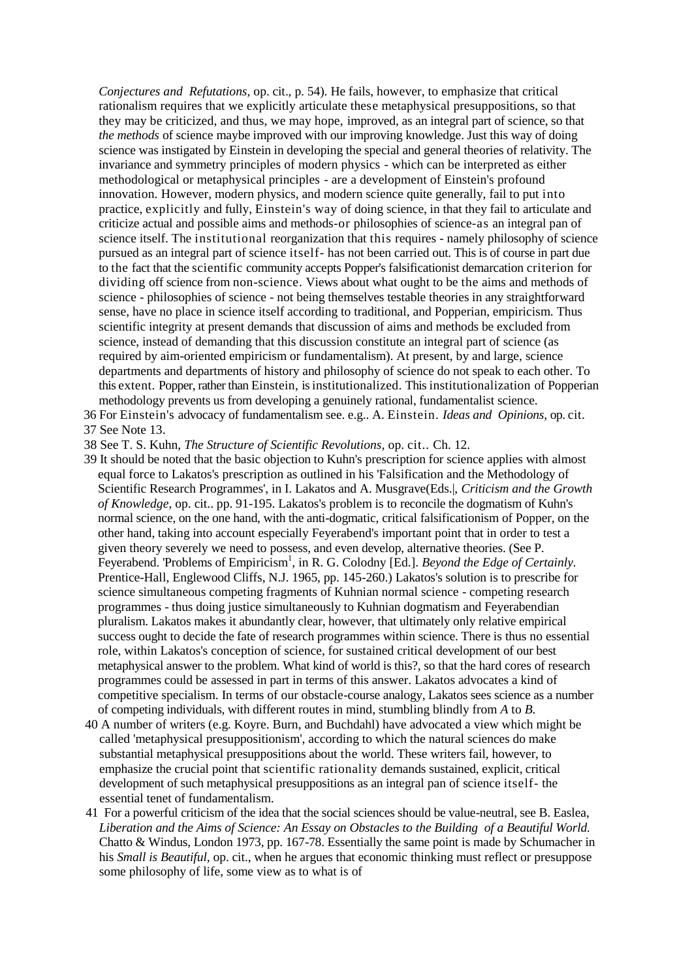*Conjectures and Refutations,* op. cit., p. 54). He fails, however, to emphasize that critical rationalism requires that we explicitly articulate these metaphysical presuppositions, so that they may be criticized, and thus, we may hope, improved, as an integral part of science, so that *the methods* of science maybe improved with our improving knowledge. Just this way of doing science was instigated by Einstein in developing the special and general theories of relativity. The invariance and symmetry principles of modern physics - which can be interpreted as either methodological or metaphysical principles - are a development of Einstein's profound innovation. However, modern physics, and modern science quite generally, fail to put into practice, explicitly and fully, Einstein's way of doing science, in that they fail to articulate and criticize actual and possible aims and methods-or philosophies of science-as an integral pan of science itself. The institutional reorganization that this requires - namely philosophy of science pursued as an integral part of science itself- has not been carried out. This is of course in part due to the fact that the scientific community accepts Popper's falsificationist demarcation criterion for dividing off science from non-science. Views about what ought to be the aims and methods of science - philosophies of science - not being themselves testable theories in any straightforward sense, have no place in science itself according to traditional, and Popperian, empiricism. Thus scientific integrity at present demands that discussion of aims and methods be excluded from science, instead of demanding that this discussion constitute an integral part of science (as required by aim-oriented empiricism or fundamentalism). At present, by and large, science departments and departments of history and philosophy of science do not speak to each other. To this extent. Popper, rather than Einstein, isinstitutionalized. Thisinstitutionalization of Popperian methodology prevents us from developing a genuinely rational, fundamentalist science.

- 36 For Einstein's advocacy of fundamentalism see. e.g.. A. Einstein. *Ideas and Opinions,* op. cit.
- 37 See Note 13.

38 See T. S. Kuhn, *The Structure of Scientific Revolutions,* op. cit.. Ch. 12.

- 39 It should be noted that the basic objection to Kuhn's prescription for science applies with almost equal force to Lakatos's prescription as outlined in his 'Falsification and the Methodology of Scientific Research Programmes', in I. Lakatos and A. Musgrave(Eds.|, *Criticism and the Growth of Knowledge,* op. cit.. pp. 91-195. Lakatos's problem is to reconcile the dogmatism of Kuhn's normal science, on the one hand, with the anti-dogmatic, critical falsificationism of Popper, on the other hand, taking into account especially Feyerabend's important point that in order to test a given theory severely we need to possess, and even develop, alternative theories. (See P. Feyerabend. 'Problems of Empiricism<sup>1</sup>, in R. G. Colodny [Ed.]. *Beyond the Edge of Certainly*. Prentice-Hall, Englewood Cliffs, N.J. 1965, pp. 145-260.) Lakatos's solution is to prescribe for science simultaneous competing fragments of Kuhnian normal science - competing research programmes - thus doing justice simultaneously to Kuhnian dogmatism and Feyerabendian pluralism. Lakatos makes it abundantly clear, however, that ultimately only relative empirical success ought to decide the fate of research programmes within science. There is thus no essential role, within Lakatos's conception of science, for sustained critical development of our best metaphysical answer to the problem. What kind of world is this?, so that the hard cores of research programmes could be assessed in part in terms of this answer. Lakatos advocates a kind of competitive specialism. In terms of our obstacle-course analogy, Lakatos sees science as a number of competing individuals, with different routes in mind, stumbling blindly from *A* to *B.*
- 40 A number of writers (e.g. Koyre. Burn, and Buchdahl) have advocated a view which might be called 'metaphysical presuppositionism', according to which the natural sciences do make substantial metaphysical presuppositions about the world. These writers fail, however, to emphasize the crucial point that scientific rationality demands sustained, explicit, critical development of such metaphysical presuppositions as an integral pan of science itself- the essential tenet of fundamentalism.
- 41 For a powerful criticism of the idea that the social sciences should be value-neutral, see B. Easlea, *Liberation and the Aims of Science: An Essay on Obstacles to the Building of a Beautiful World.* Chatto & Windus, London 1973, pp. 167-78. Essentially the same point is made by Schumacher in his *Small is Beautiful,* op. cit., when he argues that economic thinking must reflect or presuppose some philosophy of life, some view as to what is of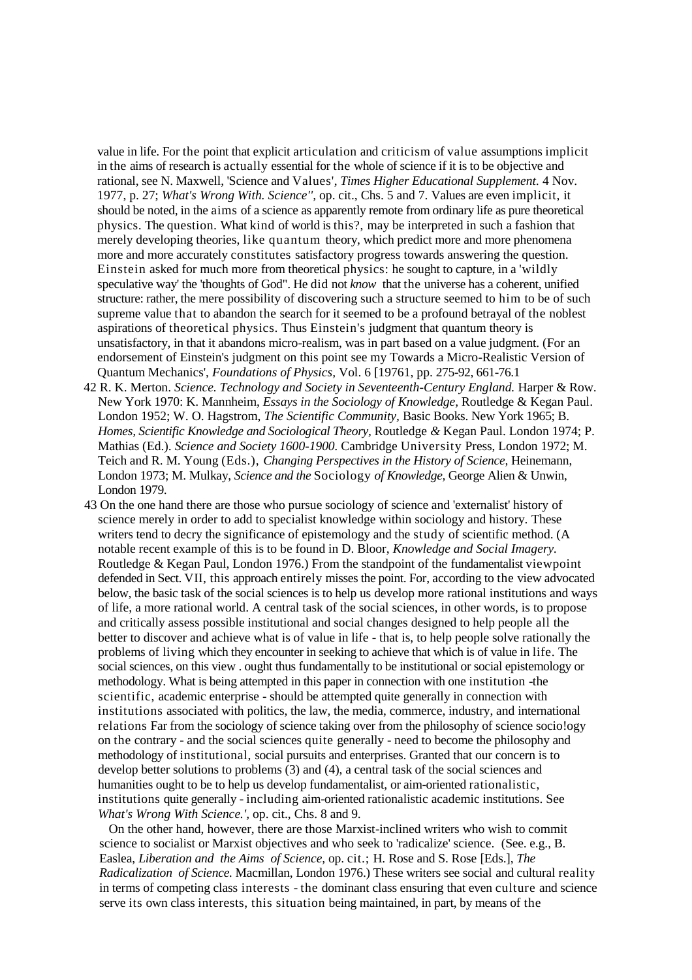value in life. For the point that explicit articulation and criticism of value assumptions implicit in the aims of research is actually essential for the whole of science if it is to be objective and rational, see N. Maxwell, 'Science and Values', *Times Higher Educational Supplement.* 4 Nov. 1977, p. 27; *What's Wrong With. Science'',* op. cit., Chs. 5 and 7. Values are even implicit, it should be noted, in the aims of a science as apparently remote from ordinary life as pure theoretical physics. The question. What kind of world is this?, may be interpreted in such a fashion that merely developing theories, like quantum theory, which predict more and more phenomena more and more accurately constitutes satisfactory progress towards answering the question. Einstein asked for much more from theoretical physics: he sought to capture, in a 'wildly speculative way' the 'thoughts of God". He did not *know* that the universe has a coherent, unified structure: rather, the mere possibility of discovering such a structure seemed to him to be of such supreme value that to abandon the search for it seemed to be a profound betrayal of the noblest aspirations of theoretical physics. Thus Einstein's judgment that quantum theory is unsatisfactory, in that it abandons micro-realism, was in part based on a value judgment. (For an endorsement of Einstein's judgment on this point see my Towards a Micro-Realistic Version of Quantum Mechanics', *Foundations of Physics,* Vol. 6 [19761, pp. 275-92, 661-76.1

- 42 R. K. Merton. *Science. Technology and Society in Seventeenth-Century England.* Harper & Row. New York 1970: K. Mannheim, *Essays in the Sociology of Knowledge,* Routledge & Kegan Paul. London 1952; W. O. Hagstrom, *The Scientific Community,* Basic Books. New York 1965; B. *Homes, Scientific Knowledge and Sociological Theory,* Routledge *&* Kegan Paul. London 1974; P. Mathias (Ed.). *Science and Society 1600-1900.* Cambridge University Press, London 1972; M. Teich and R. M. Young (Eds.), *Changing Perspectives in the History of Science,* Heinemann, London 1973; M. Mulkay, *Science and the* Sociology *of Knowledge,* George Alien & Unwin, London 1979.
- 43 On the one hand there are those who pursue sociology of science and 'externalist' history of science merely in order to add to specialist knowledge within sociology and history. These writers tend to decry the significance of epistemology and the study of scientific method. (A notable recent example of this is to be found in D. Bloor, *Knowledge and Social Imagery.* Routledge & Kegan Paul, London 1976.) From the standpoint of the fundamentalist viewpoint defended in Sect. VII, this approach entirely misses the point. For, according to the view advocated below, the basic task of the social sciences is to help us develop more rational institutions and ways of life, a more rational world. A central task of the social sciences, in other words, is to propose and critically assess possible institutional and social changes designed to help people all the better to discover and achieve what is of value in life - that is, to help people solve rationally the problems of living which they encounter in seeking to achieve that which is of value in life. The social sciences, on this view . ought thus fundamentally to be institutional or social epistemology or methodology. What is being attempted in this paper in connection with one institution -the scientific, academic enterprise - should be attempted quite generally in connection with institutions associated with politics, the law, the media, commerce, industry, and international relations Far from the sociology of science taking over from the philosophy of science sociology on the contrary - and the social sciences quite generally - need to become the philosophy and methodology of institutional, social pursuits and enterprises. Granted that our concern is to develop better solutions to problems (3) and (4), a central task of the social sciences and humanities ought to be to help us develop fundamentalist, or aim-oriented rationalistic, institutions quite generally - including aim-oriented rationalistic academic institutions. See *What's Wrong With Science.',* op. cit., Chs. 8 and 9.

On the other hand, however, there are those Marxist-inclined writers who wish to commit science to socialist or Marxist objectives and who seek to 'radicalize' science. (See. e.g., B. Easlea, *Liberation and the Aims of Science,* op. cit.; H. Rose and S. Rose [Eds.], *The Radicalization of Science.* Macmillan, London 1976.) These writers see social and cultural reality in terms of competing class interests - the dominant class ensuring that even culture and science serve its own class interests, this situation being maintained, in part, by means of the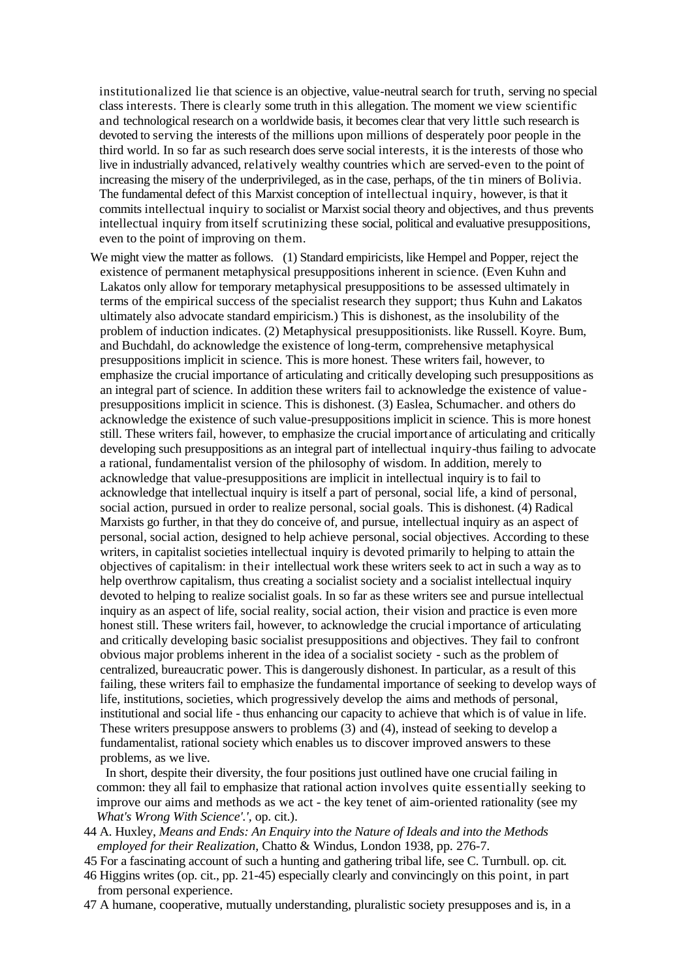institutionalized lie that science is an objective, value-neutral search for truth, serving no special class interests. There is clearly some truth in this allegation. The moment we view scientific and technological research on a worldwide basis, it becomes clear that very little such research is devoted to serving the interests of the millions upon millions of desperately poor people in the third world. In so far as such research does serve social interests, it is the interests of those who live in industrially advanced, relatively wealthy countries which are served-even to the point of increasing the misery of the underprivileged, as in the case, perhaps, of the tin miners of Bolivia. The fundamental defect of this Marxist conception of intellectual inquiry, however, is that it commits intellectual inquiry to socialist or Marxist social theory and objectives, and thus prevents intellectual inquiry from itself scrutinizing these social, political and evaluative presuppositions, even to the point of improving on them.

We might view the matter as follows. (1) Standard empiricists, like Hempel and Popper, reject the existence of permanent metaphysical presuppositions inherent in science. (Even Kuhn and Lakatos only allow for temporary metaphysical presuppositions to be assessed ultimately in terms of the empirical success of the specialist research they support; thus Kuhn and Lakatos ultimately also advocate standard empiricism.) This is dishonest, as the insolubility of the problem of induction indicates. (2) Metaphysical presuppositionists. like Russell. Koyre. Bum, and Buchdahl, do acknowledge the existence of long-term, comprehensive metaphysical presuppositions implicit in science. This is more honest. These writers fail, however, to emphasize the crucial importance of articulating and critically developing such presuppositions as an integral part of science. In addition these writers fail to acknowledge the existence of valuepresuppositions implicit in science. This is dishonest. (3) Easlea, Schumacher. and others do acknowledge the existence of such value-presuppositions implicit in science. This is more honest still. These writers fail, however, to emphasize the crucial importance of articulating and critically developing such presuppositions as an integral part of intellectual inquiry-thus failing to advocate a rational, fundamentalist version of the philosophy of wisdom. In addition, merely to acknowledge that value-presuppositions are implicit in intellectual inquiry is to fail to acknowledge that intellectual inquiry is itself a part of personal, social life, a kind of personal, social action, pursued in order to realize personal, social goals. This is dishonest. (4) Radical Marxists go further, in that they do conceive of, and pursue, intellectual inquiry as an aspect of personal, social action, designed to help achieve personal, social objectives. According to these writers, in capitalist societies intellectual inquiry is devoted primarily to helping to attain the objectives of capitalism: in their intellectual work these writers seek to act in such a way as to help overthrow capitalism, thus creating a socialist society and a socialist intellectual inquiry devoted to helping to realize socialist goals. In so far as these writers see and pursue intellectual inquiry as an aspect of life, social reality, social action, their vision and practice is even more honest still. These writers fail, however, to acknowledge the crucial importance of articulating and critically developing basic socialist presuppositions and objectives. They fail to confront obvious major problems inherent in the idea of a socialist society - such as the problem of centralized, bureaucratic power. This is dangerously dishonest. In particular, as a result of this failing, these writers fail to emphasize the fundamental importance of seeking to develop ways of life, institutions, societies, which progressively develop the aims and methods of personal, institutional and social life - thus enhancing our capacity to achieve that which is of value in life. These writers presuppose answers to problems (3) and (4), instead of seeking to develop a fundamentalist, rational society which enables us to discover improved answers to these problems, as we live.

In short, despite their diversity, the four positions just outlined have one crucial failing in common: they all fail to emphasize that rational action involves quite essentially seeking to improve our aims and methods as we act - the key tenet of aim-oriented rationality (see my *What's Wrong With Science'.',* op. cit.).

- 44 A. Huxley, *Means and Ends: An Enquiry into the Nature of Ideals and into the Methods employed for their Realization,* Chatto & Windus, London 1938, pp. 276-7.
- 45 For a fascinating account of such a hunting and gathering tribal life, see C. Turnbull. op. cit.
- 46 Higgins writes (op. cit., pp. 21-45) especially clearly and convincingly on this point, in part from personal experience.
- 47 A humane, cooperative, mutually understanding, pluralistic society presupposes and is, in a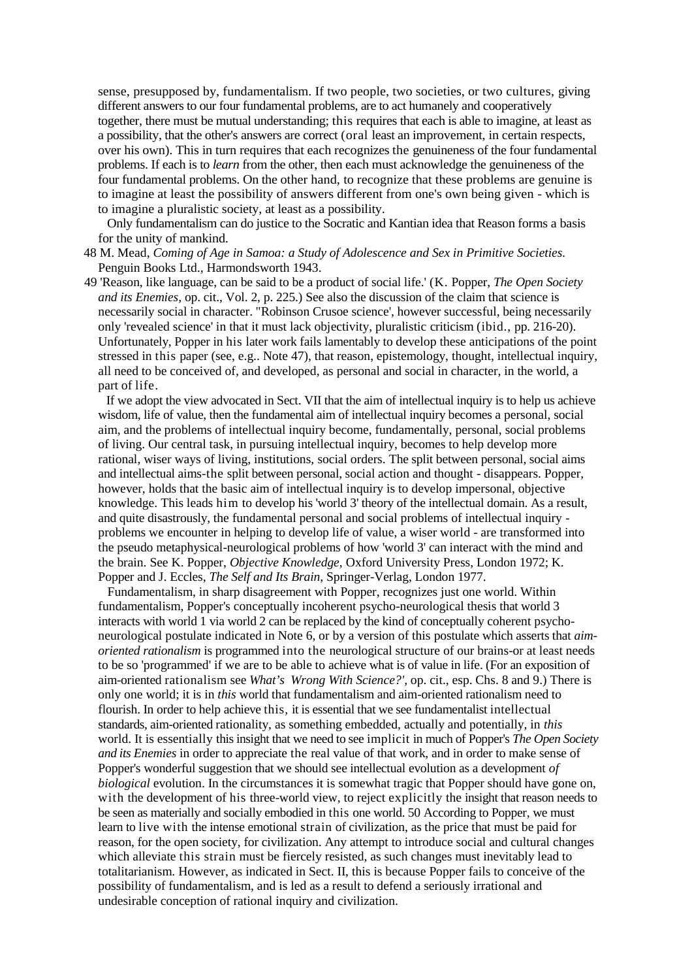sense, presupposed by, fundamentalism. If two people, two societies, or two cultures, giving different answers to our four fundamental problems, are to act humanely and cooperatively together, there must be mutual understanding; this requires that each is able to imagine, at least as a possibility, that the other's answers are correct (oral least an improvement, in certain respects, over his own). This in turn requires that each recognizes the genuineness of the four fundamental problems. If each is to *learn* from the other, then each must acknowledge the genuineness of the four fundamental problems. On the other hand, to recognize that these problems are genuine is to imagine at least the possibility of answers different from one's own being given - which is to imagine a pluralistic society, at least as a possibility.

Only fundamentalism can do justice to the Socratic and Kantian idea that Reason forms a basis for the unity of mankind.

- 48 M. Mead, *Coming of Age in Samoa: a Study of Adolescence and Sex in Primitive Societies.* Penguin Books Ltd., Harmondsworth 1943.
- 49 'Reason, like language, can be said to be a product of social life.' (K. Popper, *The Open Society and its Enemies,* op. cit., Vol. 2, p. 225.) See also the discussion of the claim that science is necessarily social in character. "Robinson Crusoe science', however successful, being necessarily only 'revealed science' in that it must lack objectivity, pluralistic criticism (ibid., pp. 216-20). Unfortunately, Popper in his later work fails lamentably to develop these anticipations of the point stressed in this paper (see, e.g.. Note 47), that reason, epistemology, thought, intellectual inquiry, all need to be conceived of, and developed, as personal and social in character, in the world, a part of life.

If we adopt the view advocated in Sect. VII that the aim of intellectual inquiry is to help us achieve wisdom, life of value, then the fundamental aim of intellectual inquiry becomes a personal, social aim, and the problems of intellectual inquiry become, fundamentally, personal, social problems of living. Our central task, in pursuing intellectual inquiry, becomes to help develop more rational, wiser ways of living, institutions, social orders. The split between personal, social aims and intellectual aims-the split between personal, social action and thought - disappears. Popper, however, holds that the basic aim of intellectual inquiry is to develop impersonal, objective knowledge. This leads him to develop his 'world 3' theory of the intellectual domain. As a result, and quite disastrously, the fundamental personal and social problems of intellectual inquiry problems we encounter in helping to develop life of value, a wiser world - are transformed into the pseudo metaphysical-neurological problems of how 'world 3' can interact with the mind and the brain. See K. Popper, *Objective Knowledge,* Oxford University Press, London 1972; K. Popper and J. Eccles, *The Self and Its Brain,* Springer-Verlag, London 1977.

Fundamentalism, in sharp disagreement with Popper, recognizes just one world. Within fundamentalism, Popper's conceptually incoherent psycho-neurological thesis that world 3 interacts with world 1 via world 2 can be replaced by the kind of conceptually coherent psychoneurological postulate indicated in Note 6, or by a version of this postulate which asserts that *aimoriented rationalism* is programmed into the neurological structure of our brains-or at least needs to be so 'programmed' if we are to be able to achieve what is of value in life. (For an exposition of aim-oriented rationalism see *What's Wrong With Science?',* op. cit., esp. Chs. 8 and 9.) There is only one world; it is in *this* world that fundamentalism and aim-oriented rationalism need to flourish. In order to help achieve this, it is essential that we see fundamentalist intellectual standards, aim-oriented rationality, as something embedded, actually and potentially, in *this* world. It is essentially this insight that we need to see implicit in much of Popper's *The Open Society and its Enemies* in order to appreciate the real value of that work, and in order to make sense of Popper's wonderful suggestion that we should see intellectual evolution as a development *of biological* evolution. In the circumstances it is somewhat tragic that Popper should have gone on, with the development of his three-world view, to reject explicitly the insight that reason needs to be seen as materially and socially embodied in this one world. 50 According to Popper, we must learn to live with the intense emotional strain of civilization, as the price that must be paid for reason, for the open society, for civilization. Any attempt to introduce social and cultural changes which alleviate this strain must be fiercely resisted, as such changes must inevitably lead to totalitarianism. However, as indicated in Sect. II, this is because Popper fails to conceive of the possibility of fundamentalism, and is led as a result to defend a seriously irrational and undesirable conception of rational inquiry and civilization.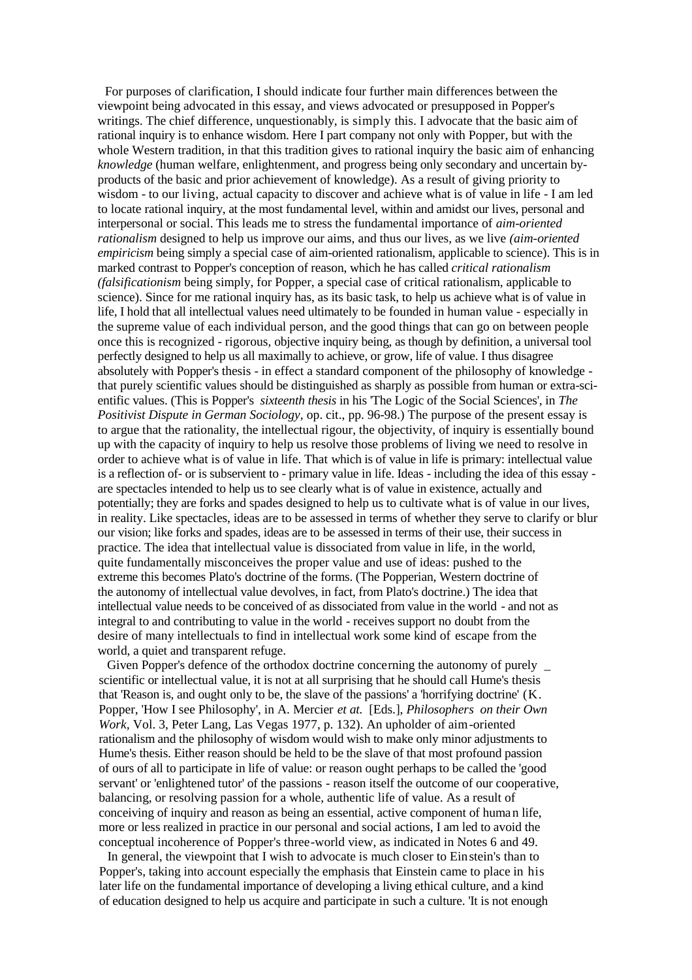For purposes of clarification, I should indicate four further main differences between the viewpoint being advocated in this essay, and views advocated or presupposed in Popper's writings. The chief difference, unquestionably, is simply this. I advocate that the basic aim of rational inquiry is to enhance wisdom. Here I part company not only with Popper, but with the whole Western tradition, in that this tradition gives to rational inquiry the basic aim of enhancing *knowledge* (human welfare, enlightenment, and progress being only secondary and uncertain byproducts of the basic and prior achievement of knowledge). As a result of giving priority to wisdom - to our living, actual capacity to discover and achieve what is of value in life - I am led to locate rational inquiry, at the most fundamental level, within and amidst our lives, personal and interpersonal or social. This leads me to stress the fundamental importance of *aim-oriented rationalism* designed to help us improve our aims, and thus our lives, as we live *(aim-oriented empiricism* being simply a special case of aim-oriented rationalism, applicable to science). This is in marked contrast to Popper's conception of reason, which he has called *critical rationalism (falsificationism* being simply, for Popper, a special case of critical rationalism, applicable to science). Since for me rational inquiry has, as its basic task, to help us achieve what is of value in life, I hold that all intellectual values need ultimately to be founded in human value - especially in the supreme value of each individual person, and the good things that can go on between people once this is recognized - rigorous, objective inquiry being, as though by definition, a universal tool perfectly designed to help us all maximally to achieve, or grow, life of value. I thus disagree absolutely with Popper's thesis - in effect a standard component of the philosophy of knowledge that purely scientific values should be distinguished as sharply as possible from human or extra-scientific values. (This is Popper's *sixteenth thesis* in his 'The Logic of the Social Sciences', in *The Positivist Dispute in German Sociology,* op. cit., pp. 96-98.) The purpose of the present essay is to argue that the rationality, the intellectual rigour, the objectivity, of inquiry is essentially bound up with the capacity of inquiry to help us resolve those problems of living we need to resolve in order to achieve what is of value in life. That which is of value in life is primary: intellectual value is a reflection of- or is subservient to - primary value in life. Ideas - including the idea of this essay are spectacles intended to help us to see clearly what is of value in existence, actually and potentially; they are forks and spades designed to help us to cultivate what is of value in our lives, in reality. Like spectacles, ideas are to be assessed in terms of whether they serve to clarify or blur our vision; like forks and spades, ideas are to be assessed in terms of their use, their success in practice. The idea that intellectual value is dissociated from value in life, in the world, quite fundamentally misconceives the proper value and use of ideas: pushed to the extreme this becomes Plato's doctrine of the forms. (The Popperian, Western doctrine of the autonomy of intellectual value devolves, in fact, from Plato's doctrine.) The idea that intellectual value needs to be conceived of as dissociated from value in the world - and not as integral to and contributing to value in the world - receives support no doubt from the desire of many intellectuals to find in intellectual work some kind of escape from the world, a quiet and transparent refuge.

Given Popper's defence of the orthodox doctrine concerning the autonomy of purely \_ scientific or intellectual value, it is not at all surprising that he should call Hume's thesis that 'Reason is, and ought only to be, the slave of the passions' a 'horrifying doctrine' (K. Popper, 'How I see Philosophy', in A. Mercier *et at.* [Eds.], *Philosophers on their Own Work,* Vol. 3, Peter Lang, Las Vegas 1977, p. 132). An upholder of aim-oriented rationalism and the philosophy of wisdom would wish to make only minor adjustments to Hume's thesis. Either reason should be held to be the slave of that most profound passion of ours of all to participate in life of value: or reason ought perhaps to be called the 'good servant' or 'enlightened tutor' of the passions - reason itself the outcome of our cooperative, balancing, or resolving passion for a whole, authentic life of value. As a result of conceiving of inquiry and reason as being an essential, active component of human life, more or less realized in practice in our personal and social actions, I am led to avoid the conceptual incoherence of Popper's three-world view, as indicated in Notes 6 and 49.

In general, the viewpoint that I wish to advocate is much closer to Einstein's than to Popper's, taking into account especially the emphasis that Einstein came to place in his later life on the fundamental importance of developing a living ethical culture, and a kind of education designed to help us acquire and participate in such a culture. 'It is not enough